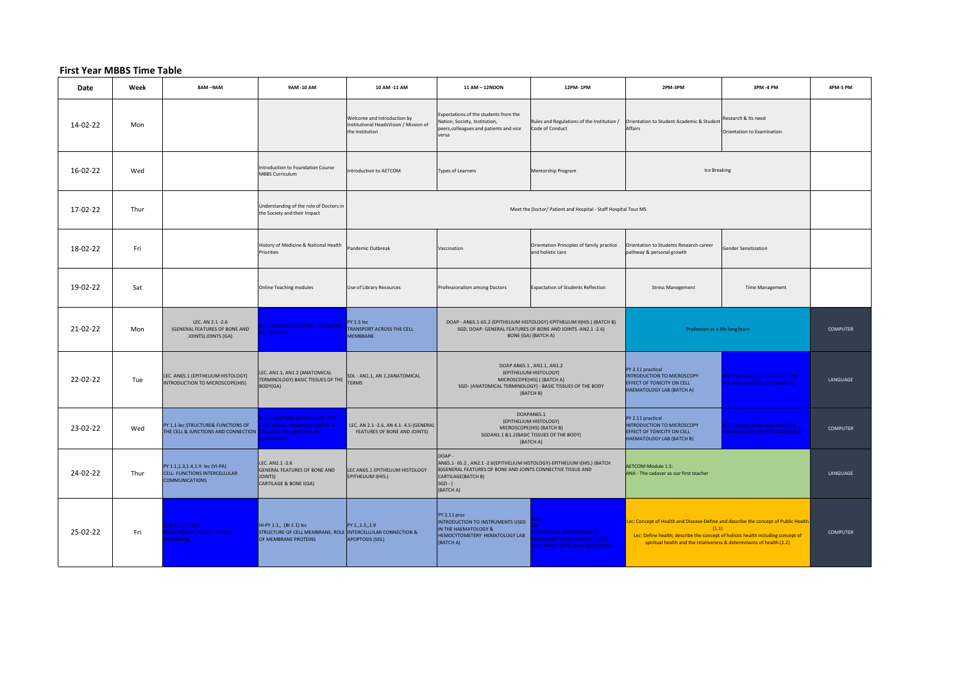## **First Year MBBS Time Table**

| Date     | Week | 8AM-9AM                                                                                            | 9AM -10 AM                                                                                                      | 10 AM -11 AM                                                                             | 11 AM - 12NOON                                                                                                                                                                                     | 12PM-1PM                                                                                                                                                    | 2PM-3PM                                                                                                                                                                                                                                                 | 3PM-4 PM                                                                        | 4PM-5 PM        |
|----------|------|----------------------------------------------------------------------------------------------------|-----------------------------------------------------------------------------------------------------------------|------------------------------------------------------------------------------------------|----------------------------------------------------------------------------------------------------------------------------------------------------------------------------------------------------|-------------------------------------------------------------------------------------------------------------------------------------------------------------|---------------------------------------------------------------------------------------------------------------------------------------------------------------------------------------------------------------------------------------------------------|---------------------------------------------------------------------------------|-----------------|
| 14-02-22 | Mon  |                                                                                                    |                                                                                                                 | Welcome and Introduction by<br>Institutional HeadsVision / Mission of<br>the institution | Expectations of the students from the<br>Nation, Society, Institution,<br>peers, colleagues and patients and vice<br>versa                                                                         | Rules and Regulations of the Institution /<br>Code of Conduct                                                                                               | Orientation to Student Academic & Student<br>Affairs                                                                                                                                                                                                    | Research & Its need<br>Orientation to Examination                               |                 |
| 16-02-22 | Wed  |                                                                                                    | Introduction to Foundation Course<br><b>MBBS Curriculum</b>                                                     | Introduction to AETCOM                                                                   | <b>Types of Learners</b>                                                                                                                                                                           | Mentorship Program                                                                                                                                          | Ice Breaking                                                                                                                                                                                                                                            |                                                                                 |                 |
| 17-02-22 | Thur |                                                                                                    | Understanding of the role of Doctors in<br>the Society and their Impact                                         |                                                                                          |                                                                                                                                                                                                    | Meet the Doctor/ Patient and Hospital - Staff Hospital Tour MS                                                                                              |                                                                                                                                                                                                                                                         |                                                                                 |                 |
| 18-02-22 | Fri  |                                                                                                    | History of Medicine & National Health<br>Priorities                                                             | Pandemic Outbreak                                                                        | Vaccination                                                                                                                                                                                        | Orientation Principles of family practice<br>and holistic care                                                                                              | Orientation to Students Research career<br>pathway & personal growth                                                                                                                                                                                    | <b>Gender Sensitization</b>                                                     |                 |
| 19-02-22 | Sat  |                                                                                                    | <b>Online Teaching modules</b>                                                                                  | Use of Library Resources                                                                 | Professionalism among Doctors                                                                                                                                                                      | <b>Expectation of Students Reflection</b>                                                                                                                   | <b>Stress Manegement</b>                                                                                                                                                                                                                                | Time Management                                                                 |                 |
| 21-02-22 | Mon  | LEC. AN 2.1 -2.6<br>(GENERAL FEATURES OF BONE AND<br>JOINTS) JOINTS (GA)                           | 2.1 (LECTURE) ENZYME, ISOENZYME<br><b>LOENZYME</b>                                                              | PY 1.5 lec<br><b>TRANSPORT ACROSS THE CELL</b><br><b>MEMBRANE</b>                        | DOAP - AN65.1-65.2 (EPITHELIUM HISTOLOGY)-EPITHELIUM II(HIS.) (BATCH B)<br>SGD, DOAP- GENERAL FEATURES OF BONE AND JOINTS - AN2.1 - 2.6)<br>Profession as a life long learn<br>BONE (GA) (BATCH A) |                                                                                                                                                             |                                                                                                                                                                                                                                                         |                                                                                 | <b>COMPUTER</b> |
| 22-02-22 | Tue  | LEC. AN65.1 (EPITHELIUM HISTOLOGY)<br>INTRODUCTION TO MICROSCOPE(HIS)                              | LEC. AN1.1, AN1.2 (ANATOMICAL<br>TERMINOLOGY) BASIC TISSUES OF THE TERMS<br>BODY(GA)                            | SDL - AN1.1, AN 1.2ANATOMICAL                                                            |                                                                                                                                                                                                    | DOAP AN65.1, AN1.1, AN1.2<br>(EPITHELIUM HISTOLOGY)<br>MICROSCOPE(HIS) ((BATCH A)<br>SGD- (ANATOMICAL TERMINOLOGY) - BASIC TISSUES OF THE BODY<br>(BATCH B) | PY 2.11 practical<br><b>INTRODUCTION TO MICROSCOPY</b><br>EFFECT OF TONICITY ON CELL<br>HAEMATOLOGY LAB (BATCH A)                                                                                                                                       | 316.7 (Small group discussion) PH,<br><b>VATER &amp; ELECTROLYTE BALANCE</b>    | LANGUAGE        |
| 23-02-22 | Wed  | PY 1.1-lec STRUCTURE& FUNCTIONS OF<br>THE CELL & JUNCTIONS AND CONNECTION CELL AND ITS SUBCELLULAR | <b>31 1.1 (LECTURE )MOLECULAR AND</b><br><b>FUNCTIONAL ORGANIZATION OF A</b><br><b>OMPONENT</b>                 | LEC. AN 2.1 -2.6, AN 4.1-4.5-(GENERAL<br>FEATURES OF BONE AND JOINTS)                    |                                                                                                                                                                                                    | DOAPAN65.1<br>(EPITHELIUM HISTOLOGY)<br>MICROSCOPE(HIS) (BATCH B)<br>SGDAN1.1 &1.2(BASIC TISSUES OF THE BODY)<br>(BATCH A)                                  | PY 2.11 practical<br>INTRODUCTION TO MICROSCOPY<br>EFFECT OF TONICITY ON CELL<br>HAEMATOLOGY LAB (BATCH B)                                                                                                                                              | 816.7 (Small group discussion) PH,<br><b>JATER &amp; ELECTROLYTE BALANCE(A)</b> | <b>COMPUTER</b> |
| 24-02-22 | Thur | PY 1.1, 1.3, 1.4, 1.9 lec (VI-PA)<br>CELL- FUNCTIONS INTERCELLULAR<br><b>COMMUNICATIONS</b>        | LEC. AN2.1 -2.6<br>GENERAL FEATURES OF BONE AND<br>JOINTS)<br>CARTILAGE & BONE I(GA)                            | LEC AN65.1 EPITHELIUM HISTOLOGY<br>EPITHELIUM I(HIS.)                                    | DOAP-<br>AN65.1-65.2, AN2.1-2.6(EPITHELIUM HISTOLOGY)-EPITHELIUM I(HIS.) (BATCH<br>B)GENERAL FEATURES OF BONE AND JOINTS CONNECTIVE TISSUE AND<br>CARTILAGE(BATCH B)<br>$SGD - 1$<br>(BATCH A)     |                                                                                                                                                             | AETCOM-Module 1.5:<br>ANA - The cadaver as our first teacher                                                                                                                                                                                            |                                                                                 | LANGUAGE        |
| 25-02-22 | Fri  | 11.1 (LECTURE)<br>LUID MOSAIC MODEL OF CELL<br><b>IEMBRANE</b>                                     | HI-PY 1.1,, (BI 1.1) lec<br>STRUCTURE OF CELL MEMBRANE, ROLE INTERCELLULAR CONNECTION &<br>OF MEMBRANE PROTEINS | PY 1., 1.3, , 1.9<br><b>APOPTOSIS (SDL)</b>                                              | PY 2.11 prac<br>INTRODUCTION TO INSTRUMENTS USED<br>IN THE HAEMATOLOGY &<br>HEMOCYTOMETERY HEMATOLOGY LAB<br>(BATCH A)                                                                             | 3.5<br><b>JTRITIONAL IMPORTANCE OF</b><br><b>OMMONLY USED ITEMS OF FOOD</b><br><b>ICLUDING FRUITS AND VEGETABLES.</b>                                       | ec: Concept of Health and Disease-Define and describe the concept of Public Health<br>(1.1)<br>Lec: Define health; describe the concept of holistic health including concept of<br>spiritual health and the relativeness & determinants of health (1.2) |                                                                                 | <b>COMPUTER</b> |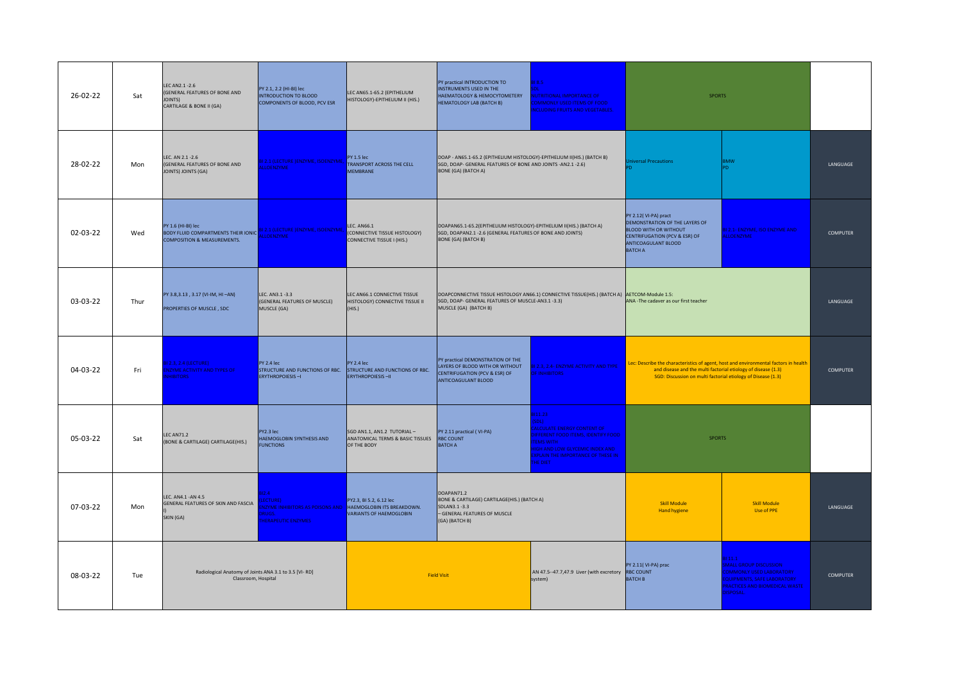| 26-02-22 | Sat  | LEC AN 2.1 - 2.6<br>(GENERAL FEATURES OF BONE AND<br>JOINTS)<br>CARTILAGE & BONE II (GA)                   | PY 2.1, 2.2 (HI-BI) lec<br><b>INTRODUCTION TO BLOOD</b><br>COMPONENTS OF BLOOD, PCV ESR              | LEC AN65.1-65.2 (EPITHELIUM<br>HISTOLOGY)-EPITHELIUM II (HIS.)                          | PY practical INTRODUCTION TO<br>INSTRUMENTS USED IN THE<br>HAEMATOLOGY & HEMOCYTOMETERY<br><b>HEMATOLOGY LAB (BATCH B)</b>                                    | $18.5 -$<br>UTRITIONAL IMPORTANCE OF<br><b>DMMONLY USED ITEMS OF FOOD</b><br><b>ICLUDING FRUITS AND VEGETABLES.</b>                                                                                                      | <b>SPORTS</b>                                                                                                                                                                                                         |                                                                                                                                                  |                 |
|----------|------|------------------------------------------------------------------------------------------------------------|------------------------------------------------------------------------------------------------------|-----------------------------------------------------------------------------------------|---------------------------------------------------------------------------------------------------------------------------------------------------------------|--------------------------------------------------------------------------------------------------------------------------------------------------------------------------------------------------------------------------|-----------------------------------------------------------------------------------------------------------------------------------------------------------------------------------------------------------------------|--------------------------------------------------------------------------------------------------------------------------------------------------|-----------------|
| 28-02-22 | Mon  | LEC. AN 2.1 -2.6<br>(GENERAL FEATURES OF BONE AND<br>JOINTS) JOINTS (GA)                                   | <b>IL2.1 (LECTURE )ENZYME, ISOENZYME,</b><br><b>LLOENZYME</b>                                        | PY 1.5 lec<br><b>TRANSPORT ACROSS THE CELL</b><br><b>MEMBRANE</b>                       | DOAP - AN65.1-65.2 (EPITHELIUM HISTOLOGY)-EPITHELIUM II(HIS.) (BATCH B)<br>SGD, DOAP- GENERAL FEATURES OF BONE AND JOINTS -AN2.1 -2.6)<br>BONE (GA) (BATCH A) |                                                                                                                                                                                                                          | versal Precautions                                                                                                                                                                                                    | <b>BMW</b>                                                                                                                                       | LANGUAGE        |
| 02-03-22 | Wed  | PY 1.6 (HI-BI) lec<br><b>BODY FLUID COMPARTMENTS THEIR IONIC</b><br><b>COMPOSITION &amp; MEASUREMENTS.</b> | 31 2.1 (LECTURE )ENZYME, ISOENZYME,<br><b>LLOENZYME</b>                                              | <b>LEC. AN66.1</b><br>(CONNECTIVE TISSUE HISTOLOGY)<br>CONNECTIVE TISSUE I (HIS.)       | DOAPAN65.1-65.2(EPITHELIUM HISTOLOGY)-EPITHELIUM II(HIS.) (BATCH A)<br>SGD, DOAPAN2.1 - 2.6 (GENERAL FEATURES OF BONE AND JOINTS)<br>BONE (GA) (BATCH B)      |                                                                                                                                                                                                                          | PY 2.12(VI-PA) pract<br>DEMONSTRATION OF THE LAYERS OF<br><b>BLOOD WITH OR WITHOUT</b><br>CENTRIFUGATION (PCV & ESR) OF<br>ANTICOAGULANT BLOOD<br><b>BATCH A</b>                                                      | BI 2.1- ENZYME, ISO ENZYME AND<br><b>LLOENZYME</b>                                                                                               | <b>COMPUTER</b> |
| 03-03-22 | Thur | PY 3.8, 3.13, 3.17 (VI-IM, HI-AN)<br>PROPERTIES OF MUSCLE, SDC                                             | LEC. AN3.1 -3.3<br>(GENERAL FEATURES OF MUSCLE)<br>MUSCLE (GA)                                       | LEC AN66.1 CONNECTIVE TISSUE<br>HISTOLOGY) CONNECTIVE TISSUE II<br>(HIS.)               | SGD, DOAP- GENERAL FEATURES OF MUSCLE-AN3.1 -3.3)<br>MUSCLE (GA) (BATCH B)                                                                                    | DOAPCONNECTIVE TISSUE HISTOLOGY AN66.1) CONNECTIVE TISSUE(HIS.) (BATCH A) AETCOM-Module 1.5:                                                                                                                             | ANA -The cadaver as our first teacher                                                                                                                                                                                 |                                                                                                                                                  | LANGUAGE        |
| 04-03-22 | Fri  | 2.3, 2.4 (LECTURE)<br><b>NZYME ACTIVITY AND TYPES OF</b><br><b>HIBITORS</b>                                | PY 2.4 lec<br>STRUCTURE AND FUNCTIONS OF RBC.<br><b>ERYTHROPOIESIS-I</b>                             | <b>PY 2.4 lec</b><br>STRUCTURE AND FUNCTIONS OF RBC.<br>ERYTHROPOIESIS-II               | PY practical DEMONSTRATION OF THE<br>LAYERS OF BLOOD WITH OR WITHOUT<br>CENTRIFUGATION (PCV & ESR) OF<br>ANTICOAGULANT BLOOD                                  | BI 2.3, 2.4- ENZYME ACTIVITY AND TYPE<br><b>FINHIBITORS</b>                                                                                                                                                              | Lec: Describe the characteristics of agent, host and environmental factors in health<br>and disease and the multi factorial etiology of disease (1.3)<br>SGD: Discussion on multi factorial etiology of Disease (1.3) |                                                                                                                                                  | <b>COMPUTER</b> |
| 05-03-22 | Sat  | <b>LEC AN71.2</b><br>(BONE & CARTILAGE) CARTILAGE(HIS.)                                                    | PY2.3 lec<br>HAEMOGLOBIN SYNTHESIS AND<br><b>FUNCTIONS</b>                                           | SGD AN1.1, AN1.2 TUTORIAL-<br>ANATOMICAL TERMS & BASIC TISSUES RBC COUNT<br>OF THE BODY | PY 2.11 practical (VI-PA)<br><b>BATCH A</b>                                                                                                                   | 311.23<br>SDI)<br><b>ALCULATE ENERGY CONTENT OF</b><br><b>FFERENT FOOD ITEMS, IDENTIFY FOOD</b><br><b>EMS WITH</b><br><b>GH AND LOW GLYCEMIC INDEX AND</b><br><b>KPLAIN THE IMPORTANCE OF THESE IN</b><br><b>HE DIFT</b> | <b>SPORTS</b>                                                                                                                                                                                                         |                                                                                                                                                  |                 |
| 07-03-22 | Mon  | LEC. AN4.1 - AN 4.5<br>GENERAL FEATURES OF SKIN AND FASCIA<br>SKIN (GA)                                    | 12A<br><b>FCTURE)</b><br><b>ZYME INHIBITORS AS POISONS AND</b><br>RUGS.<br><b>HERAPEUTIC ENZYMES</b> | PY2.3, BI 5.2, 6.12 lec<br>HAEMOGLOBIN ITS BREAKDOWN.<br>VARIANTS OF HAEMOGLOBIN        | DOAPAN71.2<br>BONE & CARTILAGE) CARTILAGE(HIS.) (BATCH A)<br>SDLAN3.1-3.3<br>- GENERAL FEATURES OF MUSCLE<br>(GA) (BATCH B)                                   |                                                                                                                                                                                                                          | <b>Skill Module</b><br><b>Hand hygiene</b>                                                                                                                                                                            | <b>Skill Module</b><br><b>Use of PPE</b>                                                                                                         | LANGUAGE        |
| 08-03-22 | Tue  | Radiological Anatomy of Joints ANA 3.1 to 3.5 [VI-RD]<br>Classroom, Hospital                               |                                                                                                      |                                                                                         | <b>Field Visit</b>                                                                                                                                            | AN 47.5--47.7,47.9 Liver (with excretory RBC COUNT<br>system)                                                                                                                                                            | PY 2.11(VI-PA) prac<br><b>BATCH B</b>                                                                                                                                                                                 | 11.1<br><b>MALL GROUP DISCUSSION</b><br>OMMONLY USED LABORATORY<br>QUIPMENTS, SAFE LABORATORY<br>RACTICES AND BIOMEDICAL WASTE<br><b>ISPOSAL</b> | <b>COMPUTER</b> |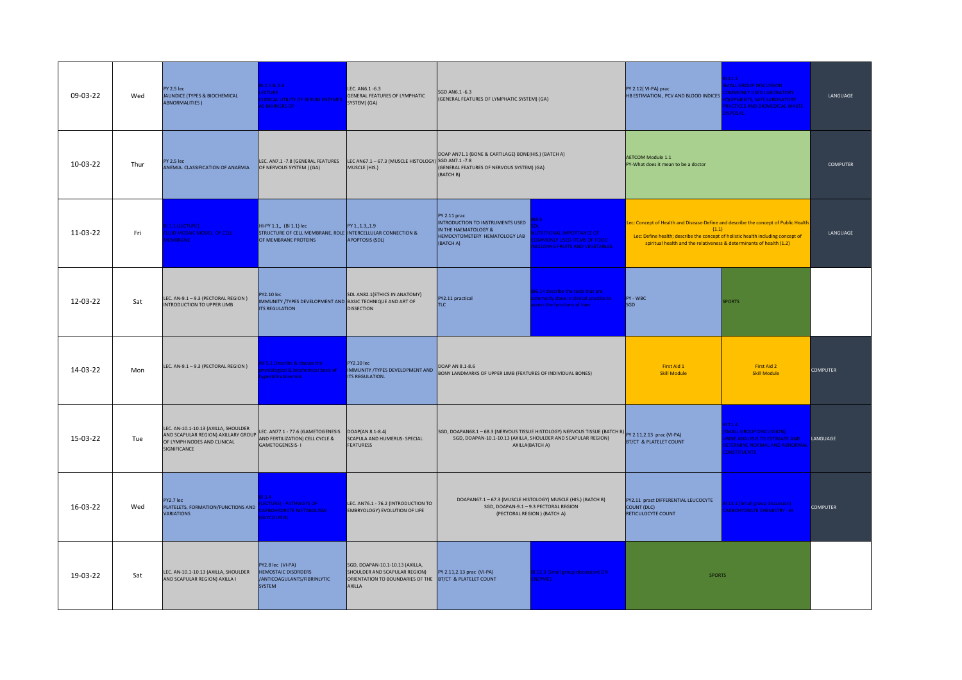| 09-03-22 | Wed  | PY 2.5 lec<br>JAUNDICE (TYPES & BIOCHEMICAL<br><b>ABNORMALITIES</b> )                                                      | 31 2.5 & 2.6<br>ECTURE<br>LINICAL UTILITY OF SERUM ENZYMES<br><b>S MARKERS OF</b>                               | LEC. AN6.1 -6.3<br>GENERAL FEATURES OF LYMPHATIC<br>SYSTEM) (GA)                                                                      | SGD AN6.1 -6.3<br>(GENERAL FEATURES OF LYMPHATIC SYSTEM) (GA)                                                                                                                                                                                   |                                                                                                                                                                                          | PY 2.12(VI-PA) prac<br>HB ESTIMATION, PCV AND BLOOD INDICES                                                                                                                                                                                              | 11.1<br><b>MALL GROUP DISCUSSION</b><br><b>OMMONLY USED LABORATORY</b><br>QUIPMENTS, SAFE LABORATORY<br>RACTICES AND BIOMEDICAL WASTE<br><b>ISPOSAL.</b> | LANGUAGE        |
|----------|------|----------------------------------------------------------------------------------------------------------------------------|-----------------------------------------------------------------------------------------------------------------|---------------------------------------------------------------------------------------------------------------------------------------|-------------------------------------------------------------------------------------------------------------------------------------------------------------------------------------------------------------------------------------------------|------------------------------------------------------------------------------------------------------------------------------------------------------------------------------------------|----------------------------------------------------------------------------------------------------------------------------------------------------------------------------------------------------------------------------------------------------------|----------------------------------------------------------------------------------------------------------------------------------------------------------|-----------------|
| 10-03-22 | Thur | PY 2.5 lec<br>ANEMIA. CLASSIFICATION OF ANAEMIA                                                                            | LEC. AN7.1 -7.8 (GENERAL FEATURES<br>OF NERVOUS SYSTEM ) (GA)                                                   | LEC AN67.1-67.3 (MUSCLE HISTOLOGY) SGD AN7.1-7.8<br>MUSCLE (HIS.)                                                                     | DOAP AN71.1 (BONE & CARTILAGE) BONE(HIS.) (BATCH A)<br>(GENERAL FEATURES OF NERVOUS SYSTEM) (GA)<br>(BATCH B)                                                                                                                                   |                                                                                                                                                                                          | <b>AETCOM Module 1.1</b><br>PY-What does it mean to be a doctor                                                                                                                                                                                          |                                                                                                                                                          | <b>COMPUTER</b> |
| 11-03-22 | Fri  | 1.1 (LECTURE)<br><b>UID MOSAIC MODEL OF CELL</b><br><b>FMBRANE</b>                                                         | HI-PY 1.1,, (BI 1.1) lec<br>STRUCTURE OF CELL MEMBRANE, ROLE INTERCELLULAR CONNECTION &<br>OF MEMBRANE PROTEINS | PY 1., 1.3, , 1.9<br><b>APOPTOSIS (SDL)</b>                                                                                           | PY 2.11 prac<br>8.5<br>INTRODUCTION TO INSTRUMENTS USED<br>IN THE HAEMATOLOGY &<br><b>JTRITIONAL IMPORTANCE OF</b><br>HEMOCYTOMETERY HEMATOLOGY LAB<br><b>DMMONLY USED ITEMS OF FOOD</b><br>(BATCH A)<br><b>ICLUDING FRUITS AND VEGETABLES.</b> |                                                                                                                                                                                          | Lec: Concept of Health and Disease-Define and describe the concept of Public Health<br>(1.1)<br>Lec: Define health; describe the concept of holistic health including concept of<br>spiritual health and the relativeness & determinants of health (1.2) |                                                                                                                                                          | LANGUAGE        |
| 12-03-22 | Sat  | LEC. AN-9.1-9.3 (PECTORAL REGION)<br>INTRODUCTION TO UPPER LIMB                                                            | <b>PY2.10 lec</b><br>IMMUNITY / TYPES DEVELOPMENT AND BASIC TECHNIQUE AND ART OF<br><b>ITS REGULATION</b>       | SDL AN82.1(ETHICS IN ANATOMY)<br><b>DISSECTION</b>                                                                                    | PY2.11 practical<br>TLC                                                                                                                                                                                                                         | 6.14 describe the tests that are<br>nmonly done in clinical practice to<br>ess the functions of liver                                                                                    | PY - WBC<br>SGD                                                                                                                                                                                                                                          | <b>SPORTS</b>                                                                                                                                            |                 |
| 14-03-22 | Mon  | LEC. AN-9.1 - 9.3 (PECTORAL REGION)                                                                                        | 15.1 Describe & discuss the<br>vsiological & biochemical basis of<br>erbilirubinemias                           | <b>PY2.10 lec</b><br>IMMUNITY /TYPES DEVELOPMENT AND<br><b>ITS REGULATION.</b>                                                        | DOAP AN 8.1-8.6<br>BONY LANDMARKS OF UPPER LIMB (FEATURES OF INDIVIDUAL BONES)                                                                                                                                                                  |                                                                                                                                                                                          | First Aid 1<br><b>Skill Module</b>                                                                                                                                                                                                                       | First Aid 2<br><b>Skill Module</b>                                                                                                                       | <b>COMPUTER</b> |
| 15-03-22 | Tue  | LEC. AN-10.1-10.13 (AXILLA, SHOULDER<br>AND SCAPULAR REGION) AXILLARY GROUP<br>OF LYMPH NODES AND CLINICAL<br>SIGNIFICANCE | LEC. AN77.1 - 77.6 (GAMETOGENESIS<br>AND FERTILIZATION) CELL CYCLE &<br><b>GAMETOGENESIS-I</b>                  | DOAP(AN 8.1-8.4)<br>SCAPULA AND HUMERUS- SPECIAL<br><b>FEATURESS</b>                                                                  |                                                                                                                                                                                                                                                 | SGD, DOAPAN68.1 - 68.3 (NERVOUS TISSUE HISTOLOGY) NERVOUS TISSUE (BATCH B) PY 2.11,2.13 prac (VI-PA)<br>SGD, DOAPAN-10.1-10.13 (AXILLA, SHOULDER AND SCAPULAR REGION)<br>AXILLA(BATCH A) | BT/CT & PLATELET COUNT                                                                                                                                                                                                                                   | 31 11.4<br><b>SMALL GROUP DISCUSSION)</b><br>RINE ANALYSIS TO ESTIMATE AND<br><b>ETERMINE NORMAL AND ABNORMAL</b><br><b>ONSTITUENTS</b>                  | LANGUAGE        |
| 16-03-22 | Wed  | PY2.7 lec<br>PLATELETS, FORMATION/FUNCTIONS AND<br><b>VARIATIONS</b>                                                       | 13.4<br><b>ECTURE) - PATHWAYS OF</b><br>ARBOHYDRATE METABOLISM:<br><b>SLYCOLYSIS</b> )                          | LEC. AN76.1 - 76.2 (INTRODUCTION TO<br><b>EMBRYOLOGY) EVOLUTION OF LIFE</b>                                                           |                                                                                                                                                                                                                                                 | DOAPAN67.1-67.3 (MUSCLE HISTOLOGY) MUSCLE (HIS.) (BATCH B)<br>SGD, DOAPAN-9.1 - 9.3 PECTORAL REGION<br>(PECTORAL REGION) (BATCH A)                                                       | PY2.11 pract DIFFERENTIAL LEUCOCYTE<br>COUNT (DLC)<br>RETICULOCYTE COUNT                                                                                                                                                                                 | 31 13.1 (Small group discussion)<br>ARBOHYDRATE CHEMISTRY - BI                                                                                           | <b>COMPUTER</b> |
| 19-03-22 | Sat  | LEC. AN-10.1-10.13 (AXILLA, SHOULDER<br>AND SCAPULAR REGION) AXILLA I                                                      | PY2.8 lec (VI-PA)<br><b>HEMOSTAIC DISORDERS</b><br>/ANTICOAGULANTS/FIBRINLYTIC<br><b>SYSTEM</b>                 | SGD, DOAPAN-10.1-10.13 (AXILLA,<br>SHOULDER AND SCAPULAR REGION)<br>ORIENTATION TO BOUNDARIES OF THE BT/CT & PLATELET COUNT<br>AXILLA | PY 2.11,2.13 prac (VI-PA)                                                                                                                                                                                                                       | BI 12.3 (Small group discussion) ON<br><b>NZYMES</b>                                                                                                                                     | <b>SPORTS</b>                                                                                                                                                                                                                                            |                                                                                                                                                          |                 |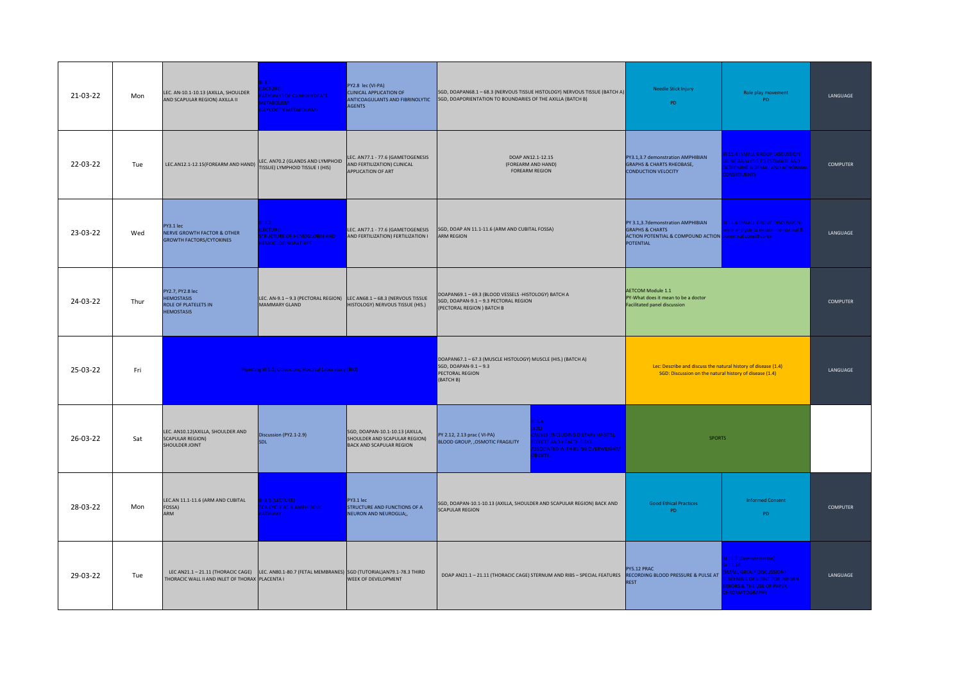| 21-03-22 | Mon  | LEC. AN-10.1-10.13 (AXILLA, SHOULDER<br>AND SCAPULAR REGION) AXILLA II                 | 13.4<br>CTURE)<br><b>THWAYS OF CARBOHYDRATE</b><br><b>IFTAROLISM-</b><br><b>GLYCOGEN METABOLISM)</b>  | PY2.8 lec (VI-PA)<br>CLINICAL APPLICATION OF<br><b>AGENTS</b>                                       | SGD, DOAPAN68.1 - 68.3 (NERVOUS TISSUE HISTOLOGY) NERVOUS TISSUE (BATCH A)<br>ANTICOAGULANTS AND FIBRINOLYTIC SGD, DOAPORIENTATION TO BOUNDARIES OF THE AXILLA (BATCH B)                                                            | Needle Stick Injury<br>PD                                                                                                                       | Role play movement<br><b>PD</b>                                                                                                                                          | LANGUAGE        |
|----------|------|----------------------------------------------------------------------------------------|-------------------------------------------------------------------------------------------------------|-----------------------------------------------------------------------------------------------------|-------------------------------------------------------------------------------------------------------------------------------------------------------------------------------------------------------------------------------------|-------------------------------------------------------------------------------------------------------------------------------------------------|--------------------------------------------------------------------------------------------------------------------------------------------------------------------------|-----------------|
| 22-03-22 | Tue  | LEC.AN12.1-12.15(FOREARM AND HAND)                                                     | LEC. AN70.2 (GLANDS AND LYMPHOID<br>TISSUE) LYMPHOID TISSUE I (HIS)                                   | LEC. AN77.1 - 77.6 (GAMETOGENESIS<br>AND FERTILIZATION) CLINICAL<br>APPLICATION OF ART              | DOAP AN12.1-12.15<br>(FOREARM AND HAND)<br><b>FOREARM REGION</b>                                                                                                                                                                    | PY3.1,3.7 demonstration AMPHIBIAN<br><b>GRAPHS &amp; CHARTS RHEOBASE,</b><br><b>CONDUCTION VELOCITY</b>                                         | <b>31 11.4 (SMALL GROUP DISCUSSION)</b><br><b>RINE ANALYSIS TO ESTIMATE AND</b><br><b>JETERMINE NORMAL AND ABNORMAL</b><br>ONSTITUENTS                                   | <b>COMPUTER</b> |
| 23-03-22 | Wed  | PY3.1 lec<br><b>NERVE GROWTH FACTOR &amp; OTHER</b><br><b>GROWTH FACTORS/CYTOKINES</b> | 15.2<br>LECTURE)<br><b>TRUCTURE OF HEMOGLOBIN AND</b><br><b>EMOGLOBINOPATHIES</b>                     | LEC. AN77.1 - 77.6 (GAMETOGENESIS<br>AND FERTILIZATION) FERTILIZATION I                             | SGD, DOAP AN 11.1-11.6 (ARM AND CUBITAL FOSSA)<br><b>ARM REGION</b>                                                                                                                                                                 | PY 3.1,3.7demonstration AMPHIBIAN<br><b>GRAPHS &amp; CHARTS</b><br>ACTION POTENTIAL & COMPOUND ACTION abnormal constituents<br><b>POTENTIAL</b> | <b>BI 11.4 (SMALL GROUP DISCUSSION)</b><br>ine analysis to determine normal &                                                                                            | LANGUAGE        |
| 24-03-22 | Thur | PY2.7, PY2.8 lec<br><b>HEMOSTASIS</b><br>ROLE OF PLATELETS IN<br><b>HEMOSTASIS</b>     | LEC. AN-9.1 - 9.3 (PECTORAL REGION)<br>MAMMARY GLAND                                                  | LEC AN68.1 - 68.3 (NERVOUS TISSUE<br>HISTOLOGY) NERVOUS TISSUE (HIS.)                               | DOAPAN69.1-69.3 (BLOOD VESSELS -HISTOLOGY) BATCH A<br>SGD, DOAPAN-9.1 - 9.3 PECTORAL REGION<br>(PECTORAL REGION) BATCH B                                                                                                            | <b>AETCOM Module 1.1</b><br>PY-What does it mean to be a doctor<br><b>Facilitated panel discussion</b>                                          |                                                                                                                                                                          | COMPUTER        |
| 25-03-22 | Fri  |                                                                                        | Pipetting BI 1.1; Classroom, Hospital Laboratory (BIO)                                                |                                                                                                     | DOAPAN67.1-67.3 (MUSCLE HISTOLOGY) MUSCLE (HIS.) (BATCH A)<br>SGD, DOAPAN-9.1-9.3<br>PECTORAL REGION<br>(BATCH B)                                                                                                                   | Lec: Describe and discuss the natural history of disease (1.4)<br>SGD: Discussion on the natural history of disease (1.4)                       |                                                                                                                                                                          | LANGUAGE        |
| 26-03-22 | Sat  | LEC. AN10.12(AXILLA, SHOULDER AND<br><b>SCAPULAR REGION)</b><br>SHOULDER JOINT         | Discussion (PY2.1-2.9)<br>SDL                                                                         | SGD, DOAPAN-10.1-10.13 (AXILLA,<br>SHOULDER AND SCAPULAR REGION)<br><b>BACK AND SCAPULAR REGION</b> | 818.4<br>D <sub>L</sub><br><b>AUSES (INCLUDING DIETARY HABITS),</b><br>PY 2.12, 2.13 prac (VI-PA)<br>BLOOD GROUP, , OSMOTIC FRAGILITY<br><b>FFECTS AND HEALTH RISKS</b><br><b>SOCIATED WITH BEING OVERWEIGHT/</b><br><b>BESITY.</b> | <b>SPORTS</b>                                                                                                                                   |                                                                                                                                                                          |                 |
| 28-03-22 | Mon  | LEC.AN 11.1-11.6 (ARM AND CUBITAL<br>FOSSA)<br><b>ARM</b>                              | 3.6 (LECTURE)<br>CA CYCLE AS A AMPHIBOLIC<br><b>ATHWAY</b>                                            | PY3.1 lec<br>STRUCTURE AND FUNCTIONS OF A<br>NEURON AND NEUROGLIA;,                                 | SGD, DOAPAN-10.1-10.13 (AXILLA, SHOULDER AND SCAPULAR REGION) BACK AND<br><b>SCAPULAR REGION</b>                                                                                                                                    | <b>Good Ethical Practices</b><br>PD.                                                                                                            | <b>Informed Consent</b><br>PD                                                                                                                                            | COMPUTER        |
| 29-03-22 | Tue  | THORACIC WALL II AND INLET OF THORAX PLACENTA I                                        | LEC AN21.1 - 21.11 (THORACIC CAGE) LEC. AN80.1-80.7 (FETAL MEMBRANES) SGD (TUTORIAL)AN79.1-78.3 THIRD | WEEK OF DEVELOPMENT                                                                                 | DOAP AN21.1 - 21.11 (THORACIC CAGE) STERNUM AND RIBS - SPECIAL FEATURES                                                                                                                                                             | PY5.12 PRAC<br>RECORDING BLOOD PRESSURE & PULSE AT<br><b>REST</b>                                                                               | 31 11.5 (Demonstration)<br>3111.16<br><b>MALL GROUP DISCUSSION)</b><br><b>REENING OF URINE FOR INBORN</b><br><b>RRORS &amp; THE USE OF PAPER</b><br><b>HROMATOGRAPHY</b> | LANGUAGE        |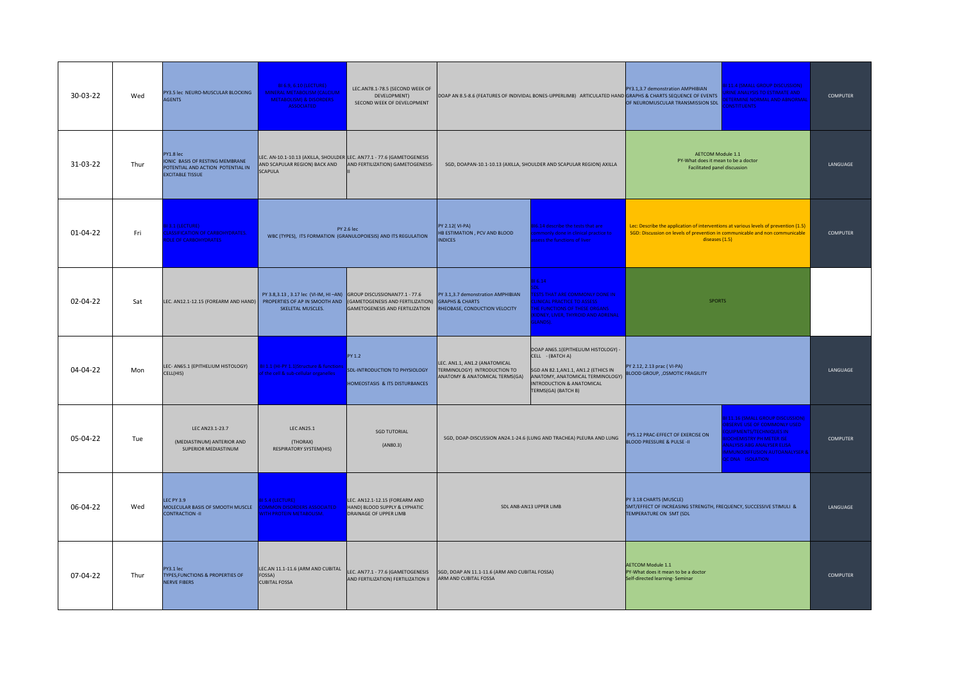| 30-03-22 | Wed  | PY3.5 lec NEURO-MUSCULAR BLOCKING<br><b>AGENTS</b>                                                           | BI 6.9, 6.10 (LECTURE)<br>MINERAL METABOLISM (CALCIUM<br><b>METABOLISM) &amp; DISORDERS</b><br><b>ASSOCIATED</b>          | LEC.AN78.1-78.5 (SECOND WEEK OF<br>DEVELOPMENT)<br>SECOND WEEK OF DEVELOPMENT                    | 11.4 (SMALL GROUP DISCUSSION)<br>PY3.1,3.7 demonstration AMPHIBIAN<br><b>INE ANALYSIS TO ESTIMATE AND</b><br>DOAP AN 8.5-8.6 (FEATURES OF INDIVIDAL BONES-UPPERLIMB) ARTICULATED HAND GRAPHS & CHARTS SEQUENCE OF EVENTS<br>OF NEUROMUSCULAR TRANSMISSION SDL<br><b>ONSTITUENTS</b> |                                                                                                                                                                                         | <b>FTFRMINF NORMAL AND ABNORMAL</b>                                                                                                                                                    | <b>COMPUTER</b>                                                                                                                                                                                                                               |                 |
|----------|------|--------------------------------------------------------------------------------------------------------------|---------------------------------------------------------------------------------------------------------------------------|--------------------------------------------------------------------------------------------------|-------------------------------------------------------------------------------------------------------------------------------------------------------------------------------------------------------------------------------------------------------------------------------------|-----------------------------------------------------------------------------------------------------------------------------------------------------------------------------------------|----------------------------------------------------------------------------------------------------------------------------------------------------------------------------------------|-----------------------------------------------------------------------------------------------------------------------------------------------------------------------------------------------------------------------------------------------|-----------------|
| 31-03-22 | Thur | PY1.8 lec<br>IONIC BASIS OF RESTING MEMBRANE<br>POTENTIAL AND ACTION POTENTIAL IN<br><b>EXCITABLE TISSUE</b> | LEC. AN-10.1-10.13 (AXILLA, SHOULDER LEC. AN77.1 - 77.6 (GAMETOGENESIS<br>AND SCAPULAR REGION) BACK AND<br><b>SCAPULA</b> | AND FERTILIZATION) GAMETOGENESIS-                                                                |                                                                                                                                                                                                                                                                                     | SGD, DOAPAN-10.1-10.13 (AXILLA, SHOULDER AND SCAPULAR REGION) AXILLA                                                                                                                    | AETCOM Module 1.1<br>PY-What does it mean to be a doctor<br><b>Facilitated panel discussion</b>                                                                                        |                                                                                                                                                                                                                                               | LANGUAGE        |
| 01-04-22 | Fri  | 3.1 (LECTURE)<br><b>ASSIFICATION OF CARBOHYDRATES.</b><br>OLE OF CARBOHYDRATES                               |                                                                                                                           | <b>PY 2.6 lec</b><br>WBC (TYPES), ITS FORMATION (GRANULOPOIESIS) AND ITS REGULATION              | PY 2.12(VI-PA)<br>HB ESTIMATION, PCV AND BLOOD<br><b>INDICES</b>                                                                                                                                                                                                                    | <b>816.14 describe the tests that are</b><br>nmonly done in clinical practice to<br>sess the functions of liver                                                                         | Lec: Describe the application of interventions at various levels of prevention (1.5)<br>SGD: Discussion on levels of prevention in communicable and non communicable<br>diseases (1.5) |                                                                                                                                                                                                                                               | <b>COMPUTER</b> |
| 02-04-22 | Sat  | LEC. AN12.1-12.15 (FOREARM AND HAND) PROPERTIES OF AP IN SMOOTH AND (GAMETOGENESIS AND FERTILIZATION)        | PY 3.8,3.13, 3.17 lec (VI-IM, HI-AN) GROUP DISCUSSIONAN77.1 - 77.6<br>SKELETAL MUSCLES.                                   | GAMETOGENESIS AND FERTILIZATION                                                                  | PY 3.1,3.7 demonstration AMPHIBIAN<br><b>GRAPHS &amp; CHARTS</b><br>HEOBASE, CONDUCTION VELOCITY                                                                                                                                                                                    | 86.14<br><b>ESTS THAT ARE COMMONLY DONE IN</b><br><b>LINICAL PRACTICE TO ASSESS</b><br>HE FUNCTIONS OF THESE ORGANS<br><b>IDNEY, LIVER, THYROID AND ADRENAL</b><br>LANDS).              | <b>SPORTS</b>                                                                                                                                                                          |                                                                                                                                                                                                                                               |                 |
| 04-04-22 | Mon  | LEC- AN65.1 (EPITHELIUM HISTOLOGY)<br>CELL(HIS)                                                              | BI 1.1 (HI-PY 1.1)Structure & functions<br>the cell & sub-cellular organelles                                             | PY 1.2<br>SDL-INTRODUCTION TO PHYSIOLOGY<br>HOMEOSTASIS & ITS DISTURBANCES                       | LEC. AN1.1, AN1.2 (ANATOMICAL<br>TERMINOLOGY) INTRODUCTION TO<br>ANATOMY & ANATOMICAL TERMS(GA)                                                                                                                                                                                     | DOAP AN65.1(EPITHELIUM HISTOLOGY) -<br>CELL - (BATCH A)<br>SGD AN 82.1, AN1.1, AN1.2 (ETHICS IN<br>ANATOMY, ANATOMICAL TERMINOLOGY)<br>INTRODUCTION & ANATOMICAL<br>TERMS(GA) (BATCH B) | PY 2.12, 2.13 prac (VI-PA)<br><b>BLOOD GROUP, , OSMOTIC FRAGILITY</b>                                                                                                                  |                                                                                                                                                                                                                                               | LANGUAGE        |
| 05-04-22 | Tue  | LEC AN23.1-23.7<br>(MEDIASTINUM) ANTERIOR AND<br>SUPERIOR MEDIASTINUM                                        | <b>LEC AN25.1</b><br>(THORAX)<br><b>RESPIRATORY SYSTEM(HIS)</b>                                                           | <b>SGD TUTORIAL</b><br>(AN80.3)                                                                  |                                                                                                                                                                                                                                                                                     | SGD, DOAP-DISCUSSION AN24.1-24.6 (LUNG AND TRACHEA) PLEURA AND LUNG                                                                                                                     | PY5.12 PRAC-EFFECT OF EXERCISE ON<br><b>BLOOD PRESSURE &amp; PULSE -II</b>                                                                                                             | <b>BI 11.16 (SMALL GROUP DISCUSSION)</b><br><b>DBSERVE USE OF COMMONLY USED</b><br>QUIPMENTS/TECHNIQUES IN<br><b>IOCHEMISTRY PH METER ISE</b><br><b>NALYSIS ABG ANALYSER ELISA</b><br>MMUNODIFFUSION AUTOANALYSER &<br><b>C DNA ISOLATION</b> | <b>COMPUTER</b> |
| 06-04-22 | Wed  | <b>LEC PY 3.9</b><br>MOLECULAR BASIS OF SMOOTH MUSCLE<br><b>CONTRACTION -II</b>                              | 5.4 (LECTURE)<br>COMMON DISORDERS ASSOCIATED<br><b>VITH PROTEIN METABOLISM.</b>                                           | LEC. AN12.1-12.15 (FOREARM AND<br>HAND) BLOOD SUPPLY & LYPHATIC<br><b>DRAINAGE OF UPPER LIMB</b> | PY 3.18 CHARTS (MUSCLE)<br>SMT/EFFECT OF INCREASING STRENGTH, FREQUENCY, SUCCESSIVE STIMULI &<br>SDL AN8-AN13 UPPER LIMB<br>TEMPERATURE ON SMT (SDL                                                                                                                                 |                                                                                                                                                                                         |                                                                                                                                                                                        | LANGUAGE                                                                                                                                                                                                                                      |                 |
| 07-04-22 | Thur | PY3.1 lec<br>TYPES, FUNCTIONS & PROPERTIES OF<br><b>NERVE FIBERS</b>                                         | LEC.AN 11.1-11.6 (ARM AND CUBITAL<br>FOSSA)<br><b>CUBITAL FOSSA</b>                                                       | LEC. AN77.1 - 77.6 (GAMETOGENESIS<br>AND FERTILIZATION) FERTILIZATION II                         | <b>AETCOM Module 1.1</b><br>SGD, DOAP AN 11.1-11.6 (ARM AND CUBITAL FOSSA)<br>PY-What does it mean to be a doctor<br>ARM AND CUBITAL FOSSA<br>Self-directed learning- Seminar                                                                                                       |                                                                                                                                                                                         |                                                                                                                                                                                        | <b>COMPUTER</b>                                                                                                                                                                                                                               |                 |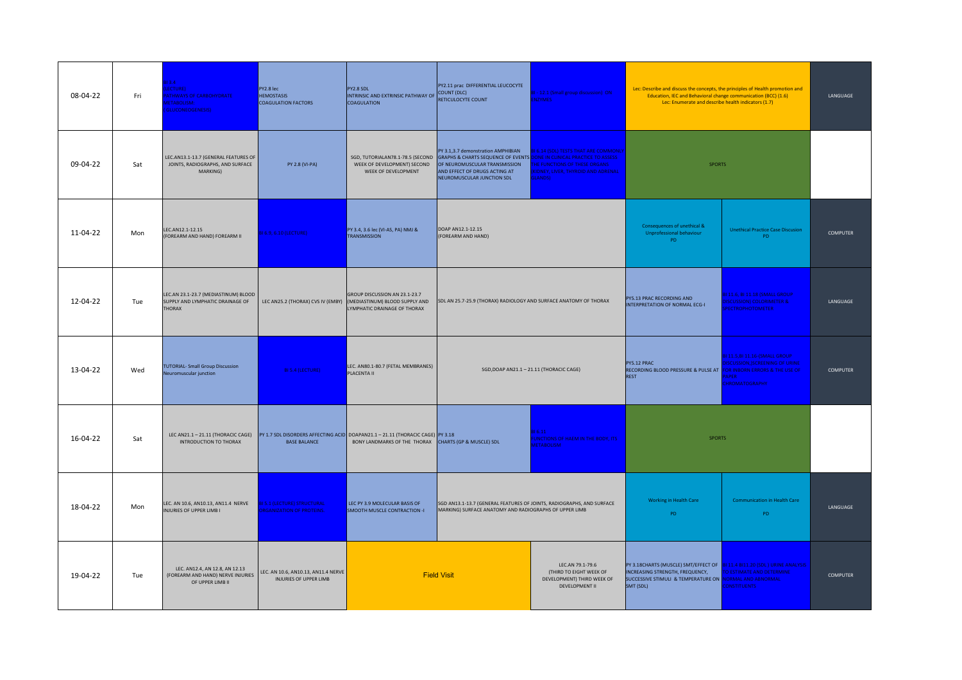| 08-04-22 | Fri | $13.4 -$<br>ECTURE)<br><b>ATHWAYS OF CARBOHYDRATE</b><br><b>IETABOLISM:</b><br>GLUCONEOGENESIS) | PY2.8 lec<br><b>HEMOSTASIS</b><br><b>COAGULATION FACTORS</b>          | PY2.8 SDL<br>INTRINSIC AND EXTRINSIC PATHWAY OF COUNT (DLC)<br><b>COAGULATION</b>                                                                                          | PY2.11 prac DIFFERENTIAL LEUCOCYTE<br>RETICULOCYTE COUNT                                                                                                                                                                                      | - 12.1 (Small group discussion) ON<br><b>NZYMES</b>                                                                                    | Lec: Describe and discuss the concepts, the principles of Health promotion and<br>Education, IEC and Behavioral change communication (BCC) (1.6)<br>Lec: Enumerate and describe health indicators (1.7) |                                                                                                                      | LANGUAGE         |
|----------|-----|-------------------------------------------------------------------------------------------------|-----------------------------------------------------------------------|----------------------------------------------------------------------------------------------------------------------------------------------------------------------------|-----------------------------------------------------------------------------------------------------------------------------------------------------------------------------------------------------------------------------------------------|----------------------------------------------------------------------------------------------------------------------------------------|---------------------------------------------------------------------------------------------------------------------------------------------------------------------------------------------------------|----------------------------------------------------------------------------------------------------------------------|------------------|
| 09-04-22 | Sat | LEC.AN13.1-13.7 (GENERAL FEATURES OF<br>JOINTS, RADIOGRAPHS, AND SURFACE<br>MARKING)            | PY 2.8 (VI-PA)                                                        | WEEK OF DEVELOPMENT) SECOND<br>WEEK OF DEVELOPMENT                                                                                                                         | PY 3.1,3.7 demonstration AMPHIBIAN<br>SGD, TUTORIALAN78.1-78.5 (SECOND GRAPHS & CHARTS SEQUENCE OF EVENTS DONE IN CLINICAL PRACTICE TO ASSESS<br>OF NEUROMUSCULAR TRANSMISSION<br>AND EFFECT OF DRUGS ACTING AT<br>NEUROMUSCULAR JUNCTION SDL | <b>6.14 (SDL) TESTS THAT ARE COMMONLY</b><br><b>HE FUNCTIONS OF THESE ORGANS</b><br>(IDNEY, LIVER, THYROID AND ADRENAL<br><b>HANDS</b> | <b>SPORTS</b>                                                                                                                                                                                           |                                                                                                                      |                  |
| 11-04-22 | Mon | LEC.AN12.1-12.15<br>(FOREARM AND HAND) FOREARM II                                               | <b>BI 6.9, 6.10 (LECTURE)</b>                                         | PY 3.4, 3.6 lec (VI-AS, PA) NMJ &<br>TRANSMISSION                                                                                                                          | DOAP AN12.1-12.15<br>(FOREARM AND HAND)                                                                                                                                                                                                       |                                                                                                                                        | Consequences of unethical &<br>Unprofessional behaviour<br>PD.                                                                                                                                          | <b>Unethical Practice Case Discusion</b><br>PD.                                                                      | <b>COMPUTER</b>  |
| 12-04-22 | Tue | LEC.AN 23.1-23.7 (MEDIASTINUM) BLOOD<br>SUPPLY AND LYMPHATIC DRAINAGE OF<br><b>THORAX</b>       | LEC AN25.2 (THORAX) CVS IV (EMBY)                                     | GROUP DISCUSSION AN 23.1-23.7<br>(MEDIASTINUM) BLOOD SUPPLY AND<br>LYMPHATIC DRAINAGE OF THORAX                                                                            | SDL AN 25.7-25.9 (THORAX) RADIOLOGY AND SURFACE ANATOMY OF THORAX                                                                                                                                                                             |                                                                                                                                        | PY5.13 PRAC RECORDING AND<br>INTERPRETATION OF NORMAL ECG-I                                                                                                                                             | 111.6, BI 11.18 (SMALL GROUP<br>DISCUSSION) COLORIMETER &<br><b>PECTROPHOTOMETER</b>                                 | LANGUAGE         |
| 13-04-22 | Wed | <b>TUTORIAL- Small Group Discussion</b><br>Neuromuscular junction                               | BI 5.4 (LECTURE)                                                      | LEC. AN80.1-80.7 (FETAL MEMBRANES)<br><b>PLACENTA II</b>                                                                                                                   |                                                                                                                                                                                                                                               | SGD, DOAP AN21.1 - 21.11 (THORACIC CAGE)                                                                                               | PY5.12 PRAC<br>RECORDING BLOOD PRESSURE & PULSE AT FOR INBORN ERRORS & THE USE OF<br><b>REST</b>                                                                                                        | <b>BI 11.5, BI 11.16-(SMALL GROUP</b><br><b>ISCUSSION, SCREENING OF URINE</b><br><b>APER</b><br><b>HROMATOGRAPHY</b> | <b>COMPUTER</b>  |
| 16-04-22 | Sat | <b>INTRODUCTION TO THORAX</b>                                                                   | <b>BASE BALANCE</b>                                                   | LEC AN21.1 - 21.11 (THORACIC CAGE) PY 1.7 SDL DISORDERS AFFECTING ACID DOAPAN21.1 - 21.11 (THORACIC CAGE) PY 3.18<br>BONY LANDMARKS OF THE THORAX CHARTS (GP & MUSCLE) SDL |                                                                                                                                                                                                                                               | 6.11<br><b>INCTIONS OF HAEM IN THE BODY, ITS</b><br><b>IETABOLISM</b>                                                                  | <b>SPORTS</b>                                                                                                                                                                                           |                                                                                                                      |                  |
| 18-04-22 | Mon | LEC. AN 10.6, AN10.13, AN11.4 NERVE<br>INJURIES OF UPPER LIMB I                                 | <b>BI 5.1 (LECTURE) STRUCTURAL</b><br><b>RGANIZATION OF PROTEINS.</b> | LEC PY 3.9 MOLECULAR BASIS OF<br>SMOOTH MUSCLE CONTRACTION -I                                                                                                              | SGD AN13.1-13.7 (GENERAL FEATURES OF JOINTS, RADIOGRAPHS, AND SURFACE<br>MARKING) SURFACE ANATOMY AND RADIOGRAPHS OF UPPER LIMB                                                                                                               |                                                                                                                                        | Working in Health Care<br><b>PD</b>                                                                                                                                                                     | <b>Communication in Health Care</b><br><b>PD</b>                                                                     | <b>I ANGUAGE</b> |
| 19-04-22 | Tue | LEC. AN12.4, AN 12.8, AN 12.13<br>(FOREARM AND HAND) NERVE INJURIES<br>OF UPPER LIMB II         | LEC. AN 10.6, AN10.13, AN11.4 NERVE<br>INJURIES OF UPPER LIMB         |                                                                                                                                                                            | <b>Field Visit</b>                                                                                                                                                                                                                            | LEC.AN 79.1-79.6<br>(THIRD TO EIGHT WEEK OF<br>DEVELOPMENT) THIRD WEEK OF<br>DEVELOPMENT II                                            | PY 3.18CHARTS (MUSCLE) SMT/EFFECT OF 8111.4 BI11.20 (SDL) URINE ANALYSIS<br>INCREASING STRENGTH, FREQUENCY,<br>SUCCESSIVE STIMULI & TEMPERATURE ON NORMAL AND ABNORMAL<br>SMT (SDL)                     | TO ESTIMATE AND DETERMINE<br><b>CONSTITUENTS</b>                                                                     | <b>COMPUTER</b>  |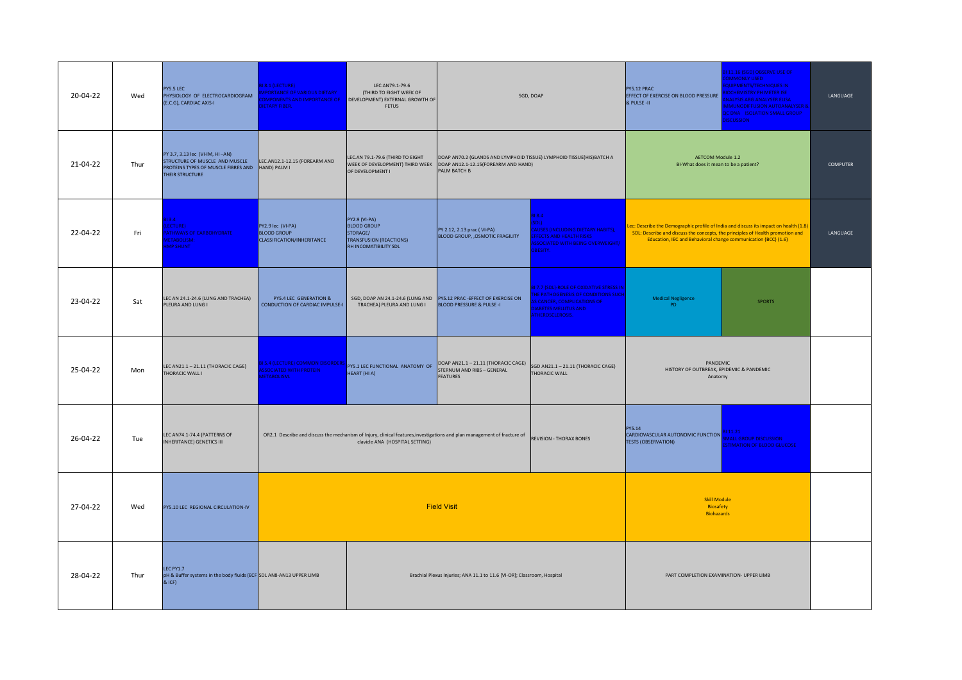| 20-04-22 | Wed  | PY5.5 LEC<br>PHYSIOLOGY OF ELECTROCARDIOGRAM<br>(E.C.G), CARDIAC AXIS-I                                                     | <b>8.1 (LECTURE)</b><br><b>PORTANCE OF VARIOUS DIETARY</b><br><b>DMPONENTS AND IMPORTANCE OF</b><br>ETARY FIBER. | LEC.AN79.1-79.6<br>(THIRD TO EIGHT WEEK OF<br>DEVELOPMENT) EXTERNAL GROWTH OF<br><b>FETUS</b>              |                                                                                                                                                               | SGD, DOAP                                                                                                                                                      | PY5.12 PRAC<br>EFFECT OF EXERCISE ON BLOOD PRESSURE<br>& PULSE-II                                                                                                                                                                        | 11.16 (SGD) OBSERVE USE OF<br><b>OMMONLY USED</b><br>QUIPMENTS/TECHNIQUES IN<br><b>OCHEMISTRY PH METER ISE</b><br>NALYSIS ABG ANALYSER ELISA<br><b>MMUNODIFFUSION AUTOANALYSER &amp;</b><br><b>C DNA ISOLATION SMALL GROUP</b><br><b>ISCUSSION</b> | LANGUAGE |
|----------|------|-----------------------------------------------------------------------------------------------------------------------------|------------------------------------------------------------------------------------------------------------------|------------------------------------------------------------------------------------------------------------|---------------------------------------------------------------------------------------------------------------------------------------------------------------|----------------------------------------------------------------------------------------------------------------------------------------------------------------|------------------------------------------------------------------------------------------------------------------------------------------------------------------------------------------------------------------------------------------|----------------------------------------------------------------------------------------------------------------------------------------------------------------------------------------------------------------------------------------------------|----------|
| 21-04-22 | Thur | PY 3.7, 3.13 lec (VI-IM, HI-AN)<br>STRUCTURE OF MUSCLE AND MUSCLE<br>PROTEINS TYPES OF MUSCLE FIBRES AND<br>THEIR STRUCTURE | LEC.AN12.1-12.15 (FOREARM AND<br>HAND) PALM I                                                                    | LEC.AN 79.1-79.6 (THIRD TO EIGHT<br>OF DEVELOPMENT I                                                       | DOAP AN70.2 (GLANDS AND LYMPHOID TISSUE) LYMPHOID TISSUE(HIS)BATCH A<br>WEEK OF DEVELOPMENT) THIRD WEEK   DOAP AN12.1-12.15(FOREARM AND HAND)<br>PALM BATCH B |                                                                                                                                                                | <b>AETCOM Module 1.2</b><br>BI-What does it mean to be a patient?                                                                                                                                                                        |                                                                                                                                                                                                                                                    | COMPUTER |
| 22-04-22 | Fri  | $313.4 -$<br>LECTURE)<br><b>ATHWAYS OF CARBOHYDRATE</b><br><b>IETABOLISM:</b><br><b>MP SHUNT</b>                            | PY2.9 lec (VI-PA)<br><b>BLOOD GROUP</b><br>CLASSIFICATION/INHERITANCE                                            | PY2.9 (VI-PA)<br><b>BLOOD GROUP</b><br>STORAGE/<br><b>TRANSFUSION (REACTIONS)</b><br>RH INCOMATIBILITY SDL | PY 2.12, 2.13 prac (VI-PA)<br><b>BLOOD GROUP, , OSMOTIC FRAGILITY</b>                                                                                         | 18.4<br><b>ות</b><br><b>AUSES (INCLUDING DIETARY HABITS),</b><br><b>FECTS AND HEALTH RISKS</b><br>SOCIATED WITH BEING OVERWEIGHT/<br><b>BESITY.</b>            | ec: Describe the Demographic profile of India and discuss its impact on health (1.8)<br>SDL: Describe and discuss the concepts, the principles of Health promotion and<br>Education, IEC and Behavioral change communication (BCC) (1.6) |                                                                                                                                                                                                                                                    | LANGUAGE |
| 23-04-22 | Sat  | LEC AN 24.1-24.6 (LUNG AND TRACHEA)<br>PLEURA AND LUNG I                                                                    | PY5.4 LEC GENERATION &<br>CONDUCTION OF CARDIAC IMPULSE-I                                                        | TRACHEA) PLEURA AND LUNG I                                                                                 | SGD, DOAP AN 24.1-24.6 (LUNG AND PY5.12 PRAC -EFFECT OF EXERCISE ON<br><b>BLOOD PRESSURE &amp; PULSE -I</b>                                                   | 7.7 (SDL)-ROLE OF OXIDATIVE STRESS IN<br><b>E PATHOGENESIS OF CONDITIONS SUCH</b><br><b>CANCER, COMPLICATIONS OF</b><br>ABETES MELLITUS AND<br>THEROSCLEROSIS. | <b>Medical Negligence</b><br>PD.                                                                                                                                                                                                         | <b>SPORTS</b>                                                                                                                                                                                                                                      |          |
| 25-04-22 | Mon  | LEC AN21.1 - 21.11 (THORACIC CAGE)<br>THORACIC WALL I                                                                       | 5.4 (LECTURE) COMMON DISORDERS<br><b>SSOCIATED WITH PROTEIN</b><br><b>ETABOLISM.</b>                             | PY5.1 LEC FUNCTIONAL ANATOMY OF<br>HEART (HI A)                                                            | DOAP AN21.1 - 21.11 (THORACIC CAGE)<br>STERNUM AND RIBS - GENERAL<br><b>FEATURES</b>                                                                          | SGD AN21.1 - 21.11 (THORACIC CAGE)<br>THORACIC WALL                                                                                                            | PANDEMIC<br>HISTORY OF OUTBREAK, EPIDEMIC & PANDEMIC<br>Anatomy                                                                                                                                                                          |                                                                                                                                                                                                                                                    |          |
| 26-04-22 | Tue  | LEC AN74.1-74.4 (PATTERNS OF<br><b>INHERITANCE) GENETICS III</b>                                                            |                                                                                                                  | clavicle ANA (HOSPITAL SETTING)                                                                            | OR2.1 Describe and discuss the mechanism of Injury, clinical features, investigations and plan management of fracture of                                      | <b>REVISION - THORAX BONES</b>                                                                                                                                 | PY5.14<br>CARDIOVASCULAR AUTONOMIC FUNCTION<br><b>TESTS (OBSERVATION)</b>                                                                                                                                                                | 11.21<br><b>AALL GROUP DISCUSSION</b><br><b>STIMATION OF BLOOD GLUCOSE</b>                                                                                                                                                                         |          |
| 27-04-22 | Wed  | PY5.10 LEC REGIONAL CIRCULATION-IV                                                                                          |                                                                                                                  |                                                                                                            | <b>Field Visit</b>                                                                                                                                            |                                                                                                                                                                | <b>Skill Module</b><br>Biosafety<br><b>Biohazards</b>                                                                                                                                                                                    |                                                                                                                                                                                                                                                    |          |
| 28-04-22 | Thur | LEC PY1.7<br>pH & Buffer systems in the body fluids (ECF SDL AN8-AN13 UPPER LIMB<br>& ICF)                                  |                                                                                                                  |                                                                                                            | Brachial Plexus Injuries; ANA 11.1 to 11.6 [VI-OR]; Classroom, Hospital                                                                                       |                                                                                                                                                                | PART COMPLETION EXAMINATION- UPPER LIMB                                                                                                                                                                                                  |                                                                                                                                                                                                                                                    |          |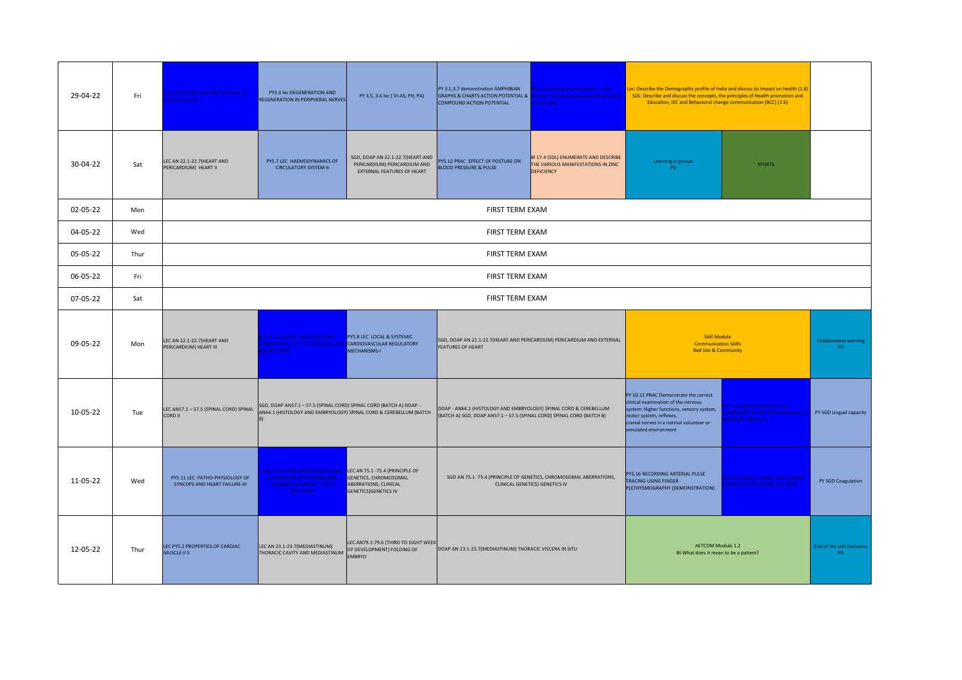| 29-04-22 | Fri  | <b>BI 6.9 (LECTURE) Describe functions of</b><br>rious minerals. | PY3.3 lec DEGENERATION AND<br>REGENERATION IN PERIPHERAL NERVES                                                                                        | PY 3.5, 3.6 lec (VI-AS, PH, PA)                                                                       | PY 3.1,3.7 demonstration AMPHIBIAN<br>GRAPHS & CHARTS ACTION POTENTIAL & analysis to determine normal & abnormal<br>COMPOUND ACTION POTENTIAL | <b>BI11.4 (Small group discussion) urine</b><br><b>onstituents</b>                                   | Lec: Describe the Demographic profile of India and discuss its impact on health (1.8)<br>SDL: Describe and discuss the concepts, the principles of Health promotion and<br>Education, IEC and Behavioral change communication (BCC) (1.6) |                                                                                                                  |                                               |
|----------|------|------------------------------------------------------------------|--------------------------------------------------------------------------------------------------------------------------------------------------------|-------------------------------------------------------------------------------------------------------|-----------------------------------------------------------------------------------------------------------------------------------------------|------------------------------------------------------------------------------------------------------|-------------------------------------------------------------------------------------------------------------------------------------------------------------------------------------------------------------------------------------------|------------------------------------------------------------------------------------------------------------------|-----------------------------------------------|
| 30-04-22 | Sat  | LEC AN 22.1-22.7 (HEART AND<br>PERICARDIUM) HEART II             | PY5.7 LEC HAEMODYNAMICS OF<br><b>CIRCULATORY SYSTEM-II</b>                                                                                             | SGD, DOAP AN 22.1-22.7(HEART AND<br>PERICARDIUM) PERICARDIUM AND<br><b>EXTERNAL FEATURES OF HEART</b> | PY5.12 PRAC EFFECT OF POSTURE ON<br><b>BLOOD PRESSURE &amp; PULSE</b>                                                                         | BI 17.4 (SDL) ENUMERATE AND DESCRIBE<br>THE VARIOUS MANIFESTATIONS IN ZINC<br><b>DEFICIENCY</b>      | Learning in groups<br>PD.                                                                                                                                                                                                                 | <b>SPORTS</b>                                                                                                    |                                               |
| 02-05-22 | Mon  |                                                                  |                                                                                                                                                        |                                                                                                       | <b>FIRST TERM EXAM</b>                                                                                                                        |                                                                                                      |                                                                                                                                                                                                                                           |                                                                                                                  |                                               |
| 04-05-22 | Wed  |                                                                  |                                                                                                                                                        |                                                                                                       | FIRST TERM EXAM                                                                                                                               |                                                                                                      |                                                                                                                                                                                                                                           |                                                                                                                  |                                               |
| 05-05-22 | Thur |                                                                  |                                                                                                                                                        |                                                                                                       | <b>FIRST TERM EXAM</b>                                                                                                                        |                                                                                                      |                                                                                                                                                                                                                                           |                                                                                                                  |                                               |
| 06-05-22 | Fri  |                                                                  |                                                                                                                                                        | FIRST TERM EXAM                                                                                       |                                                                                                                                               |                                                                                                      |                                                                                                                                                                                                                                           |                                                                                                                  |                                               |
| 07-05-22 | Sat  |                                                                  |                                                                                                                                                        |                                                                                                       | <b>FIRST TERM EXAM</b>                                                                                                                        |                                                                                                      |                                                                                                                                                                                                                                           |                                                                                                                  |                                               |
| 09-05-22 | Mon  | LEC AN 22.1-22.7 (HEART AND<br>PERICARDIUM) HEART III            | <b>BI 9.2 ( LECTURE) FUNCTIONS AND</b><br>COMPONENTS OF THE EXTRACELLULAR CARDIOVASCULAR REGULATORY<br><b>AATRIX (ECM).</b>                            | PY5.8 LEC LOCAL & SYSTEMIC<br>MECHANISMS-I                                                            | SGD, DOAP AN 22.1-22.7(HEART AND PERICARDIUM) PERICARDIUM AND EXTERNAL<br><b>FEATURES OF HEART</b>                                            |                                                                                                      | <b>Skill Module</b><br><b>Communication Skills</b><br><b>Bed Site &amp; Community</b>                                                                                                                                                     |                                                                                                                  | <b>Collaborative learning</b><br>PD           |
| 10-05-22 | Tue  | LEC AN57.1 - 57.5 (SPINAL CORD) SPINAL<br>CORD II                | SGD, DOAP AN57.1 - 57.5 (SPINAL CORD) SPINAL CORD (BATCH A) DOAP -<br>AN64.1 (HISTOLOGY AND EMBRYOLOGY) SPINAL CORD & CEREBELLUM (BATCH                |                                                                                                       | DOAP - AN64.1 (HISTOLOGY AND EMBRYOLOGY) SPINAL CORD & CEREBELLUM<br>(BATCH A) SGD, DOAP AN57.1-57.5 (SPINAL CORD) SPINAL CORD (BATCH B)      |                                                                                                      | PY 10.11 PRAC Demonstrate the correct<br>clinical examination of the nervous<br>system: Higher functions, sensory system,<br>motor system, reflexes,<br>cranial nerves in a normal volunteer or<br>simulated environment                  | 111.15 (Demonstration) CSF<br>OMPOSITION AND PATHOLOGICAL CO. PY SGD Lingual capacity<br><b>ELATION -BATCH B</b> |                                               |
| 11-05-22 | Wed  | PY5.11 LEC PATHO-PHYSIOLOGY OF<br>SYNCOPE AND HEART FAILURE-III  | BI 6.5 (LECTURE) BIOCHEMICAL ROLE LEC AN 75.1-75.4 (PRINCIPLE OF<br>OF VITAMINS IN THE BODY AND<br><b>MANIFESTATIONS OF THEIR</b><br><b>DEFICIENCY</b> | <b>GENETICS, CHROMOSOMAL</b><br>ABERRATIONS, CLINICAL<br><b>GENETICS) GENETICS IV</b>                 |                                                                                                                                               | SGD AN 75.1 -75.4 (PRINCIPLE OF GENETICS, CHROMOSOMAL ABERRATIONS,<br>CLINICAL GENETICS) GENETICS IV | PY5.16 RECORDING ARTERIAL PULSE<br>TRACING USING FINGER<br>PLETHYSMOGRAPHY (DEMONSTRATION)                                                                                                                                                | 111.21 (SMALL GROUP DISCUSSION)<br><b>STIMATION OF BLOOD GLUCOSE</b>                                             | PY SGD Coagulation                            |
| 12-05-22 | Thur | LEC PY5.2 PROPERTIES OF CARDIAC<br>MUSCLE-II S                   | LEC AN 23.1-23.7 (MEDIASTINUM)<br>THORACIC CAVITY AND MEDIASTINUM                                                                                      | LEC.AN79.1-79.6 (THIRD TO EIGHT WEEK<br>OF DEVELOPMENT) FOLDING OF<br><b>EMBRYO</b>                   | DOAP AN 23.1-23.7 (MEDIASTINUM) THORACIC VISCERA IN SITU                                                                                      |                                                                                                      | <b>AETCOM Module 1.2</b><br>BI-What does it mean to be a patient?                                                                                                                                                                         |                                                                                                                  | <b>End of the Left Decisions</b><br><b>PD</b> |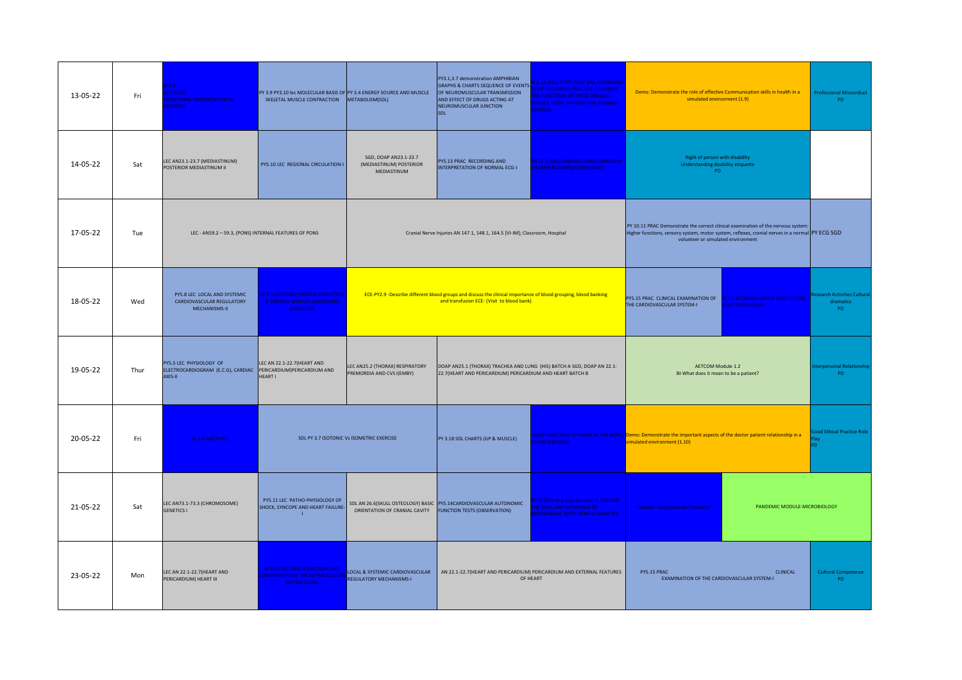| 13-05-22 | Fri  | 5.1<br>ECTURE)<br><b>RUCTURAL ORGANIZATION OF</b><br><b>ROTEINS.</b>       | SKELETAL MUSCLE CONTRACTION                                                                     | PY 3.9 PY3.10 lec MOLECULAR BASIS OF PY 3.4 ENERGY SOURCE AND MUSCLE<br>METABOLISM(SDL) | PY3.1,3.7 demonstration AMPHIBIAN<br><b>GRAPHS &amp; CHARTS SEQUENCE OF EVENTS</b><br>OF NEUROMUSCULAR TRANSMISSION<br>AND EFFECT OF DRUGS ACTING AT<br>NEUROMUSCULAR JUNCTION<br>SDL | <b>6.14 (SDL) TESTS THAT ARE COMMONLY</b><br>ONE IN CLINICAL PRACTICE TO ASSESS<br><b>HE FUNCTIONS OF THESE ORGANS</b><br><b>IDNEY, LIVER, THYROID AND ADRENAL</b><br><b>SLANDS</b> ). |                                                                                                                                                                                                                           | Demo: Demonstrate the role of effective Communication skills in health in a<br>simulated environment (1.9) |                                                 |  |
|----------|------|----------------------------------------------------------------------------|-------------------------------------------------------------------------------------------------|-----------------------------------------------------------------------------------------|---------------------------------------------------------------------------------------------------------------------------------------------------------------------------------------|----------------------------------------------------------------------------------------------------------------------------------------------------------------------------------------|---------------------------------------------------------------------------------------------------------------------------------------------------------------------------------------------------------------------------|------------------------------------------------------------------------------------------------------------|-------------------------------------------------|--|
| 14-05-22 | Sat  | LEC AN23.1-23.7 (MEDIASTINUM)<br>POSTERIOR MEDIASTINUM II                  | PY5.10 LEC REGIONAL CIRCULATION-I                                                               | SGD, DOAP AN23.1-23.7<br>(MEDIASTINUM) POSTERIOR<br>MEDIASTINUM                         | PY5.13 PRAC_RECORDING AND<br>INTERPRETATION OF NORMAL ECG-I                                                                                                                           | DR 17.2 (SDL) VARIOUS SKIN CHANGES IN<br><b>ITAMIN B COMPLEX DEFICIENCY</b>                                                                                                            | Right of person with disability<br>Understanding disability etiquette<br>PD.                                                                                                                                              |                                                                                                            |                                                 |  |
| 17-05-22 | Tue  | LEC - AN59.2 - 59.3, (PONS) INTERNAL FEATURES OF PONS                      |                                                                                                 |                                                                                         | Cranial Nerve Injuries AN 147.1, 148.1, 164.5 [VI-IM]; Classroom, Hospital                                                                                                            |                                                                                                                                                                                        | PY 10.11 PRAC Demonstrate the correct clinical examination of the nervous system<br>Higher functions, sensory system, motor system, reflexes, cranial nerves in a normal PY ECG SGD<br>volunteer or simulated environment |                                                                                                            |                                                 |  |
| 18-05-22 | Wed  | PY5.8 LEC LOCAL AND SYSTEMIC<br>CARDIOVASCULAR REGULATORY<br>MECHANISMS-II | <b>BI 9.3 (LECTURE) PROTEIN TARGETING</b><br>& SORTING WITH ITS ASSOCIATED<br><b>DISORDERS.</b> |                                                                                         | ECE-PY2.9 -Describe different blood groups and discuss the clinical importance of blood grouping, blood banking<br>and transfusion ECE- (Visit to blood bank)                         |                                                                                                                                                                                        | PY5.15 PRAC CLINICAL EXAMINATION OF <b>BI 11.16 (SMALL GROUP DISCUSSION)</b><br>THE CARDIOVASCULAR SYSTEM-I                                                                                                               | <b>ELECTROPHORESIS</b>                                                                                     | esearch Activities Cultural<br>dramatics<br>PD. |  |
| 19-05-22 | Thur | PY5.5 LEC PHYSIOLOGY OF<br>ELECTROCARDIOGRAM (E.C.G), CARDIAC<br>AXIS-II   | LEC AN 22.1-22.7 (HEART AND<br>PERICARDIUM)PERICARDIUM AND<br>HEART I                           | LEC AN25.2 (THORAX) RESPIRATORY<br>PREMORDIA AND CVS I(EMBY)                            | DOAP AN25.1 (THORAX) TRACHEA AND LUNG (HIS) BATCH A SGD, DOAP AN 22.1-<br>22.7(HEART AND PERICARDIUM) PERICARDIUM AND HEART BATCH B                                                   |                                                                                                                                                                                        | <b>AETCOM Module 1.2</b><br>BI-What does it mean to be a patient?                                                                                                                                                         |                                                                                                            | terpersonal Relationship<br>PD                  |  |
| 20-05-22 | Fri  | <b>BI 5.4 (LECTURE)</b>                                                    |                                                                                                 | SDL PY 3.7 ISOTONIC Vs ISOMETRIC EXERCISE                                               | PY 3.18 SDL CHARTS (GP & MUSCLE)                                                                                                                                                      | <b>SMETABOLISM</b>                                                                                                                                                                     | IDL) FUNCTIONS OF HAEM IN THE BODY, Demo: Demonstrate the important aspects of the doctor patient relationship in a<br>imulated environment (1.10)                                                                        |                                                                                                            | ood Ethical Practice Role                       |  |
| 21-05-22 | Sat  | LEC AN73.1-73.3 (CHROMOSOME)<br><b>GENETICS I</b>                          | PY5.11 LEC PATHO-PHYSIOLOGY OF<br>SHOCK, SYNCOPE AND HEART FAILURE-                             | ORIENTATION OF CRANIAL CAVITY                                                           | SDL AN 26.6(SKULL OSTEOLOGY) BASIC PY5.14CARDIOVASCULAR AUTONOMIC<br><b>FUNCTION TESTS (OBSERVATION)</b>                                                                              | 13.9(Small group discussion) EXPLAIN<br><b>HE BASIS AND RATIONALE OF</b><br><b>OCHEMICAL TESTS DONE IN DIABETES</b>                                                                    | <b>Tutorial - Carbohydrate Chemistry</b>                                                                                                                                                                                  | PANDEMIC MODULE-MICROBIOLOGY                                                                               |                                                 |  |
| 23-05-22 | Mon  | LEC AN 22.1-22.7 (HEART AND<br>PERICARDIUM) HEART III                      | <b>BI 9.2 (LECTURE) FUNCTIONS AND</b><br><b>OMPONENTS OF THE EXTRACELLULA</b><br>MATRIX (ECM).  | LOCAL & SYSTEMIC CARDIOVASCULAR                                                         |                                                                                                                                                                                       | AN 22.1-22.7 (HEART AND PERICARDIUM) PERICARDIUM AND EXTERNAL FEATURES<br>OF HEART                                                                                                     | PY5.15 PRAC<br>EXAMINATION OF THE CARDIOVASCULAR SYSTEM-I                                                                                                                                                                 | <b>CLINICAL</b>                                                                                            | Cultural Competence<br>PD.                      |  |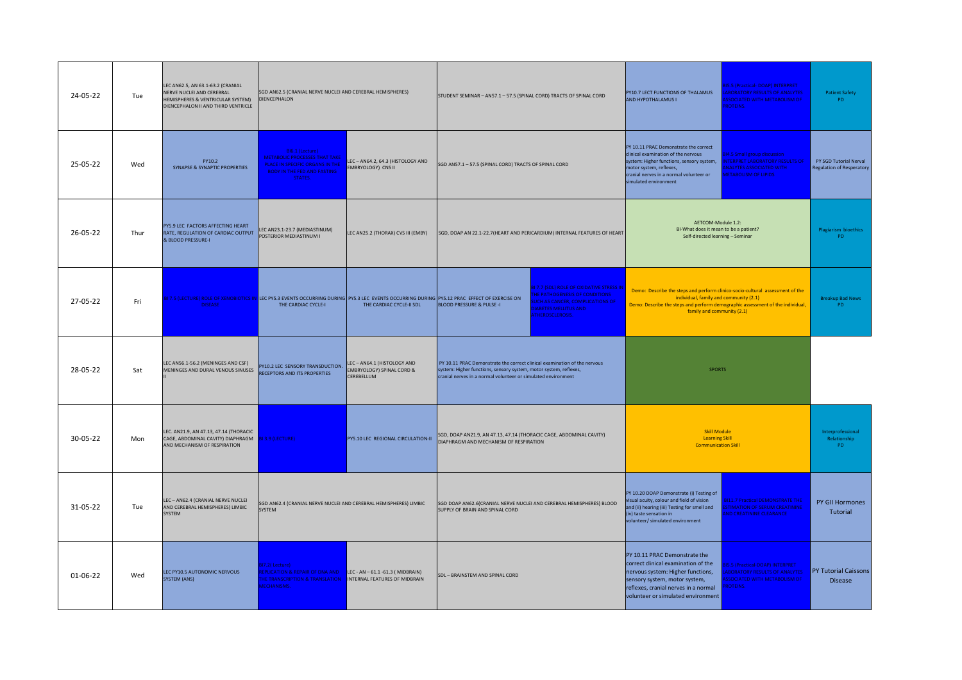| 24-05-22 | Tue  | LEC AN62.5, AN 63.1-63.2 (CRANIAL<br>NERVE NUCLEI AND CEREBRAL<br>HEMISPHERES & VENTRICULAR SYSTEM)<br>DIENCEPHALON II AND THIRD VENTRICLE | SGD AN62.5 (CRANIAL NERVE NUCLEI AND CEREBRAL HEMISPHERES)<br>DIENCEPHALON                                                                                  |                                                                                                                                                                           | STUDENT SEMINAR - AN57.1 - 57.5 (SPINAL CORD) TRACTS OF SPINAL CORD                                                                                                                                              |  | PY10.7 LECT FUNCTIONS OF THALAMUS<br>AND HYPOTHALAMUS I                                                                                                                                                                                 | 5.5 (Practical-DOAP) INTERPRET<br><b>BORATORY RESULTS OF ANALYTES</b><br><b>SSOCIATED WITH METABOLISM OF</b><br>ROTEINS.        | <b>Patient Safety</b><br>PD                                |
|----------|------|--------------------------------------------------------------------------------------------------------------------------------------------|-------------------------------------------------------------------------------------------------------------------------------------------------------------|---------------------------------------------------------------------------------------------------------------------------------------------------------------------------|------------------------------------------------------------------------------------------------------------------------------------------------------------------------------------------------------------------|--|-----------------------------------------------------------------------------------------------------------------------------------------------------------------------------------------------------------------------------------------|---------------------------------------------------------------------------------------------------------------------------------|------------------------------------------------------------|
| 25-05-22 | Wed  | PY10.2<br>SYNAPSE & SYNAPTIC PROPERTIES                                                                                                    | BI6.1 (Lecture)<br><b>METABOLIC PROCESSES THAT TAKE</b><br>PLACE IN SPECIFIC ORGANS IN THE<br><b>BODY IN THE FED AND FASTING</b><br>STATES.                 | LEC-AN64.2, 64.3 (HISTOLOGY AND<br>EMBRYOLOGY) CNS II                                                                                                                     | SGD AN57.1 - 57.5 (SPINAL CORD) TRACTS OF SPINAL CORD                                                                                                                                                            |  | PY 10.11 PRAC Demonstrate the correct<br>clinical examination of the nervous<br>system: Higher functions, sensory system,<br>motor system, reflexes,<br>cranial nerves in a normal volunteer or<br>simulated environment                | 4.5 Small group discussion<br>NTERPRET LABORATORY RESULTS OF<br><b>NALYTES ASSOCIATED WITH</b><br><b>IETABOLISM OF LIPIDS</b>   | PY SGD Tutorial Nerval<br><b>Regulation of Resperatory</b> |
| 26-05-22 | Thur | PY5.9 LEC FACTORS AFFECTING HEART<br>RATE, REGULATION OF CARDIAC OUTPUT<br>& BLOOD PRESSURE-I                                              | LEC AN23.1-23.7 (MEDIASTINUM)<br>POSTERIOR MEDIASTINUM I                                                                                                    | LEC AN25.2 (THORAX) CVS III (EMBY)                                                                                                                                        | SGD, DOAP AN 22.1-22.7 (HEART AND PERICARDIUM) INTERNAL FEATURES OF HEART                                                                                                                                        |  | AETCOM-Module 1.2:<br>BI-What does it mean to be a patient?<br>Self-directed learning - Seminar                                                                                                                                         |                                                                                                                                 | Plagiarism bioethics<br>PD.                                |
| 27-05-22 | Fri  | <b>DISEASE</b>                                                                                                                             | THE CARDIAC CYCLE-I                                                                                                                                         | II 7.5 (LECTURE) ROLE OF XENOBIOTICS IN LEC PYS.3 EVENTS OCCURRING DURING PYS.3 LEC EVENTS OCCURRING DURING PYS.12 PRAC EFFECT OF EXERCISE ON<br>THE CARDIAC CYCLE-II SDL | <b>17.7 (SDL) ROLE OF OXIDATIVE STRESS IN</b><br><b>E PATHOGENESIS OF CONDITIONS</b><br>CH AS CANCER, COMPLICATIONS OF<br><b>BLOOD PRESSURE &amp; PULSE -I</b><br><b>IABETES MELLITUS AND</b><br>THEROSCLEROSIS. |  | Demo: Describe the steps and perform clinico-socio-cultural assessment of the<br>individual, family and community (2.1)<br>Demo: Describe the steps and perform demographic assessment of the individual,<br>family and community (2.1) |                                                                                                                                 | <b>Breakup Bad News</b><br>PD.                             |
| 28-05-22 | Sat  | LEC AN56.1-56.2 (MENINGES AND CSF)<br>MENINGES AND DURAL VENOUS SINUSES                                                                    | PY10.2 LEC SENSORY TRANSDUCTION.<br>RECEPTORS AND ITS PROPERTIES                                                                                            | LEC-AN64.1 (HISTOLOGY AND<br><b>EMBRYOLOGY) SPINAL CORD &amp;</b><br>CEREBELLUM                                                                                           | PY 10.11 PRAC Demonstrate the correct clinical examination of the nervous<br>system: Higher functions, sensory system, motor system, reflexes,<br>cranial nerves in a normal volunteer or simulated environment  |  | <b>SPORTS</b>                                                                                                                                                                                                                           |                                                                                                                                 |                                                            |
| 30-05-22 | Mon  | LEC. AN21.9, AN 47.13, 47.14 (THORACIC<br>CAGE, ABDOMINAL CAVITY) DIAPHRAGM<br>AND MECHANISM OF RESPIRATION                                | BI 3.9 (LECTURE)                                                                                                                                            | PY5.10 LEC REGIONAL CIRCULATION-II                                                                                                                                        | SGD, DOAP AN21.9, AN 47.13, 47.14 (THORACIC CAGE, ABDOMINAL CAVITY)<br>DIAPHRAGM AND MECHANISM OF RESPIRATION                                                                                                    |  | <b>Skill Module</b><br><b>Learning Skill</b><br><b>Communication Skill</b>                                                                                                                                                              |                                                                                                                                 | Interprofessional<br>Relationship<br>PD.                   |
| 31-05-22 | Tue  | LEC - AN62.4 (CRANIAL NERVE NUCLEI<br>AND CEREBRAL HEMISPHERES) LIMBIC<br>SYSTEM                                                           | SGD AN62.4 (CRANIAL NERVE NUCLEI AND CEREBRAL HEMISPHERES) LIMBIC<br>SYSTEM                                                                                 |                                                                                                                                                                           | SGD DOAP AN62.6(CRANIAL NERVE NUCLEI AND CEREBRAL HEMISPHERES) BLOOD<br>SUPPLY OF BRAIN AND SPINAL CORD                                                                                                          |  | PY 10.20 DOAP Demonstrate (i) Testing of<br>isual acuity, colour and field of vision<br>and (ii) hearing (iii) Testing for smell and<br>(iv) taste sensation in<br>volunteer/ simulated environment                                     | <b>3111.7 Practical DEMONSTRATE THE</b><br><b>STIMATION OF SERUM CREATININE</b><br>ND CREATININE CLEARANCE                      | PY GII Hormones<br>Tutorial                                |
| 01-06-22 | Wed  | LEC PY10.5 AUTONOMIC NERVOUS<br>SYSTEM (ANS)                                                                                               | 17.2(Lecture)<br><b>EPLICATION &amp; REPAIR OF DNA AND</b><br><b>HE TRANSCRIPTION &amp; TRANSLATION INTERNAL FEATURES OF MIDBRAIN</b><br><b>AECHANISMS.</b> | LEC - AN - 61.1 -61.3 ( MIDBRAIN)                                                                                                                                         | SDL - BRAINSTEM AND SPINAL CORD                                                                                                                                                                                  |  | PY 10.11 PRAC Demonstrate the<br>correct clinical examination of the<br>nervous system: Higher functions,<br>sensory system, motor system,<br>reflexes, cranial nerves in a normal<br>volunteer or simulated environment                | 5.5 (Practical-DOAP) INTERPRET<br><b>ABORATORY RESULTS OF ANALYTES</b><br><b>SSOCIATED WITH METABOLISM OF</b><br><b>OTEINS.</b> | PY Tutorial Caissons<br><b>Disease</b>                     |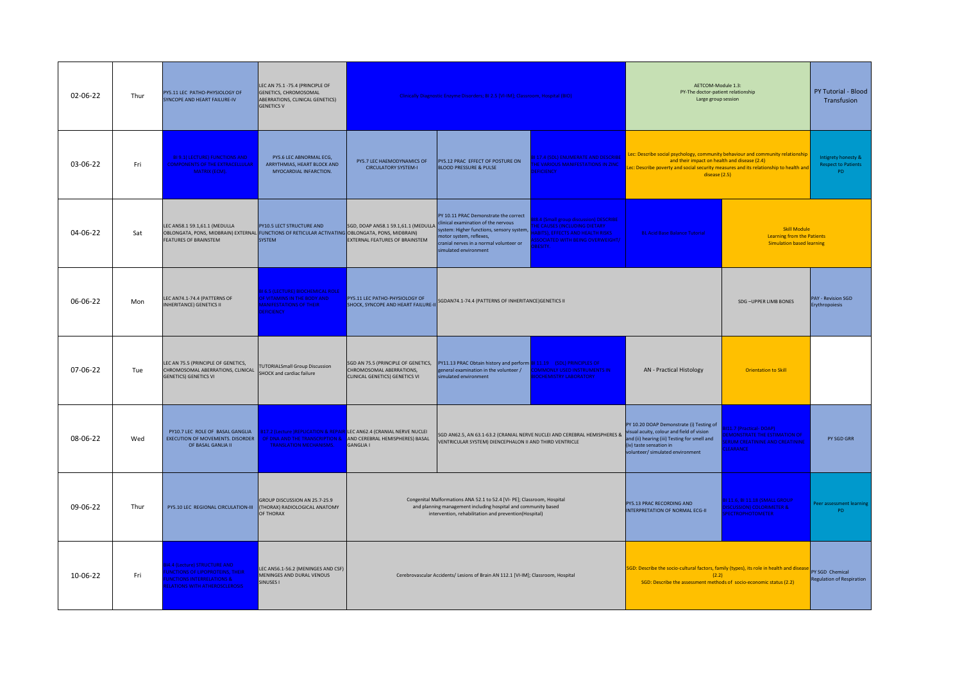| 02-06-22 | Thur | PY5.11 LEC PATHO-PHYSIOLOGY OF<br>SYNCOPE AND HEART FAILURE-IV                                                                                                    | LEC AN 75.1 -75.4 (PRINCIPLE OF<br>GENETICS, CHROMOSOMAL<br>ABERRATIONS, CLINICAL GENETICS)<br><b>GENETICS V</b>                   |                                                                                         | Clinically Diagnostic Enzyme Disorders; BI 2.5 [VI-IM]; Classroom, Hospital (BIO)                                                                                                                                      |                                                                                                                                                                            | AETCOM-Module 1.3:<br>PY-The doctor-patient relationship<br>Large group session                                                                                                                                                            |                                                                                                                 | PY Tutorial - Blood<br>Transfusion                      |
|----------|------|-------------------------------------------------------------------------------------------------------------------------------------------------------------------|------------------------------------------------------------------------------------------------------------------------------------|-----------------------------------------------------------------------------------------|------------------------------------------------------------------------------------------------------------------------------------------------------------------------------------------------------------------------|----------------------------------------------------------------------------------------------------------------------------------------------------------------------------|--------------------------------------------------------------------------------------------------------------------------------------------------------------------------------------------------------------------------------------------|-----------------------------------------------------------------------------------------------------------------|---------------------------------------------------------|
| 03-06-22 | Fri  | <b>BI 9.1( LECTURE) FUNCTIONS AND</b><br><b>COMPONENTS OF THE EXTRACELLULAR</b><br>MATRIX (ECM).                                                                  | PY5.6 LEC ABNORMAL ECG,<br>ARRYTHMIAS, HEART BLOCK AND<br>MYOCARDIAL INFARCTION.                                                   | PY5.7 LEC HAEMODYNAMICS OF<br><b>CIRCULATORY SYSTEM-I</b>                               | PY5.12 PRAC EFFECT OF POSTURE ON<br><b>BLOOD PRESSURE &amp; PULSE</b>                                                                                                                                                  | 117.4 (SDL) ENUMERATE AND DESCRIBE<br><b>IE VARIOUS MANIFESTATIONS IN ZINC</b><br><b>EFICIENCY</b>                                                                         | Lec: Describe social psychology, community behaviour and community relationship<br>and their impact on health and disease (2.4)<br>ec: Describe poverty and social security measures and its relationship to health and<br>disease $(2.5)$ |                                                                                                                 | Intigrety honesty &<br><b>Respect to Patients</b><br>PD |
| 04-06-22 | Sat  | LEC AN58.1 59.1,61.1 (MEDULLA<br>OBLONGATA, PONS, MIDBRAIN) EXTERNAL FUNCTIONS OF RETICULAR ACTIVATING OBLONGATA, PONS, MIDBRAIN)<br><b>FEATURES OF BRAINSTEM</b> | PY10.5 LECT STRUCTURE AND<br>SYSTEM                                                                                                | SGD, DOAP AN58.1 59.1,61.1 (MEDULLA<br>EXTERNAL FEATURES OF BRAINSTEM                   | PY 10.11 PRAC Demonstrate the correct<br>clinical examination of the nervous<br>system: Higher functions, sensory system,<br>notor system, reflexes,<br>ranial nerves in a normal volunteer or<br>imulated environment | 8.4 (Small group discussion) DESCRIBE<br><b>IE CAUSES (INCLUDING DIETARY</b><br><b>BITS), EFFECTS AND HEALTH RISKS</b><br><b>SOCIATED WITH BEING OVERWEIGHT/</b><br>RESITY | <b>BL Acid Base Balance Tutorial</b>                                                                                                                                                                                                       | Skill Module<br><b>Learning from the Patients</b><br><b>Simulation based learning</b>                           |                                                         |
| 06-06-22 | Mon  | LEC AN74.1-74.4 (PATTERNS OF<br><b>INHERITANCE) GENETICS II</b>                                                                                                   | <b>16.5 (LECTURE) BIOCHEMICAL ROLE</b><br><b>OF VITAMINS IN THE BODY AND</b><br><b>IANIFESTATIONS OF THEIR</b><br><b>EFICIENCY</b> | PY5.11 LEC PATHO-PHYSIOLOGY OF<br>SHOCK, SYNCOPE AND HEART FAILURE-II                   | SGDAN74.1-74.4 (PATTERNS OF INHERITANCE) GENETICS II                                                                                                                                                                   |                                                                                                                                                                            |                                                                                                                                                                                                                                            | SDG-UPPER LIMB BONES                                                                                            | PAY - Revision SGD<br>Erythropoiesis                    |
| 07-06-22 | Tue  | LEC AN 75.5 (PRINCIPLE OF GENETICS,<br>CHROMOSOMAL ABERRATIONS, CLINICAL<br><b>GENETICS) GENETICS VI</b>                                                          | <b>UTORIALSmall Group Discussion</b><br>SHOCK and cardiac failure                                                                  | CHROMOSOMAL ABERRATIONS,<br>CLINICAL GENETICS) GENETICS VI                              | SGD AN 75.5 (PRINCIPLE OF GENETICS, PY11.13 PRAC Obtain history and perform <b>BI 11.19</b> (SDL) PRINCIPLES OF<br>general examination in the volunteer /<br>simulated environment                                     | OMMONLY USED INSTRUMENTS IN<br><b>OCHEMISTRY LABORATORY</b>                                                                                                                | AN - Practical Histology                                                                                                                                                                                                                   | <b>Orientation to Skill</b>                                                                                     |                                                         |
| 08-06-22 | Wed  | PY10.7 LEC ROLE OF BASAL GANGLIA<br>EXECUTION OF MOVEMENTS. DISORDER<br>OF BASAL GANLIA II                                                                        | 817.2 (Lecture )REPLICATION & REPAIF<br>OF DNA AND THE TRANSCRIPTION &<br><b>TRANSLATION MECHANISMS.</b>                           | LEC AN62.4 (CRANIAL NERVE NUCLEI<br>AND CEREBRAL HEMISPHERES) BASAL<br><b>GANGLIA I</b> | VENTRICULAR SYSTEM) DIENCEPHALON II AND THIRD VENTRICLE                                                                                                                                                                | SGD AN62.5, AN 63.1-63.2 (CRANIAL NERVE NUCLEI AND CEREBRAL HEMISPHERES & Visual acuity, colour and field of vision                                                        | PY 10.20 DOAP Demonstrate (i) Testing of<br>and (ii) hearing (iii) Testing for smell and<br>(iv) taste sensation in<br>volunteer/ simulated environment                                                                                    | 11.7 (Practical-DOAP)<br><b>MONSTRATE THE ESTIMATION OF</b><br><b>RUM CREATININE AND CREATININE</b><br>LEARANCE | PY SGD GRR                                              |
| 09-06-22 | Thur | PY5.10 LEC REGIONAL CIRCULATION-III                                                                                                                               | GROUP DISCUSSION AN 25.7-25.9<br>(THORAX) RADIOLOGICAL ANATOMY<br>OF THORAX                                                        |                                                                                         | Congenital Malformations ANA 52.1 to 52.4 [VI- PE]; Classroom, Hospital<br>and planning management including hospital and community based<br>intervention, rehabilitation and prevention(Hospital)                     |                                                                                                                                                                            | PY5.13 PRAC RECORDING AND<br>INTERPRETATION OF NORMAL ECG-II                                                                                                                                                                               | <b>BI 11.6, BI 11.18 (SMALL GROUP</b><br><b>DISCUSSION) COLORIMETER &amp;</b><br><b>PECTROPHOTOMETER</b>        | Peer assessment learning<br>PD                          |
| 10-06-22 | Fri  | 4.4 (Lecture) STRUCTURE AND<br><b>INCTIONS OF LIPOPROTEINS, THEIR</b><br><b>INCTIONS INTERRELATIONS &amp;</b><br><b>LATIONS WITH ATHEROSCLEROSIS</b>              | LEC AN56.1-56.2 (MENINGES AND CSF)<br>MENINGES AND DURAL VENOUS<br>SINUSES I                                                       |                                                                                         | Cerebrovascular Accidents/ Lesions of Brain AN 112.1 [VI-IM]; Classroom, Hospital                                                                                                                                      |                                                                                                                                                                            | SGD: Describe the socio-cultural factors, family (types), its role in health and disease<br>(2.2)<br>SGD: Describe the assessment methods of socio-economic status (2.2)                                                                   |                                                                                                                 | PY SGD Chemical<br><b>Regulation of Respiration</b>     |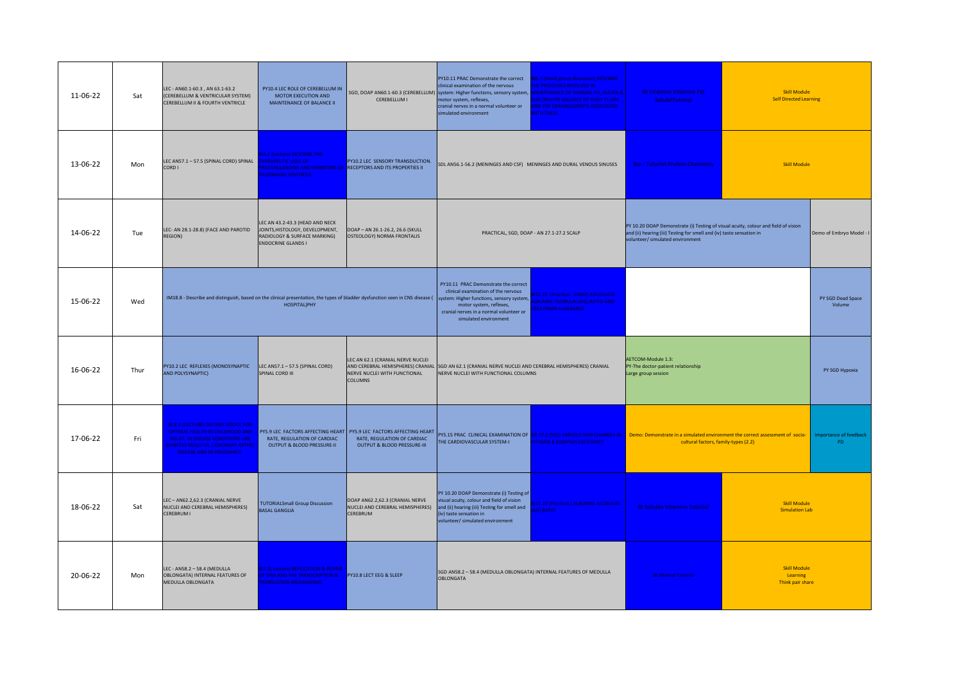| 11-06-22       | Sat  | LEC - AN60.1-60.3, AN 63.1-63.2<br>(CEREBELLUM & VENTRICULAR SYSTEM)<br>CEREBELLUM II & FOURTH VENTRICLE                                                                                                 | PY10.4 LEC ROLE OF CEREBELLUM IN<br>MOTOR EXECUTION AND<br>MAINTENANCE OF BALANCE II                                            | CEREBELLUM I                                                                                                                                 | PY10.11 PRAC Demonstrate the correct<br>clinical examination of the nervous<br>SGD, DOAP AN60.1-60.3 (CEREBELLUM) system: Higher functions, sensory system,<br>notor system, reflexes,<br>cranial nerves in a normal volunteer or<br>simulated environment                                                                                            | 16.7 (Small group discussion) DESCRIBE<br><b>IE PROCESSES INVOLVED IN</b><br><b>AINTENANCE OF NORMAL PH, WATER &amp;</b><br><b>LECTROLYTE BALANCE OF BODY FLUIDS</b><br><b>ND THE DERANGEMENTS ASSOCIATED</b><br><b>VITH THESE.</b> | <b>BI Vitamins Vitamins Fat</b><br>SolubilTutorial                                                                                                                                                     | <b>Skill Module</b><br><b>Self Directed Learning</b> |                               |
|----------------|------|----------------------------------------------------------------------------------------------------------------------------------------------------------------------------------------------------------|---------------------------------------------------------------------------------------------------------------------------------|----------------------------------------------------------------------------------------------------------------------------------------------|-------------------------------------------------------------------------------------------------------------------------------------------------------------------------------------------------------------------------------------------------------------------------------------------------------------------------------------------------------|-------------------------------------------------------------------------------------------------------------------------------------------------------------------------------------------------------------------------------------|--------------------------------------------------------------------------------------------------------------------------------------------------------------------------------------------------------|------------------------------------------------------|-------------------------------|
| 13-06-22       | Mon  | LEC AN57.1 - 57.5 (SPINAL CORD) SPINAL<br>CORD I                                                                                                                                                         | 14.7 (Lecture) DESCRIBE THE<br><b>HERAPEUTIC USES OF</b><br><b>COSANOID SYNTHESIS.</b>                                          | PY10.2 LEC SENSORY TRANSDUCTION.<br><b>ROSTAGLANDINS AND INHIBITORS OF RECEPTORS AND ITS PROPERTIES II</b>                                   | SDL AN56.1-56.2 (MENINGES AND CSF) MENINGES AND DURAL VENOUS SINUSES                                                                                                                                                                                                                                                                                  |                                                                                                                                                                                                                                     | <b>Bio - Tutorial Protein Chemistry</b>                                                                                                                                                                | <b>Skill Module</b>                                  |                               |
| 14-06-22       | Tue  | LEC- AN 28.1-28.8) (FACE AND PAROTID<br><b>REGION)</b>                                                                                                                                                   | LEC AN 43.2-43.3 (HEAD AND NECK<br>JOINTS, HISTOLOGY, DEVELOPMENT,<br>RADIOLOGY & SURFACE MARKING)<br><b>ENDOCRINE GLANDS I</b> | DOAP - AN 26.1-26.2, 26.6 (SKULL<br>OSTEOLOGY) NORMA FRONTALIS                                                                               |                                                                                                                                                                                                                                                                                                                                                       | PRACTICAL, SGD, DOAP - AN 27.1-27.2 SCALP                                                                                                                                                                                           | PY 10.20 DOAP Demonstrate (i) Testing of visual acuity, colour and field of vision<br>and (ii) hearing (iii) Testing for smell and (iv) taste sensation in<br>volunteer/ simulated environment         |                                                      | Demo of Embryo Model - I      |
| 15-06-22       | Wed  |                                                                                                                                                                                                          | HOSPITAL)PHY                                                                                                                    |                                                                                                                                              | PY10.11 PRAC Demonstrate the correct<br>clinical examination of the nervous<br>IM18.8 - Describe and distinguish, based on the clinical presentation, the types of bladder dysfunction seen in CNS disease ( system: Higher functions, sensory system,<br>motor system, reflexes,<br>cranial nerves in a normal volunteer or<br>simulated environment | 111.22 (Practical - DOAP) CALCULATE<br><b>ALBUMIN: GLOBULIN (AG),RATIO AND</b><br><b>REATININE CLEARANCE</b>                                                                                                                        |                                                                                                                                                                                                        |                                                      | PY SGD Dead Space<br>Volume   |
| 16-06-22       | Thur | PY10.2 LEC REFLEXES (MONOSYNAPTIC<br>AND POLYSYNAPTIC)                                                                                                                                                   | LEC AN57.1 - 57.5 (SPINAL CORD)<br>SPINAL CORD III                                                                              | LEC AN 62.1 (CRANIAL NERVE NUCLEI<br>NERVE NUCLEI WITH FUNCTIONAL<br><b>COLUMNS</b>                                                          | AND CEREBRAL HEMISPHERES) CRANIAL SGD AN 62.1 (CRANIAL NERVE NUCLEI AND CEREBRAL HEMISPHERES) CRANIAL<br>NERVE NUCLEI WITH FUNCTIONAL COLUMNS                                                                                                                                                                                                         |                                                                                                                                                                                                                                     | AETCOM-Module 1.3:<br>PY-The doctor-patient relationship<br>Large group session                                                                                                                        |                                                      | PY SGD Hypoxia                |
| 17-06-22       | Fri  | <b>BI 8.3 (LECTURE) DIETARY ADVICE FOR</b><br>OPTIMAL HEALTH IN CHILDHOOD AND<br><b>ADULT. IN DISEASE CONDITIONS LIKE</b><br><b>ABETES MELLITUS, CORONARY ARTERY</b><br><b>DISEASE AND IN PREGNANCY.</b> | RATE, REGULATION OF CARDIAC<br>OUTPUT & BLOOD PRESSURE-II                                                                       | PY5.9 LEC FACTORS AFFECTING HEART PY5.9 LEC FACTORS AFFECTING HEART<br>RATE, REGULATION OF CARDIAC<br><b>OUTPUT &amp; BLOOD PRESSURE-III</b> | THE CARDIOVASCULAR SYSTEM-I                                                                                                                                                                                                                                                                                                                           | <b>ITAMIN B COMPLEX DEFICIENCY</b>                                                                                                                                                                                                  | PY5.15 PRAC CLINICAL EXAMINATION OF DR 17.2 (SDL) VARIOUS SKIN CHANGES IN <b>Demo: Demonstrate in a simulated environment the correct assessment of socio-</b><br>cultural factors, family-types (2.2) |                                                      | importance of feedback<br>PD. |
| 18-06-22       | Sat  | LEC-AN62.2,62.3 (CRANIAL NERVE<br>NUCLEI AND CEREBRAL HEMISPHERES)<br><b>CEREBRUM I</b>                                                                                                                  | <b>TUTORIALSmall Group Discussion</b><br><b>BASAL GANGLIA</b>                                                                   | DOAP AN62.2,62.3 (CRANIAL NERVE<br>NUCLEI AND CEREBRAL HEMISPHERES)<br>CEREBRUM                                                              | PY 10.20 DOAP Demonstrate (i) Testing of<br>visual acuity, colour and field of vision<br>and (ii) hearing (iii) Testing for smell and<br>(iv) taste sensation in<br>volunteer/ simulated environment                                                                                                                                                  | 11.22 (Practical) ALBUMIN: GLOBULIN<br>AG) RATIO                                                                                                                                                                                    | <b>BI Soluble Vitamins Tutorial</b>                                                                                                                                                                    | <b>Skill Module</b><br><b>Simulation Lab</b>         |                               |
| $20 - 06 - 22$ | Mon  | LEC - AN58.2 - 58.4 (MEDULLA<br>OBLONGATA) INTERNAL FEATURES OF<br>MEDULLA OBLONGATA                                                                                                                     | 317.2( Lecture) REPLICATION & REPAIR<br><b>F DNA AND THE TRANSCRIPTION &amp;</b><br>RANSLATION MECHANISMS.                      | PY10.8 LECT EEG & SLEEP                                                                                                                      | SGD AN58.2 - 58.4 (MEDULLA OBLONGATA) INTERNAL FEATURES OF MEDULLA<br>OBLONGATA                                                                                                                                                                                                                                                                       |                                                                                                                                                                                                                                     | <b>BI Mineral Tutorial</b>                                                                                                                                                                             | <b>Skill Module</b><br>Learning<br>Think pair share  |                               |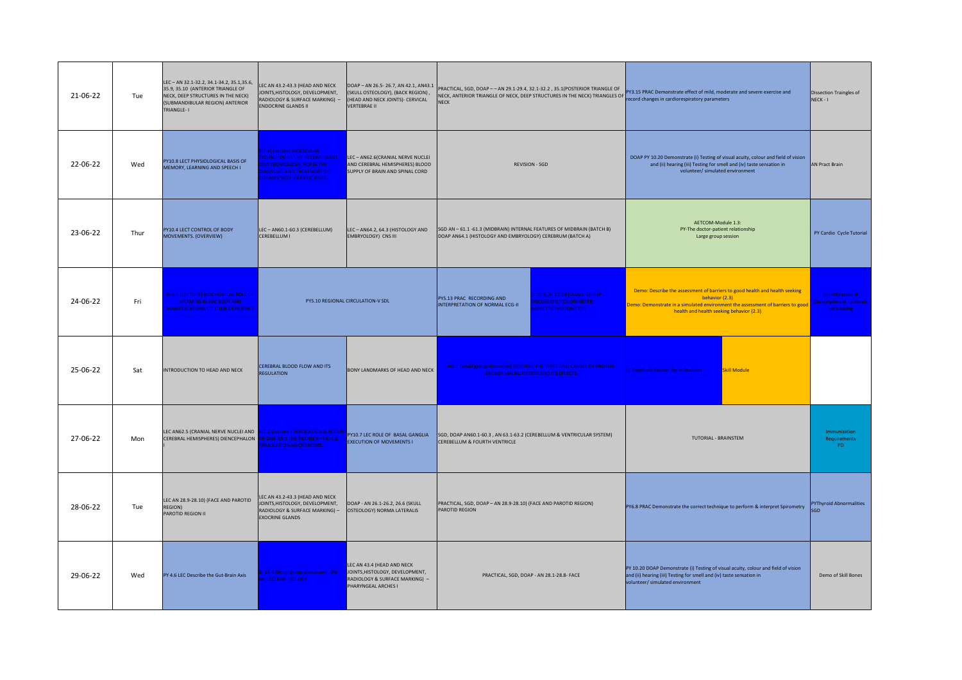| 21-06-22 | Tue  | LEC-AN 32.1-32.2, 34.1-34.2, 35.1,35.6,<br>35.9, 35.10 (ANTERIOR TRIANGLE OF<br>NECK, DEEP STRUCTURES IN THE NECK)<br>(SUBMANDIBULAR REGION) ANTERIOR<br>TRIANGLE-I | LEC AN 43.2-43.3 (HEAD AND NECK<br>JOINTS, HISTOLOGY, DEVELOPMENT,<br>RADIOLOGY & SURFACE MARKING) -<br><b>ENDOCRINE GLANDS II</b>                                   | DOAP-AN 26.5-26.7, AN 42.1, AN43.1<br>(SKULL OSTEOLOGY), (BACK REGION),<br>(HEAD AND NECK JOINTS)- CERVICAL<br><b>VERTEBRAE II</b> | PRACTICAL, SGD, DOAP -- AN 29.1-29.4, 32.1-32.2, 35.1(POSTERIOR TRIANGLE OF<br>NECK, ANTERIOR TRIANGLE OF NECK, OEEP STRUCTURES IN THE NECK) TRIANGLES OF PY3.15 PRAC Demonstrate effect of mild, moderate and severe exercise and<br><b>NFCK</b> | record changes in cardiorespiratory parameters                                                                                                                                                                               | Dissection Traingles of<br>NECK-I                           |
|----------|------|---------------------------------------------------------------------------------------------------------------------------------------------------------------------|----------------------------------------------------------------------------------------------------------------------------------------------------------------------|------------------------------------------------------------------------------------------------------------------------------------|---------------------------------------------------------------------------------------------------------------------------------------------------------------------------------------------------------------------------------------------------|------------------------------------------------------------------------------------------------------------------------------------------------------------------------------------------------------------------------------|-------------------------------------------------------------|
| 22-06-22 | Wed  | PY10.8 LECT PHYSIOLOGICAL BASIS OF<br>MEMORY, LEARNING AND SPEECH I                                                                                                 | 17.4(Lecture) MOLECULAR<br><b>ECHNOLOGIES LIKE RECOMBINANT</b><br>NA TECHNOLOGY, PCR IN THE<br><b>AGNOSIS AND TREATMENT OF</b><br><b>ISEASES WITH GENETIC BASIS.</b> | LEC - AN62.6(CRANIAL NERVE NUCLEI<br>AND CEREBRAL HEMISPHERES) BLOOD<br>SUPPLY OF BRAIN AND SPINAL CORD                            | REVISION - SGD                                                                                                                                                                                                                                    | DOAP PY 10.20 Demonstrate (i) Testing of visual acuity, colour and field of vision<br>and (ii) hearing (iii) Testing for smell and (iv) taste sensation in<br>volunteer/ simulated environment                               | AN Pract Brain                                              |
| 23-06-22 | Thur | PY10.4 LECT CONTROL OF BODY<br>MOVEMENTS. (OVERVIEW)                                                                                                                | LEC-AN60.1-60.3 (CEREBELLUM)<br>CEREBELLUM I                                                                                                                         | LEC - AN64.2, 64.3 (HISTOLOGY AND<br><b>EMBRYOLOGY) CNS III</b>                                                                    | SGD AN - 61.1 -61.3 (MIDBRAIN) INTERNAL FEATURES OF MIDBRAIN (BATCH B)<br>DOAP AN64.1 (HISTOLOGY AND EMBRYOLOGY) CEREBRUM (BATCH A)                                                                                                               | AETCOM-Module 1.3:<br>PY-The doctor-patient relationship<br>Large group session                                                                                                                                              | PY Cardio Cycle Tutorial                                    |
| 24-06-22 | Fri  | <b>BI 6.5 (LECTURE) BIOCHEMICAL ROLE OF</b><br><b>VITAMINS IN THE BODY AND</b><br><b>MANIFESTATIONS OF THEIR DEFICIENCY</b>                                         |                                                                                                                                                                      | PY5.10 REGIONAL CIRCULATION-V SDL                                                                                                  | 111.6, BI 11.18 (SMALL GROUP<br>PY5.13 PRAC RECORDING AND<br><b>ISCUSSION, COLORIMETER</b><br>INTERPRETATION OF NORMAL ECG-II<br><b>SPECTROPHOTOMETER</b>                                                                                         | Demo: Describe the assessment of barriers to good health and health seeking<br>behavior (2.3)<br>Demo: Demonstrate in a simulated environment the assessment of barriers to good<br>health and health seeking behavior (2.3) | Identification of<br>Carbohyderate - a Hands<br>on training |
| 25-06-22 | Sat  | INTRODUCTION TO HEAD AND NECK                                                                                                                                       | CEREBRAL BLOOD FLOW AND ITS<br><b>REGULATION</b>                                                                                                                     | BONY LANDMARKS OF HEAD AND NECK                                                                                                    | BI8.2 (Small group discussion) DESCRIBE THE TYPES AND CAUSES OF PROTEIN<br><b>ENERGY MALNUTRITION AND ITS EFFECTS</b>                                                                                                                             | <b>Skill Module</b><br><b>BL Feedback Session from Students</b>                                                                                                                                                              |                                                             |
| 27-06-22 | Mon  | LEC AN62.5 (CRANIAL NERVE NUCLEI AND<br>CEREBRAL HEMISPHERES) DIENCEPHALON                                                                                          | BI7.2 (Lecture) REPLICATION & REPAIR<br><b>F DNA AND THE TRANSCRIPTION &amp;</b><br><b>RANSLATION MECHANISMS.</b>                                                    | PY10.7 LEC ROLE OF BASAL GANGLIA<br><b>EXECUTION OF MOVEMENTS I</b>                                                                | SGD, DOAP AN60.1-60.3 , AN 63.1-63.2 (CEREBELLUM & VENTRICULAR SYSTEM)<br>CEREBELLUM & FOURTH VENTRICLE                                                                                                                                           | TUTORIAL - BRAINSTEM                                                                                                                                                                                                         | <b>Immunization</b><br>Requirements<br>PD.                  |
| 28-06-22 | Tue  | LEC AN 28.9-28.10) (FACE AND PAROTID<br>REGION)<br>PAROTID REGION II                                                                                                | LEC AN 43.2-43.3 (HEAD AND NECK<br>JOINTS, HISTOLOGY, DEVELOPMENT,<br>RADIOLOGY & SURFACE MARKING) -<br><b>EXOCRINE GLANDS</b>                                       | DOAP - AN 26.1-26.2, 26.6 (SKULL<br>OSTEOLOGY) NORMA LATERALIS                                                                     | PRACTICAL, SGD, DOAP - AN 28.9-28.10) (FACE AND PAROTID REGION)<br>PAROTID REGION                                                                                                                                                                 | PY6.8 PRAC Demonstrate the correct technique to perform & interpret Spirometry                                                                                                                                               | <b>PYThyroid Abnormalities</b><br>SGD                       |
| 29-06-22 | Wed  | PY 4.6 LEC Describe the Gut-Brain Axis                                                                                                                              | 17.4 (Small group discussion) ON<br><b>IOLECULAR BIOLOGY</b>                                                                                                         | LEC AN 43.4 (HEAD AND NECK<br>JOINTS, HISTOLOGY, DEVELOPMENT,<br>RADIOLOGY & SURFACE MARKING) -<br>PHARYNGEAL ARCHES I             | PRACTICAL, SGD, DOAP - AN 28.1-28.8- FACE                                                                                                                                                                                                         | PY 10.20 DOAP Demonstrate (i) Testing of visual acuity, colour and field of vision<br>and (ii) hearing (iii) Testing for smell and (iv) taste sensation in<br>volunteer/ simulated environment                               | Demo of Skill Bones                                         |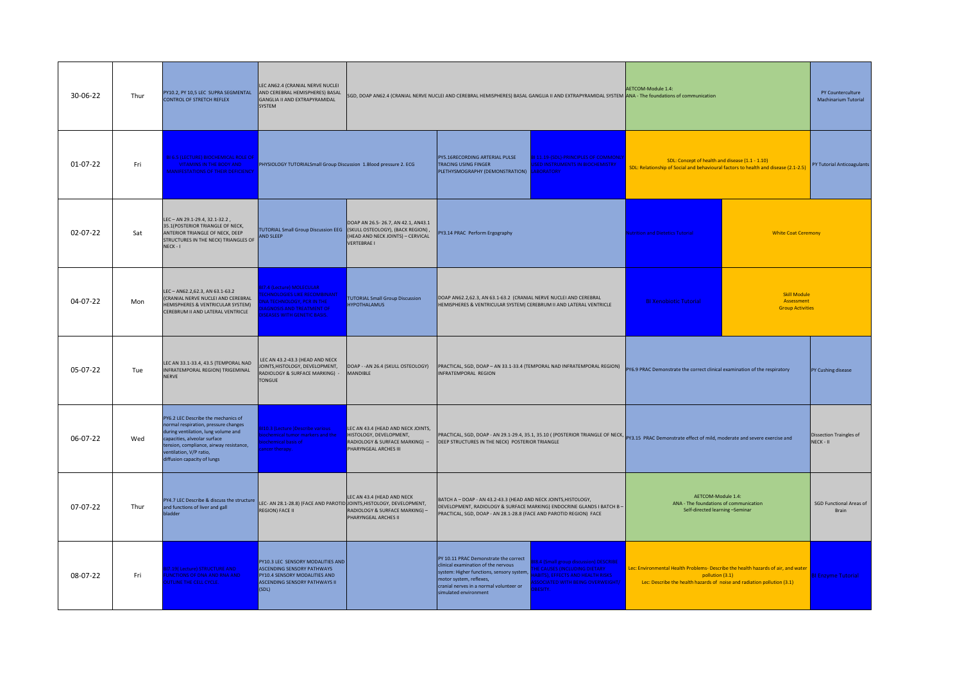| 30-06-22 | Thur | PY10.2, PY 10,5 LEC SUPRA SEGMENTAL<br>CONTROL OF STRETCH REFLEX                                                                                                                                                                                      | LEC AN62.4 (CRANIAL NERVE NUCLEI<br>AND CEREBRAL HEMISPHERES) BASAL<br>GANGLIA II AND EXTRAPYRAMIDAL<br>SYSTEM                                                     |                                                                                                                                                                        | SGD, DOAP AN62.4 (CRANIAL NERVE NUCLEI AND CEREBRAL HEMISPHERES) BASAL GANGLIA II AND EXTRAPYRAMIDAL SYSTEM ANA - The foundations of communication                                                                                                                                                                                                                                                        | AETCOM-Module 1.4:                                                                                                                                                              | PY Counterculture<br>Machinarium Tutorial                    |                                                |
|----------|------|-------------------------------------------------------------------------------------------------------------------------------------------------------------------------------------------------------------------------------------------------------|--------------------------------------------------------------------------------------------------------------------------------------------------------------------|------------------------------------------------------------------------------------------------------------------------------------------------------------------------|-----------------------------------------------------------------------------------------------------------------------------------------------------------------------------------------------------------------------------------------------------------------------------------------------------------------------------------------------------------------------------------------------------------|---------------------------------------------------------------------------------------------------------------------------------------------------------------------------------|--------------------------------------------------------------|------------------------------------------------|
| 01-07-22 | Fri  | <b>BI 6.5 (LECTURE) BIOCHEMICAL ROLE OF</b><br><b>VITAMINS IN THE BODY AND</b><br><b>MANIFESTATIONS OF THEIR DEFICIENCY</b>                                                                                                                           | PHYSIOLOGY TUTORIALSmall Group Discussion 1.Blood pressure 2. ECG                                                                                                  |                                                                                                                                                                        | BI 11.19-(SDL)-PRINCIPLES OF COMMONL'<br>PY5.16RECORDING ARTERIAL PULSE<br><b>ISED INSTRUMENTS IN BIOCHEMISTRY</b><br><b>TRACING USING FINGER</b><br>PLETHYSMOGRAPHY (DEMONSTRATION)  LABORATORY                                                                                                                                                                                                          | SDL: Concept of health and disease (1.1 - 1.10)<br>SDL: Relationship of Social and behavioural factors to health and disease (2.1-2.5)                                          |                                                              | PY Tutorial Anticoagulants                     |
| 02-07-22 | Sat  | LEC-AN 29.1-29.4, 32.1-32.2,<br>35.1(POSTERIOR TRIANGLE OF NECK,<br>ANTERIOR TRIANGLE OF NECK, DEEP<br>STRUCTURES IN THE NECK) TRIANGLES OF<br>NECK-I                                                                                                 | AND SLEEP                                                                                                                                                          | DOAP AN 26.5-26.7, AN 42.1, AN43.1<br>TUTORIAL Small Group Discussion EEG (SKULL OSTEOLOGY), (BACK REGION),<br>(HEAD AND NECK JOINTS) - CERVICAL<br><b>VERTEBRAE I</b> | PY3.14 PRAC Perform Ergography                                                                                                                                                                                                                                                                                                                                                                            | utrition and Dietetics Tutorial                                                                                                                                                 | <b>White Coat Ceremony</b>                                   |                                                |
| 04-07-22 | Mon  | LEC-AN62.2,62.3, AN 63.1-63.2<br>(CRANIAL NERVE NUCLEI AND CEREBRAL<br>HEMISPHERES & VENTRICULAR SYSTEM)<br>CEREBRUM II AND LATERAL VENTRICLE                                                                                                         | 7.4 (Lecture) MOLECULAR<br><b>CHNOLOGIES LIKE RECOMBINANT</b><br>NA TECHNOLOGY, PCR IN THE<br><b>AGNOSIS AND TREATMENT OF</b><br><b>SEASES WITH GENETIC BASIS.</b> | <b>TUTORIAL Small Group Discussion</b><br><b>HYPOTHALAMUS</b>                                                                                                          | DOAP AN62.2,62.3, AN 63.1-63.2 (CRANIAL NERVE NUCLEI AND CEREBRAL<br>HEMISPHERES & VENTRICULAR SYSTEM) CEREBRUM II AND LATERAL VENTRICLE                                                                                                                                                                                                                                                                  | <b>BI Xenobiotic Tutorial</b>                                                                                                                                                   | <b>Skill Module</b><br>Assessment<br><b>Group Activities</b> |                                                |
| 05-07-22 | Tue  | LEC AN 33.1-33.4, 43.5 (TEMPORAL NAD<br>INFRATEMPORAL REGION) TRIGEMINAL<br><b>NERVE</b>                                                                                                                                                              | LEC AN 43.2-43.3 (HEAD AND NECK<br>JOINTS, HISTOLOGY, DEVELOPMENT,<br>RADIOLOGY & SURFACE MARKING) -<br><b>TONGUE</b>                                              | DOAP - - AN 26.4 (SKULL OSTEOLOGY)<br>MANDIBLE                                                                                                                         | PRACTICAL, SGD, DOAP - AN 33.1-33.4 (TEMPORAL NAD INFRATEMPORAL REGION)<br>INFRATEMPORAL REGION                                                                                                                                                                                                                                                                                                           | PY6.9 PRAC Demonstrate the correct clinical examination of the respiratory                                                                                                      |                                                              | PY Cushing disease                             |
| 06-07-22 | Wed  | PY6.2 LEC Describe the mechanics of<br>normal respiration, pressure changes<br>during ventilation, lung volume and<br>capacities, alveolar surface<br>ension, compliance, airway resistance,<br>entilation, V/P ratio,<br>diffusion capacity of lungs | 10.3 (Lecture )Describe various<br>ochemical tumor markers and the<br>ochemical basis of<br>cer therapy.                                                           | LEC AN 43.4 (HEAD AND NECK JOINTS,<br>HISTOLOGY, DEVELOPMENT,<br>RADIOLOGY & SURFACE MARKING) -<br>PHARYNGEAL ARCHES III                                               | PRACTICAL, SGD, DOAP - AN 29.1-29.4, 35.1, 35.10 ( (POSTERIOR TRIANGLE OF NECK, PY3.15 PRAC Demonstrate effect of mild, moderate and severe exercise and<br>DEEP STRUCTURES IN THE NECK) POSTERIOR TRIANGLE                                                                                                                                                                                               |                                                                                                                                                                                 |                                                              | Dissection Traingles of<br>NECK - II           |
| 07-07-22 | Thur | PY4.7 LEC Describe & discuss the structure<br>and functions of liver and gall<br><b>Iadder</b>                                                                                                                                                        | LEC- AN 28.1-28.8) (FACE AND PAROTID JOINTS, HISTOLOGY, DEVELOPMENT,<br>REGION) FACE II                                                                            | LEC AN 43.4 (HEAD AND NECK<br>RADIOLOGY & SURFACE MARKING) -<br>PHARYNGEAL ARCHES II                                                                                   | BATCH A - DOAP - AN 43.2-43.3 (HEAD AND NECK JOINTS, HISTOLOGY,<br>DEVELOPMENT, RADIOLOGY & SURFACE MARKING) ENDOCRINE GLANDS I BATCH B-<br>PRACTICAL, SGD, DOAP - AN 28.1-28.8 (FACE AND PAROTID REGION) FACE                                                                                                                                                                                            | AETCOM-Module 1.4:<br>ANA - The foundations of communication<br>Self-directed learning -Seminar                                                                                 |                                                              | <b>SGD Functional Areas of</b><br><b>Brain</b> |
| 08-07-22 | Fri  | 17.19(Lecture) STRUCTURE AND<br><b>JNCTIONS OF DNA AND RNA AND</b><br>UTLINE THE CELL CYCLE.                                                                                                                                                          | PY10.3 LEC SENSORY MODALITIES AND<br>ASCENDING SENSORY PATHWAYS<br>PY10.4 SENSORY MODALITIES AND<br>ASCENDING SENSORY PATHWAYS II<br>(SDL)                         |                                                                                                                                                                        | PY 10.11 PRAC Demonstrate the correct<br><b>8.4 (Small group discussion) DESCRIBE</b><br>clinical examination of the nervous<br><b>HE CAUSES (INCLUDING DIETARY</b><br>system: Higher functions, sensory system,<br><b>ABITS), EFFECTS AND HEALTH RISKS</b><br>motor system, reflexes,<br>SSOCIATED WITH BEING OVERWEIGHT/<br>cranial nerves in a normal volunteer or<br>BESITY.<br>simulated environment | Lec: Environmental Health Problems- Describe the health hazards of air, and water<br>pollution (3.1)<br>Lec: Describe the health hazards of noise and radiation pollution (3.1) |                                                              | <b>BI Enzyme Tutorial</b>                      |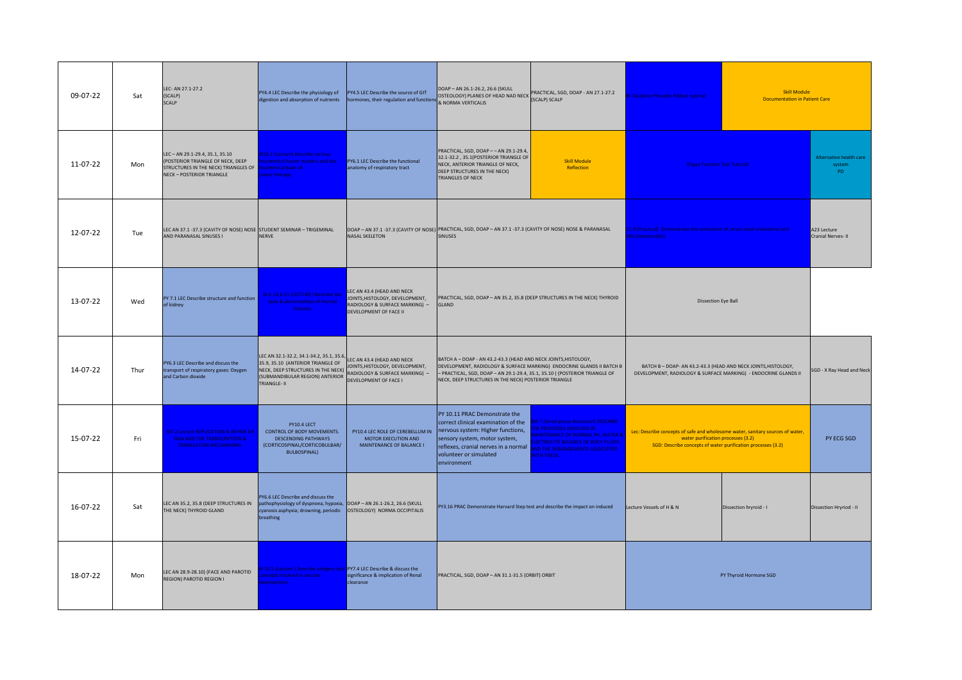| 09-07-22 | Sat  | LEC- AN 27.1-27.2<br>(SCALP)<br><b>SCALP</b>                                                                                                 | PY4.4 LEC Describe the physiology of<br>digestion and absorption of nutrients                                                                                         | PY4.5 LEC Describe the source of GIT<br>hormones, their regulation and functions                                                 | DOAP - AN 26.1-26.2, 26.6 (SKULL<br>DUAP – AN 26.1-26.2, 26.6 (SKULL PRACTICAL, SGD, DOAP - AN 27.1-27.2<br>OSTEOLOGY) PLANES OF HEAD NAD NECK (SCALP) SCALP<br>& NORMA VERTICALIS                                          |                                                                                                                                                                                                                                  | Oxidative Phospho Ribbon tutorial                                                                                                                                                    | <b>Skill Module</b><br><b>Documentation in Patient Care</b>               |                                          |
|----------|------|----------------------------------------------------------------------------------------------------------------------------------------------|-----------------------------------------------------------------------------------------------------------------------------------------------------------------------|----------------------------------------------------------------------------------------------------------------------------------|-----------------------------------------------------------------------------------------------------------------------------------------------------------------------------------------------------------------------------|----------------------------------------------------------------------------------------------------------------------------------------------------------------------------------------------------------------------------------|--------------------------------------------------------------------------------------------------------------------------------------------------------------------------------------|---------------------------------------------------------------------------|------------------------------------------|
| 11-07-22 | Mon  | LEC-AN 29.1-29.4, 35.1, 35.10<br>(POSTERIOR TRIANGLE OF NECK, DEEP<br>STRUCTURES IN THE NECK) TRIANGLES OF<br><b>NECK-POSTERIOR TRIANGLE</b> | <b>3110.2 (Lecture) Describe various</b><br>ochemical tumor markers and the<br>ochemical basis of<br>ancer therapy.                                                   | PY6.1 LEC Describe the functional<br>anatomy of respiratory tract                                                                | PRACTICAL, SGD, DOAP -- AN 29.1-29.4,<br>32.1-32.2, 35.1(POSTERIOR TRIANGLE OF<br>NECK, ANTERIOR TRIANGLE OF NECK,<br>DEEP STRUCTURES IN THE NECK)<br>TRIANGLES OF NECK                                                     | <b>Skill Module</b><br>Reflection                                                                                                                                                                                                | <b>Organ Function Test Tutorial</b>                                                                                                                                                  |                                                                           | Alternative health care<br>system<br>PD. |
| 12-07-22 | Tue  | LEC AN 37.1 -37.3 (CAVITY OF NOSE) NOSE STUDENT SEMINAR - TRIGEMINAL<br>AND PARANASAL SINUSES I                                              | <b>NERVE</b>                                                                                                                                                          | <b>NASAL SKELETON</b>                                                                                                            | DOAP - AN 37.1 -37.3 (CAVITY OF NOSE) PRACTICAL, SGD, DOAP - AN 37.1 -37.3 (CAVITY OF NOSE) NOSE & PARANASAL<br><b>SINUSES</b>                                                                                              |                                                                                                                                                                                                                                  | DLcholesterol(A)                                                                                                                                                                     | 1.9 (Practical) Demonstrate the estimation of serum total cholesterol and |                                          |
| 13-07-22 | Wed  | PY 7.1 LEC Describe structure and function<br>of kidney                                                                                      | 316.14,6.15 (LECTURE) Describe the<br>tests & abnormalities of thyroid<br>function                                                                                    | LEC AN 43.4 (HEAD AND NECK<br>JOINTS, HISTOLOGY, DEVELOPMENT,<br>RADIOLOGY & SURFACE MARKING) -<br><b>DEVELOPMENT OF FACE II</b> | PRACTICAL, SGD, DOAP - AN 35.2, 35.8 (DEEP STRUCTURES IN THE NECK) THYROID<br>GLAND                                                                                                                                         |                                                                                                                                                                                                                                  |                                                                                                                                                                                      | <b>Dissection Eye Ball</b>                                                |                                          |
| 14-07-22 | Thur | PY6.3 LEC Describe and discuss the<br>transport of respiratory gases: Oxygen<br>and Carbon dioxide                                           | LEC AN 32.1-32.2, 34.1-34.2, 35.1, 35.6<br>35.9, 35.10 (ANTERIOR TRIANGLE OF<br>NECK, DEEP STRUCTURES IN THE NECK)<br>(SUBMANDIBULAR REGION) ANTERIOR<br>TRIANGLE- II | LEC AN 43.4 (HEAD AND NECK<br>JOINTS, HISTOLOGY, DEVELOPMENT,<br>RADIOLOGY & SURFACE MARKING) -<br>DEVELOPMENT OF FACE I         | BATCH A - DOAP - AN 43.2-43.3 (HEAD AND NECK JOINTS, HISTOLOGY,<br>- PRACTICAL, SGD, DOAP - AN 29.1-29.4, 35.1, 35.10 ( (POSTERIOR TRIANGLE OF<br>NECK, DEEP STRUCTURES IN THE NECK) POSTERIOR TRIANGLE                     | DEVELOPMENT, RADIOLOGY & SURFACE MARKING) ENDOCRINE GLANDS II BATCH B                                                                                                                                                            | BATCH B - DOAP- AN 43.2-43.3 (HEAD AND NECK JOINTS, HISTOLOGY,<br>DEVELOPMENT, RADIOLOGY & SURFACE MARKING) - ENDOCRINE GLANDS II                                                    |                                                                           | SGD - X Ray Head and Neck                |
| 15-07-22 | Fri  | <b>BI7.2 Lecture REPLICATION &amp; REPAIR OF</b><br>DNA AND THE TRANSCRIPTION &<br><b>TRANSLATION MECHANISMS.</b>                            | PY10.4 LECT<br>CONTROL OF BODY MOVEMENTS.<br><b>DESCENDING PATHWAYS</b><br>(CORTICOSPINAL/CORTICOBULBAR/<br><b>BULBOSPINAL)</b>                                       | PY10.4 LEC ROLE OF CEREBELLUM IN<br><b>MOTOR EXECUTION AND</b><br>MAINTENANCE OF BALANCE I                                       | PY 10.11 PRAC Demonstrate the<br>correct clinical examination of the<br>nervous system: Higher functions,<br>sensory system, motor system,<br>reflexes, cranial nerves in a normal<br>volunteer or simulated<br>environment | 816.7 (Small group discussion) DESCRIBE<br><b>IE PROCESSES INVOLVED IN</b><br><b>IAINTENANCE OF NORMAL PH. WATER 8</b><br><b>ECTROLYTE BALANCE OF BODY FLUIDS</b><br><b>ID THE DERANGEMENTS ASSOCIATED</b><br><b>VITH THESE.</b> | Lec: Describe concepts of safe and wholesome water, sanitary sources of water,<br>water purification processes (3.2)<br>SGD: Describe concepts of water purification processes (3.2) |                                                                           | PY ECG SGD                               |
| 16-07-22 | Sat  | LEC AN 35.2, 35.8 (DEEP STRUCTURES IN<br>THE NECK) THYROID GLAND                                                                             | PY6.6 LEC Describe and discuss the<br>pathophysiology of dyspnoea, hypoxia, DOAP - AN 26.1-26.2, 26.6 (SKULL<br>cyanosis asphyxia; drowning, periodic<br>breathing    | OSTEOLOGY) NORMA OCCIPITALIS                                                                                                     | PY3.16 PRAC Demonstrate Harvard Step test and describe the impact on induced<br>Lecture Vessels of H & N<br>Dissection hryroid - I                                                                                          |                                                                                                                                                                                                                                  |                                                                                                                                                                                      | Dissection Hryriod - II                                                   |                                          |
| 18-07-22 | Mon  | LEC AN 28.9-28.10) (FACE AND PAROTID<br><b>REGION) PAROTID REGION I</b>                                                                      | 10.5 (Lecture) Describe antigens and PY7.4 LEC Describe & discuss the<br>ncepts involved in vaccine<br>velopment.                                                     | significance & implication of Renal<br>clearance                                                                                 | PRACTICAL, SGD, DOAP - AN 31.1-31.5 (ORBIT) ORBIT<br>PY Thyroid Hormone SGD                                                                                                                                                 |                                                                                                                                                                                                                                  |                                                                                                                                                                                      |                                                                           |                                          |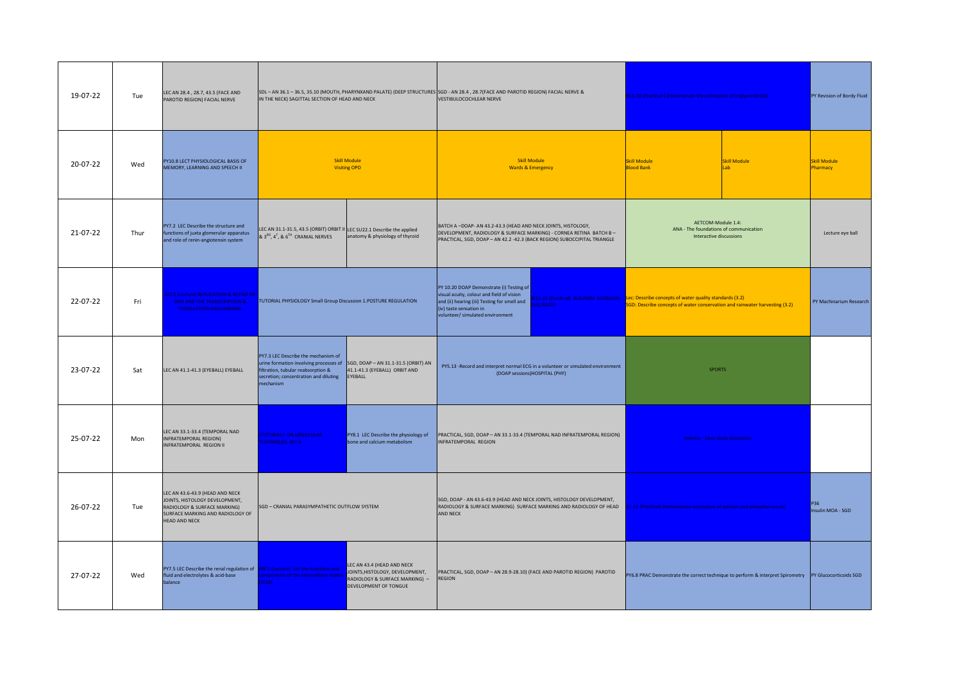| 19-07-22 | Tue  | LEC AN 28.4, 28.7, 43.5 (FACE AND<br>PAROTID REGION) FACIAL NERVE                                                                                             | IN THE NECK) SAGITTAL SECTION OF HEAD AND NECK                                                                                                   |                                                                                                                          | SDL - AN 36.1 - 36.5, 35.10 (MOUTH, PHARYNXAND PALATE) (DEEP STRUCTURES SGD - AN 28.4, 28.7 (FACE AND PAROTID REGION) FACIAL NERVE &<br>811.10 (Practical) Demonstrate the estimation of triglycerides(A)<br>VESTIBULOCOCHLEAR NERVE                                                                       |                                                                                                                  | PY Revision of Bordy Fluid                                                                                                                                                   |                                  |                                 |
|----------|------|---------------------------------------------------------------------------------------------------------------------------------------------------------------|--------------------------------------------------------------------------------------------------------------------------------------------------|--------------------------------------------------------------------------------------------------------------------------|------------------------------------------------------------------------------------------------------------------------------------------------------------------------------------------------------------------------------------------------------------------------------------------------------------|------------------------------------------------------------------------------------------------------------------|------------------------------------------------------------------------------------------------------------------------------------------------------------------------------|----------------------------------|---------------------------------|
| 20-07-22 | Wed  | PY10.8 LECT PHYSIOLOGICAL BASIS OF<br>MEMORY, LEARNING AND SPEECH II                                                                                          |                                                                                                                                                  | <b>Skill Module</b><br><b>Visiting OPD</b>                                                                               | <b>Skill Module</b><br><b>Wards &amp; Emergency</b>                                                                                                                                                                                                                                                        |                                                                                                                  | <b>Skill Module</b><br><b>Blood Bank</b>                                                                                                                                     | <b>Skill Module</b><br><b>ah</b> | <b>Skill Module</b><br>Pharmacy |
| 21-07-22 | Thur | PY7.2 LEC Describe the structure and<br>functions of juxta glomerular apparatus<br>and role of renin-angiotensin system                                       | LEC AN 31.1-31.5, 43.5 (ORBIT) ORBIT II LEC SU22.1 Describe the applied<br>& 3 <sup>RD</sup> , 4 <sup>T</sup> , & 6 <sup>TH</sup> CRANIAL NERVES | anatomy & physiology of thyroid                                                                                          | AETCOM-Module 1.4:<br>BATCH A -DOAP- AN 43.2-43.3 (HEAD AND NECK JOINTS, HISTOLOGY,<br>ANA - The foundations of communication<br>DEVELOPMENT, RADIOLOGY & SURFACE MARKING) - CORNEA RETINA BATCH B-<br>Interactive discussions<br>PRACTICAL, SGD, DOAP - AN 42.2 -42.3 (BACK REGION) SUBOCCIPITAL TRIANGLE |                                                                                                                  |                                                                                                                                                                              | Lecture eye ball                 |                                 |
| 22-07-22 | Fri  | 7.2 (Lecture) REPLICATION & REPAIR OF<br>DNA AND THE TRANSCRIPTION &<br><b>TRANSLATION MECHANISMS.</b>                                                        | TUTORIAL PHYSIOLOGY Small Group Discussion 1.POSTURE REGULATION                                                                                  |                                                                                                                          | PY 10.20 DOAP Demonstrate (i) Testing of<br>visual acuity, colour and field of vision<br>and (ii) hearing (iii) Testing for smell and<br>(iv) taste sensation in<br>volunteer/ simulated environment                                                                                                       | AG) RATIO                                                                                                        | 3111.22 (Practical) ALBUMIN: GLOBULIN Lec: Describe concepts of water quality standards (3.2)<br>SGD: Describe concepts of water conservation and rainwater harvesting (3.2) |                                  | PY Machinarium Research         |
| 23-07-22 | Sat  | LEC AN 41.1-41.3 (EYEBALL) EYEBALL                                                                                                                            | PY7.3 LEC Describe the mechanism of<br>filtration, tubular reabsorption &<br>secretion; concentration and diluting<br>mechanism                  | urine formation involving processes of SGD, DOAP - AN 31.1-31.5 (ORBIT) AN<br>41.1-41.3 (EYEBALL) ORBIT AND<br>EYEBALL   |                                                                                                                                                                                                                                                                                                            | PY5.13 -Record and interpret normal ECG in a volunteer or simulated environment<br>(DOAP sessions)HOSPITAL (PHY) | <b>SPORTS</b>                                                                                                                                                                |                                  |                                 |
| 25-07-22 | Mon  | LEC AN 33.1-33.4 (TEMPORAL NAD<br><b>INFRATEMPORAL REGION)</b><br>INFRATEMPORAL REGION II                                                                     | TUTORIAL) ON MOLECULAR<br>CHNIQUES-BI7.4                                                                                                         | PY8.1 LEC Describe the physiology of<br>bone and calcium metabolism                                                      | INFRATEMPORAL REGION                                                                                                                                                                                                                                                                                       | PRACTICAL, SGD, DOAP - AN 33.1-33.4 (TEMPORAL NAD INFRATEMPORAL REGION)                                          | Anemia - Case study discussion                                                                                                                                               |                                  |                                 |
| 26-07-22 | Tue  | LEC AN 43.6-43.9 (HEAD AND NECK<br>JOINTS, HISTOLOGY DEVELOPMENT,<br>RADIOLOGY & SURFACE MARKING)<br>SURFACE MARKING AND RADIOLOGY OF<br><b>HEAD AND NECK</b> | SGD - CRANIAL PARASYMPATHETIC OUTFLOW SYSTEM                                                                                                     |                                                                                                                          | SGD, DOAP - AN 43.6-43.9 (HEAD AND NECK JOINTS, HISTOLOGY DEVELOPMENT,<br><b>AND NECK</b>                                                                                                                                                                                                                  |                                                                                                                  | RADIOLOGY & SURFACE MARKING) SURFACE MARKING AND RADIOLOGY OF HEAD 11.11 (Practical) Demonstrate estimation of calcium and phosphorous (A)                                   |                                  | P36<br>Insulin MOA - SGD        |
| 27-07-22 | Wed  | PY7.5 LEC Describe the renal regulation of 819.1 (Lecture) List the functions and<br>fluid and electrolytes & acid-base<br>balance                            | mponents of the extracellular matrix<br>ECM).                                                                                                    | LEC AN 43.4 (HEAD AND NECK<br>JOINTS, HISTOLOGY, DEVELOPMENT,<br>RADIOLOGY & SURFACE MARKING) -<br>DEVELOPMENT OF TONGUE | PRACTICAL, SGD, DOAP - AN 28.9-28.10) (FACE AND PAROTID REGION) PAROTID<br><b>REGION</b>                                                                                                                                                                                                                   |                                                                                                                  | PY6.8 PRAC Demonstrate the correct technique to perform & interpret Spirometry  PY Glucocorticoids SGD                                                                       |                                  |                                 |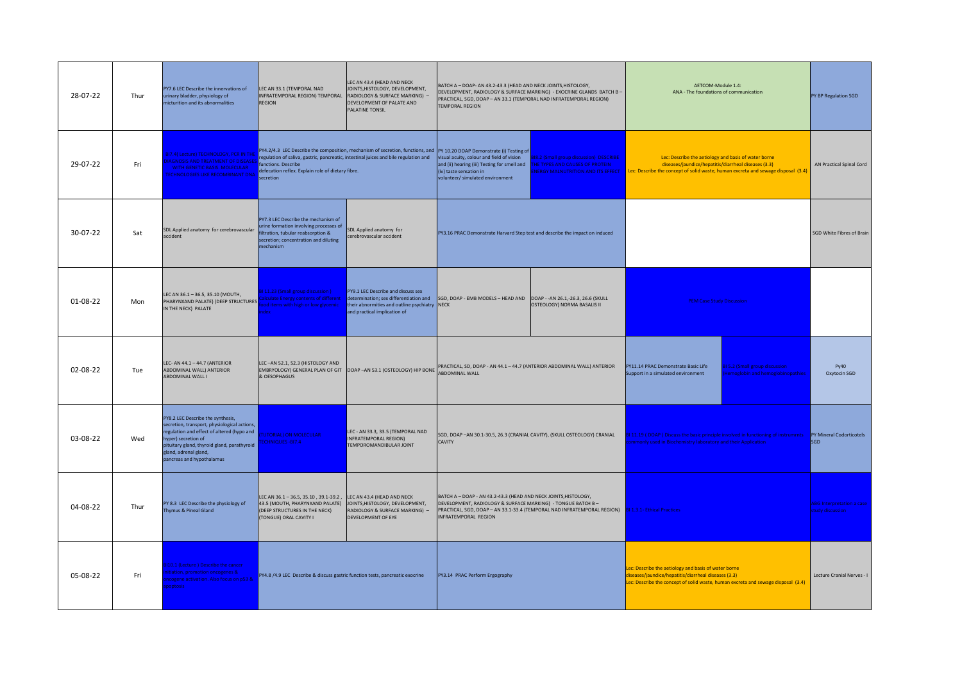| 28-07-22 | Thur | PY7.6 LEC Describe the innervations of<br>irinary bladder, physiology of<br>icturition and its abnormalities                                                                                                                                               | LEC AN 33.1 (TEMPORAL NAD<br>INFRATEMPORAL REGION) TEMPORAL<br><b>REGION</b>                                                                                              | LEC AN 43.4 (HEAD AND NECK<br>JOINTS, HISTOLOGY, DEVELOPMENT,<br>RADIOLOGY & SURFACE MARKING) -<br>DEVELOPMENT OF PALATE AND<br>PALATINE TONSIL | BATCH A - DOAP- AN 43.2-43.3 (HEAD AND NECK JOINTS, HISTOLOGY,<br>AETCOM-Module 1.4:<br>DEVELOPMENT, RADIOLOGY & SURFACE MARKING) - EXOCRINE GLANDS BATCH B -<br>ANA - The foundations of communication<br>PRACTICAL, SGD, DOAP - AN 33.1 (TEMPORAL NAD INFRATEMPORAL REGION)<br><b>TEMPORAL REGION</b> |                                                                                                                                                                                                                                                                                                                                                                         | PY BP Regulation SGD                                                                                                                         |                                                                         |                                                      |
|----------|------|------------------------------------------------------------------------------------------------------------------------------------------------------------------------------------------------------------------------------------------------------------|---------------------------------------------------------------------------------------------------------------------------------------------------------------------------|-------------------------------------------------------------------------------------------------------------------------------------------------|---------------------------------------------------------------------------------------------------------------------------------------------------------------------------------------------------------------------------------------------------------------------------------------------------------|-------------------------------------------------------------------------------------------------------------------------------------------------------------------------------------------------------------------------------------------------------------------------------------------------------------------------------------------------------------------------|----------------------------------------------------------------------------------------------------------------------------------------------|-------------------------------------------------------------------------|------------------------------------------------------|
| 29-07-22 | Fri  | BI7.4( Lecture) TECHNOLOGY, PCR IN THE<br><b>IAGNOSIS AND TREATMENT OF DISEASES</b><br>WITH GENETIC BASIS. MOLECULAR<br><b>ECHNOLOGIES LIKE RECOMBINANT DNA</b>                                                                                            | functions. Describe<br>defecation reflex. Explain role of dietary fibre.<br>secretion                                                                                     | regulation of saliva, gastric, pancreatic, intestinal juices and bile regulation and                                                            | PY4.2/4.3 LEC Describe the composition, mechanism of secretion, functions, and  PY 10.20 DOAP Demonstrate (i) Testing of<br>visual acuity, colour and field of vision<br>(iv) taste sensation in<br>volunteer/ simulated environment                                                                    | Lec: Describe the aetiology and basis of water borne<br>18.2 (Small group discussion) DESCRIBE<br>and (ii) hearing (iii) Testing for smell and THE TYPES AND CAUSES OF PROTEIN<br>diseases/jaundice/hepatitis/diarrheal diseases (3.3)<br><b>VERGY MALNUTRITION AND ITS EFFECT</b><br>Lec: Describe the concept of solid waste, human excreta and sewage disposal (3.4) |                                                                                                                                              | AN Practical Spinal Cord                                                |                                                      |
| 30-07-22 | Sat  | SDL Applied anatomy for cerebrovascular<br>accident                                                                                                                                                                                                        | PY7.3 LEC Describe the mechanism of<br>urine formation involving processes of<br>filtration, tubular reabsorption &<br>secretion; concentration and diluting<br>nechanism | SDL Applied anatomy for<br>cerebrovascular accident                                                                                             | PY3.16 PRAC Demonstrate Harvard Step test and describe the impact on induced                                                                                                                                                                                                                            |                                                                                                                                                                                                                                                                                                                                                                         |                                                                                                                                              |                                                                         | SGD White Fibres of Brain                            |
| 01-08-22 | Mon  | LEC AN 36.1 - 36.5, 35.10 (MOUTH,<br>PHARYNXAND PALATE) (DEEP STRUCTURES<br>IN THE NECK) PALATE                                                                                                                                                            | 31 11.23 (Small group discussion)<br><b>Iculate Energy contents of different</b><br>od items with high or low glycemic<br><b>dex</b>                                      | PY9.1 LEC Describe and discuss sex<br>their abnormities and outline psychiatry NECK<br>and practical implication of                             | determination; sex differentiation and SGD, DOAP - EMB MODELS - HEAD AND DOAP - - AN 26.1, -26.3, 26.6 (SKULL<br><b>PEM Case Study Discussion</b><br>OSTEOLOGY) NORMA BASALIS II                                                                                                                        |                                                                                                                                                                                                                                                                                                                                                                         |                                                                                                                                              |                                                                         |                                                      |
| 02-08-22 | Tue  | LEC- AN 44.1 - 44.7 (ANTERIOR<br>ABDOMINAL WALL) ANTERIOR<br>ABDOMINAL WALL I                                                                                                                                                                              | LEC-AN 52.1, 52.3 (HISTOLOGY AND<br>EMBRYOLOGY) GENERAL PLAN OF GIT<br>& OESOPHAGUS                                                                                       | DOAP-AN 53.1 (OSTEOLOGY) HIP BONE ABDOMINAL WALL                                                                                                | PRACTICAL, SD, DOAP - AN 44.1 - 44.7 (ANTERIOR ABDOMINAL WALL) ANTERIOR                                                                                                                                                                                                                                 |                                                                                                                                                                                                                                                                                                                                                                         | PY11.14 PRAC Demonstrate Basic Life<br>support in a simulated environment                                                                    | <b>815.2 (Small group discussion</b><br>moglobin and hemoglobinopathies | Py40<br>Oxytocin SGD                                 |
| 03-08-22 | Wed  | PY8.2 LEC Describe the synthesis,<br>secretion, transport, physiological actions,<br>regulation and effect of altered (hypo and<br>hyper) secretion of<br>pituitary gland, thyroid gland, parathyroid<br>land, adrenal gland,<br>pancreas and hypothalamus | <b>FUTORIAL) ON MOLECULAR</b><br>ECHNIQUES - BI7.4                                                                                                                        | LEC - AN 33.3, 33.5 (TEMPORAL NAD<br><b>INFRATEMPORAL REGION)</b><br>TEMPOROMANDIBULAR JOINT                                                    | SGD, DOAP -AN 30.1-30.5, 26.3 (CRANIAL CAVITY), (SKULL OSTEOLOGY) CRANIAL<br>CAVITY                                                                                                                                                                                                                     |                                                                                                                                                                                                                                                                                                                                                                         | 11.19 (DOAP) Discuss the basic principle involved in functioning of instrummts<br>only used in Biochemistry laboratory and their Application |                                                                         | PY Mineral Codorticotels<br>SGD                      |
| 04-08-22 | Thur | PY 8.3 LEC Describe the physiology of<br>Thymus & Pineal Gland                                                                                                                                                                                             | LEC AN 36.1 - 36.5, 35.10, 39.1-39.2,<br>43.5 (MOUTH, PHARYNXAND PALATE)<br>(DEEP STRUCTURES IN THE NECK)<br>(TONGUE) ORAL CAVITY I                                       | LEC AN 43.4 (HEAD AND NECK<br>JOINTS, HISTOLOGY, DEVELOPMENT,<br>RADIOLOGY & SURFACE MARKING) -<br>DEVELOPMENT OF EYE                           | BATCH A - DOAP - AN 43.2-43.3 (HEAD AND NECK JOINTS, HISTOLOGY,<br>DEVELOPMENT, RADIOLOGY & SURFACE MARKING) - TONGUE BATCH B -<br>PRACTICAL, SGD, DOAP - AN 33.1-33.4 (TEMPORAL NAD INFRATEMPORAL REGION) 81.1.3.1- Ethical Practices<br>INFRATEMPORAL REGION                                          |                                                                                                                                                                                                                                                                                                                                                                         |                                                                                                                                              |                                                                         | <b>ABG</b> Interpretation a case<br>study discussion |
| 05-08-22 | Fri  | BI10.1 (Lecture) Describe the cancer<br>itiation, promotion oncogenes &<br>cogene activation. Also focus on p53 &<br><b>pontosis</b>                                                                                                                       | PY4.8 /4.9 LEC Describe & discuss gastric function tests, pancreatic exocrine                                                                                             |                                                                                                                                                 | ec: Describe the aetiology and basis of water borne<br>PY3.14 PRAC Perform Ergography<br>iseases/jaundice/hepatitis/diarrheal diseases (3.3)<br>Lec: Describe the concept of solid waste, human excreta and sewage disposal (3.4)                                                                       |                                                                                                                                                                                                                                                                                                                                                                         | Lecture Cranial Nerves - I                                                                                                                   |                                                                         |                                                      |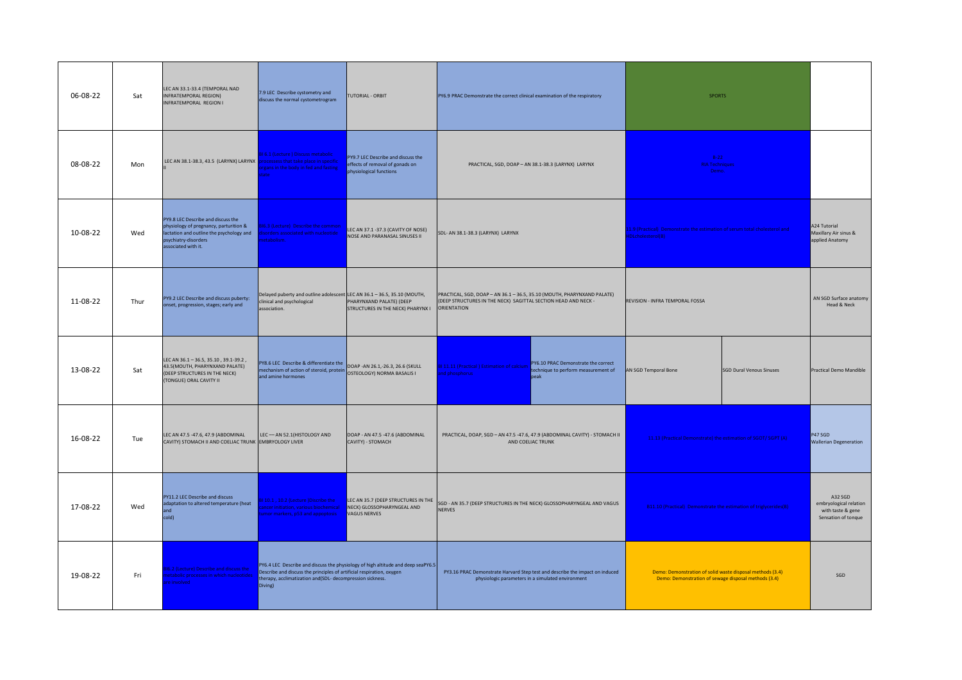| 06-08-22 | Sat  | LEC AN 33.1-33.4 (TEMPORAL NAD<br><b>INFRATEMPORAL REGION)</b><br><b>INFRATEMPORAL REGION I</b>                                                                         | 7.9 LEC Describe cystometry and<br>discuss the normal cystometrogram                                                                                                                                                         | TUTORIAL - ORBIT                                                                                 | PY6.9 PRAC Demonstrate the correct clinical examination of the respiratory                                                                                                                                                                             |                                                                                                 | <b>SPORTS</b>                                                            |                                 |                                                                               |
|----------|------|-------------------------------------------------------------------------------------------------------------------------------------------------------------------------|------------------------------------------------------------------------------------------------------------------------------------------------------------------------------------------------------------------------------|--------------------------------------------------------------------------------------------------|--------------------------------------------------------------------------------------------------------------------------------------------------------------------------------------------------------------------------------------------------------|-------------------------------------------------------------------------------------------------|--------------------------------------------------------------------------|---------------------------------|-------------------------------------------------------------------------------|
| 08-08-22 | Mon  | LEC AN 38.1-38.3, 43.5 (LARYNX) LARYNX                                                                                                                                  | 16.1 (Lecture) Discuss metabolic<br>rocessess that take place in specific<br>gans in the body in fed and fasting                                                                                                             | PY9.7 LEC Describe and discuss the<br>effects of removal of gonads on<br>physiological functions | PRACTICAL, SGD, DOAP - AN 38.1-38.3 (LARYNX) LARYNX                                                                                                                                                                                                    |                                                                                                 | $B-22$<br><b>RIA Techniques</b><br>Demo.                                 |                                 |                                                                               |
| 10-08-22 | Wed  | PY9.8 LEC Describe and discuss the<br>physiology of pregnancy, parturition &<br>lactation and outline the psychology and<br>psychiatry-disorders<br>associated with it. | 6.3 (Lecture) Describe the common<br>sorders associated with nucleotide<br>tabolism                                                                                                                                          | LEC AN 37.1 -37.3 (CAVITY OF NOSE)<br>NOSE AND PARANASAL SINUSES II                              | [1.9 (Practical) Demonstrate the estimation of serum total cholesterol and<br>SDL- AN 38.1-38.3 (LARYNX) LARYNX<br>DLcholesterol(B)                                                                                                                    |                                                                                                 |                                                                          |                                 | A24 Tutorial<br>Maxillary Air sinus &<br>applied Anatomy                      |
| 11-08-22 | Thur | PY9.2 LEC Describe and discuss puberty:<br>onset, progression, stages; early and                                                                                        | Delayed puberty and outline adolescent LEC AN 36.1 - 36.5, 35.10 (MOUTH,<br>linical and psychological<br>association.                                                                                                        | PHARYNXAND PALATE) (DEEP<br>STRUCTURES IN THE NECK) PHARYNX I                                    | PRACTICAL, SGD, DOAP - AN 36.1 - 36.5, 35.10 (MOUTH, PHARYNXAND PALATE)<br>(DEEP STRUCTURES IN THE NECK) SAGITTAL SECTION HEAD AND NECK -<br>ORIENTATION                                                                                               |                                                                                                 | REVISION - INFRA TEMPORAL FOSSA                                          |                                 | AN SGD Surface anatomy<br>Head & Neck                                         |
| 13-08-22 | Sat  | LEC AN 36.1 - 36.5, 35.10, 39.1-39.2,<br>43.5(MOUTH, PHARYNXAND PALATE)<br>(DEEP STRUCTURES IN THE NECK)<br>(TONGUE) ORAL CAVITY II                                     | PY8.6 LEC Describe & differentiate the<br><b>PY8.6 LEC Describe &amp; differentiate the</b><br>mechanism of action of steroid, protein <b>DOAP -AN 26.1</b> , -26.3, 26.6 (SKULL<br>and amino hormance<br>and amine hormones |                                                                                                  | <b>81 11.11 (Practical) Estimation of calcium</b><br>nd phosphorus                                                                                                                                                                                     | PY6.10 PRAC Demonstrate the correct<br>technique to perform measurement of<br>peak              | AN SGD Temporal Bone                                                     | <b>SGD Dural Venous Sinuses</b> | <b>Practical Demo Mandible</b>                                                |
| 16-08-22 | Tue  | LEC AN 47.5 -47.6, 47.9 (ABDOMINAL<br>CAVITY) STOMACH II AND COELIAC TRUNK EMBRYOLOGY LIVER                                                                             | LEC-AN 52.1 (HISTOLOGY AND                                                                                                                                                                                                   | DOAP - AN 47.5 -47.6 (ABDOMINAL<br>CAVITY) - STOMACH                                             |                                                                                                                                                                                                                                                        | PRACTICAL, DOAP, SGD - AN 47.5 -47.6, 47.9 (ABDOMINAL CAVITY) - STOMACH II<br>AND COELIAC TRUNK | 11.13 (Practical Demonstrate) the estimation of SGOT/ SGPT (A)           |                                 | P47 SGD<br><b>Wallerian Degeneration</b>                                      |
| 17-08-22 | Wed  | PY11.2 LEC Describe and discuss<br>adaptation to altered temperature (heat<br>and<br>cold)                                                                              | 110.1, 10.2 (Lecture )Discribe the<br>ncer initiation, various biochemical<br>mor markers, p53 and appoptosis                                                                                                                | LEC AN 35.7 (DEEP STRUCTURES IN THE<br>NECK) GLOSSOPHARYNGEAL AND<br><b>VAGUS NERVES</b>         | SGD - AN 35.7 (DEEP STRUCTURES IN THE NECK) GLOSSOPHARYNGEAL AND VAGUS<br><b>NERVES</b>                                                                                                                                                                |                                                                                                 | <b>B11.10 (Practical) Demonstrate the estimation of triglycerides(B)</b> |                                 | A32 SGD<br>embryological relation<br>with taste & gene<br>Sensation of tonque |
| 19-08-22 | Fri  | 6.2 (Lecture) Describe and discuss the<br>etabolic processes in which nucleotides<br>e involved                                                                         | Describe and discuss the principles of artificial respiration, oxygen<br>therapy, acclimatization and(SDL- decompression sickness.<br>Diving)                                                                                | PY6.4 LEC Describe and discuss the physiology of high altitude and deep seaPY6.5                 | PY3.16 PRAC Demonstrate Harvard Step test and describe the impact on induced<br>Demo: Demonstration of solid waste disposal methods (3.4)<br>physiologic parameters in a simulated environment<br>Demo: Demonstration of sewage disposal methods (3.4) |                                                                                                 |                                                                          | SGD                             |                                                                               |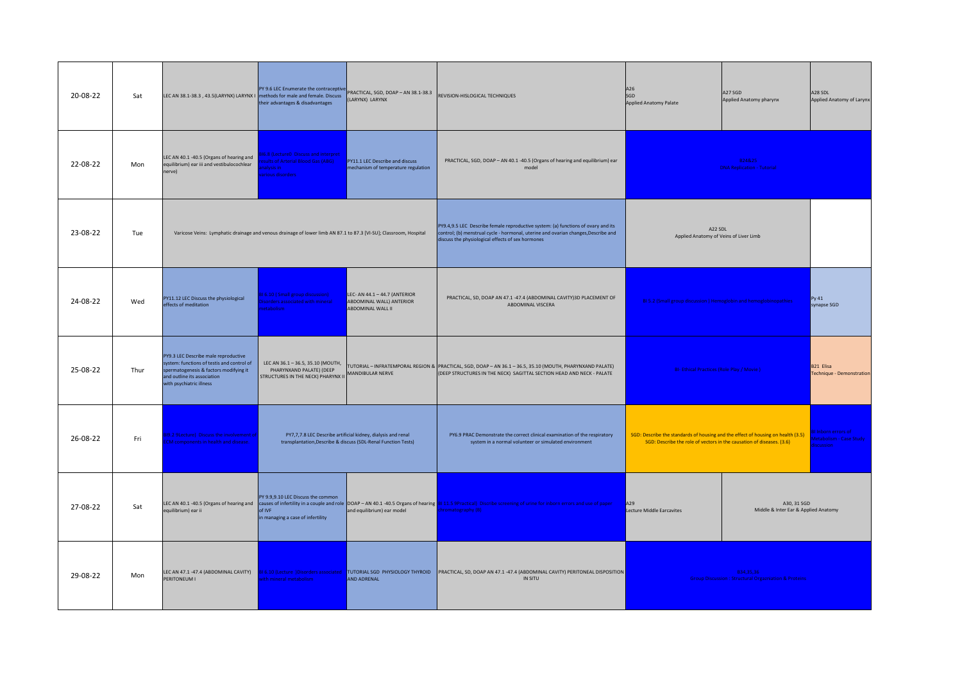| 20-08-22 | Sat  | LEC AN 38.1-38.3 , 43.5(LARYNX) LARYNX I methods for male and female. Discuss                                                                                                           | their advantages & disadvantages                                                                                  | PY 9.6 LEC Enumerate the contraceptive PRACTICAL, SGD, DOAP - AN 38.1-38.3<br>(LARYNX) LARYNX                                  | REVISION-HISLOGICAL TECHNIQUES                                                                                                                                                                                                            | A26<br>SGD<br><b>Applied Anatomy Palate</b>                                                                                                               | A27 SGD<br>Applied Anatomy pharynx                                           |                                                                          |
|----------|------|-----------------------------------------------------------------------------------------------------------------------------------------------------------------------------------------|-------------------------------------------------------------------------------------------------------------------|--------------------------------------------------------------------------------------------------------------------------------|-------------------------------------------------------------------------------------------------------------------------------------------------------------------------------------------------------------------------------------------|-----------------------------------------------------------------------------------------------------------------------------------------------------------|------------------------------------------------------------------------------|--------------------------------------------------------------------------|
| 22-08-22 | Mon  | LEC AN 40.1 -40.5 (Organs of hearing and<br>equilibrium) ear iii and vestibulocochlear<br>nerve)                                                                                        | 6.8 (Lecture0 Discuss and interpret<br>sults of Arterial Blood Gas (ABG)<br>alysis in<br>arious disorders         | PY11.1 LEC Describe and discuss<br>mechanism of temperature regulation                                                         | PRACTICAL, SGD, DOAP - AN 40.1 -40.5 (Organs of hearing and equilibrium) ear<br>model                                                                                                                                                     |                                                                                                                                                           | B24&25<br><b>DNA Replication - Tutorial</b>                                  |                                                                          |
| 23-08-22 | Tue  |                                                                                                                                                                                         | Varicose Veins: Lymphatic drainage and venous drainage of lower limb AN 87.1 to 87.3 [VI-SU]; Classroom, Hospital |                                                                                                                                | PY9.4,9.5 LEC Describe female reproductive system: (a) functions of ovary and its<br>control; (b) menstrual cycle - hormonal, uterine and ovarian changes, Describe and<br>discuss the physiological effects of sex hormones              | A22 SDI<br>Applied Anatomy of Veins of Liver Limb                                                                                                         |                                                                              |                                                                          |
| 24-08-22 | Wed  | PY11.12 LEC Discuss the physiological<br>effects of meditation                                                                                                                          | 16.10 (Small group discussion)<br>sorders associated with mineral<br>etabolism.                                   | LEC- AN $44.1 - 44.7$ (ANTERIOR<br>ABDOMINAL WALL) ANTERIOR<br>ABDOMINAL WALL II                                               | PRACTICAL, SD, DOAP AN 47.1 -47.4 (ABDOMINAL CAVITY)3D PLACEMENT OF<br>ABDOMINAL VISCERA                                                                                                                                                  | BI 5.2 (Small group discussion ) Hemoglobin and hemoglobinopathies                                                                                        |                                                                              | Py 41<br>synapse SGD                                                     |
| 25-08-22 | Thur | PY9.3 LEC Describe male reproductive<br>system: functions of testis and control of<br>spermatogenesis & factors modifying it<br>and outline its association<br>with psychiatric illness | LEC AN 36.1 - 36.5, 35.10 (MOUTH,<br>PHARYNXAND PALATE) (DEEP<br>STRUCTURES IN THE NECK) PHARYNX II               | MANDIBULAR NERVE                                                                                                               | TUTORIAL - INFRATEMPORAL REGION & PRACTICAL, SGD, DOAP - AN 36.1 - 36.5, 35.10 (MOUTH, PHARYNXAND PALATE)<br>(DEEP STRUCTURES IN THE NECK) SAGITTAL SECTION HEAD AND NECK - PALATE                                                        | BI- Ethical Practices (Role Play / Movie)                                                                                                                 |                                                                              | B21 Elisa<br>Fechnique - Demonstration                                   |
| 26-08-22 | Fri  | 9.2 9Lecture) Discuss the involvement o<br>M components in health and disease.                                                                                                          |                                                                                                                   | PY7,7,7.8 LEC Describe artificial kidney, dialysis and renal<br>transplantation, Describe & discuss (SDL-Renal Function Tests) | PY6.9 PRAC Demonstrate the correct clinical examination of the respiratory<br>system in a normal volunteer or simulated environment                                                                                                       | SGD: Describe the standards of housing and the effect of housing on health (3.5)<br>SGD: Describe the role of vectors in the causation of diseases. (3.6) |                                                                              | I Inborn errors of<br><b>Metabolism - Case Study</b><br><i>iscussion</i> |
| 27-08-22 | Sat  | equilibrium) ear ii                                                                                                                                                                     | PY 9.9,9.10 LEC Discuss the common<br>of IVF<br>in managing a case of infertility                                 | and equilibrium) ear model                                                                                                     | LEC AN 40.1 -40.5 (Organs of hearing and causes of infertility in a couple and role DOAP - AN 40.1 -40.5 Organs of hearing <b>BI 11.5 9Practical)</b> Discribe screening of urine for inborn errors and use of paper<br>hromatography (B) | A30, 31 SGD<br>A29<br><b>Lecture Middle Earcavites</b><br>Middle & Inter Ear & Applied Anatomy                                                            |                                                                              |                                                                          |
| 29-08-22 | Mon  | LEC AN 47.1 -47.4 (ABDOMINAL CAVITY)<br>PERITONEUM I                                                                                                                                    | <b>816.10 (Lecture )Disorders associated</b><br>th mineral metabolism                                             | TUTORIAL SGD PHYSIOLOGY THYROID<br><b>AND ADRENAL</b>                                                                          | PRACTICAL, SD, DOAP AN 47.1 -47.4 (ABDOMINAL CAVITY) PERITONEAL DISPOSITION<br>IN SITU                                                                                                                                                    |                                                                                                                                                           | B34,35,36<br><b>Group Discussion: Structural Orgazniation &amp; Proteins</b> |                                                                          |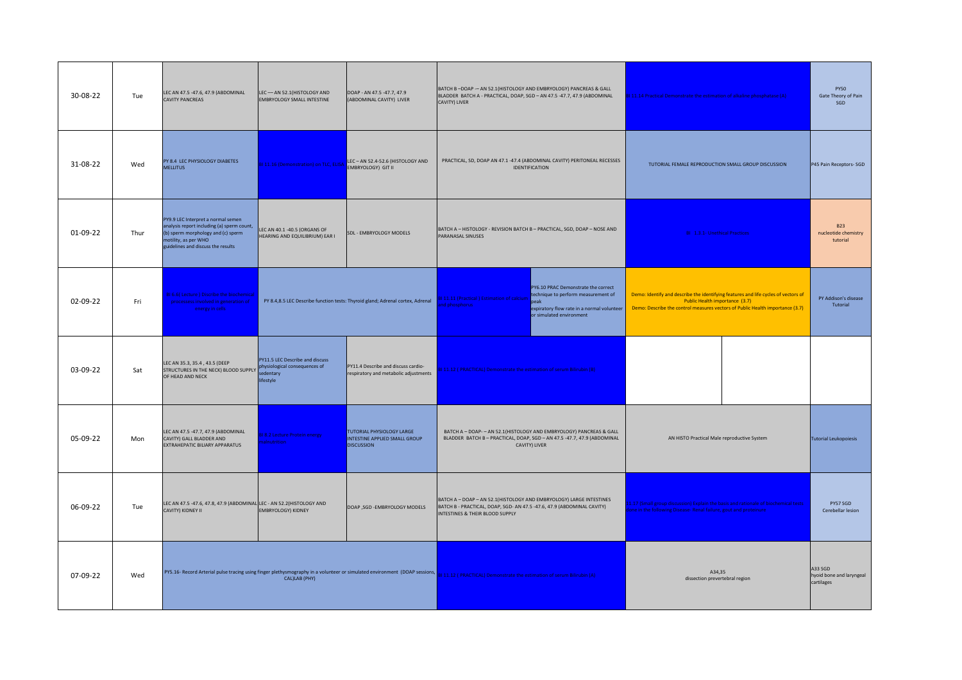| 30-08-22 | Tue  | LEC AN 47.5 -47.6, 47.9 (ABDOMINAL<br><b>CAVITY PANCREAS</b>                                                                                                                         | LEC-AN 52.1(HISTOLOGY AND<br>EMBRYOLOGY SMALL INTESTINE        | DOAP - AN 47.5 -47.7, 47.9<br>(ABDOMINAL CAVITY) LIVER                          | BATCH B-DOAP -- AN 52.1 (HISTOLOGY AND EMBRYOLOGY) PANCREAS & GALL<br>BLADDER BATCH A - PRACTICAL, DOAP, SGD - AN 47.5 -47.7, 47.9 (ABDOMINAL<br>CAVITY) LIVER                                                   |                                                                                                                                                             | Il 11.14 Practical Demonstrate the estimation of alkaline phosphatase (A)                                                                                                                             |  | <b>PY50</b><br>Gate Theory of Pain<br>SGD      |
|----------|------|--------------------------------------------------------------------------------------------------------------------------------------------------------------------------------------|----------------------------------------------------------------|---------------------------------------------------------------------------------|------------------------------------------------------------------------------------------------------------------------------------------------------------------------------------------------------------------|-------------------------------------------------------------------------------------------------------------------------------------------------------------|-------------------------------------------------------------------------------------------------------------------------------------------------------------------------------------------------------|--|------------------------------------------------|
| 31-08-22 | Wed  | PY 8.4 LEC PHYSIOLOGY DIABETES<br><b>MELLITUS</b>                                                                                                                                    |                                                                |                                                                                 | PRACTICAL, SD, DOAP AN 47.1 -47.4 (ABDOMINAL CAVITY) PERITONEAL RECESSES<br>IDENTIFICATION                                                                                                                       |                                                                                                                                                             | TUTORIAL FEMALE REPRODUCTION SMALL GROUP DISCUSSION                                                                                                                                                   |  | P45 Pain Receptors-SGD                         |
| 01-09-22 | Thur | PY9.9 LEC Interpret a normal semen<br>analysis report including (a) sperm count,<br>(b) sperm morphology and (c) sperm<br>motility, as per WHO<br>guidelines and discuss the results | LEC AN 40.1 -40.5 (ORGANS OF<br>HEARING AND EQUILIBRIUM) EAR I | SDL - EMBRYOLOGY MODELS                                                         | BATCH A - HISTOLOGY - REVISION BATCH B - PRACTICAL, SGD, DOAP - NOSE AND<br>PARANASAL SINUSES                                                                                                                    |                                                                                                                                                             | BI 1.3.1- Unethical Practices                                                                                                                                                                         |  | <b>B23</b><br>nucleotide chemistry<br>tutorial |
| 02-09-22 | Fri  | <b>316.6(Lecture) Discribe the biochemical</b><br>processess involved in generation of<br>energy in cells                                                                            |                                                                | PY 8.4,8.5 LEC Describe function tests: Thyroid gland; Adrenal cortex, Adrenal  | PY6.10 PRAC Demonstrate the correct<br>technique to perform measurement of<br>111.11 (Practical) Estimation of calciun<br>d nhosphorus<br>expiratory flow rate in a normal volunteer<br>or simulated environment |                                                                                                                                                             | Demo: Identify and describe the identifying features and life cycles of vectors of<br>Public Health importance (3.7)<br>Demo: Describe the control measures vectors of Public Health importance (3.7) |  | PY Addison's disease<br>Tutorial               |
| 03-09-22 | Sat  | LEC AN 35.3, 35.4, 43.5 (DEEP<br>STRUCTURES IN THE NECK) BLOOD SUPPLY <b>Privational consequences</b> of<br>OF HEAD AND NECK                                                         | PY11.5 LEC Describe and discuss<br>sedentary<br>lifestyle      | PY11.4 Describe and discuss cardio-<br>respiratory and metabolic adjustments    | 111.12 ( PRACTICAL) Demonstrate the estimation of serum Bilirubin (B)                                                                                                                                            |                                                                                                                                                             |                                                                                                                                                                                                       |  |                                                |
| 05-09-22 | Mon  | LEC AN 47.5 -47.7, 47.9 (ABDOMINAL<br>CAVITY) GALL BLADDER AND<br>EXTRAHEPATIC BILIARY APPARATUS                                                                                     | <b>18.2 Lecture Protein energy</b><br>nutrition                | TUTORIAL PHYSIOLOGY LARGE<br>INTESTINE APPLIED SMALL GROUP<br><b>DISCUSSION</b> |                                                                                                                                                                                                                  | BATCH A - DOAP- - AN 52.1 (HISTOLOGY AND EMBRYOLOGY) PANCREAS & GALL<br>BLADDER BATCH B-PRACTICAL, DOAP, SGD-AN 47.5-47.7, 47.9 (ABDOMINAL<br>CAVITY) LIVER | AN HISTO Practical Male reproductive System                                                                                                                                                           |  | <b>Tutorial Leukopoiesis</b>                   |
| 06-09-22 | Tue  | LEC AN 47.5 -47.6, 47.8, 47.9 (ABDOMINAL LEC - AN 52.2 (HISTOLOGY AND<br>CAVITY) KIDNEY II                                                                                           | EMBRYOLOGY) KIDNEY                                             | DOAP ,SGD -EMBRYOLOGY MODELS                                                    | BATCH A - DOAP - AN 52.1(HISTOLOGY AND EMBRYOLOGY) LARGE INTESTINES<br>BATCH B - PRACTICAL, DOAP, SGD- AN 47.5 -47.6, 47.9 (ABDOMINAL CAVITY)<br>INTESTINES & THEIR BLOOD SUPPLY                                 |                                                                                                                                                             | 11.17 (Small group discussion) Explain the basis and rationale of biochemical tests<br>ne in the following Disease- Renal failure, gout and proteinure                                                |  | PY57 SGD<br>Cerebellar lesion                  |
| 07-09-22 | Wed  | PY5.16- Record Arterial pulse tracing using finger plethysmography in a volunteer or simulated environment (DOAP sessions,                                                           | CAL)LAB (PHY)                                                  |                                                                                 | A34.35<br>11.12 (PRACTICAL) Demonstrate the estimation of serum Bilirubin (A)<br>dissection prevertebral region                                                                                                  |                                                                                                                                                             | A33 SGD<br>hyoid bone and laryngeal<br>cartilages                                                                                                                                                     |  |                                                |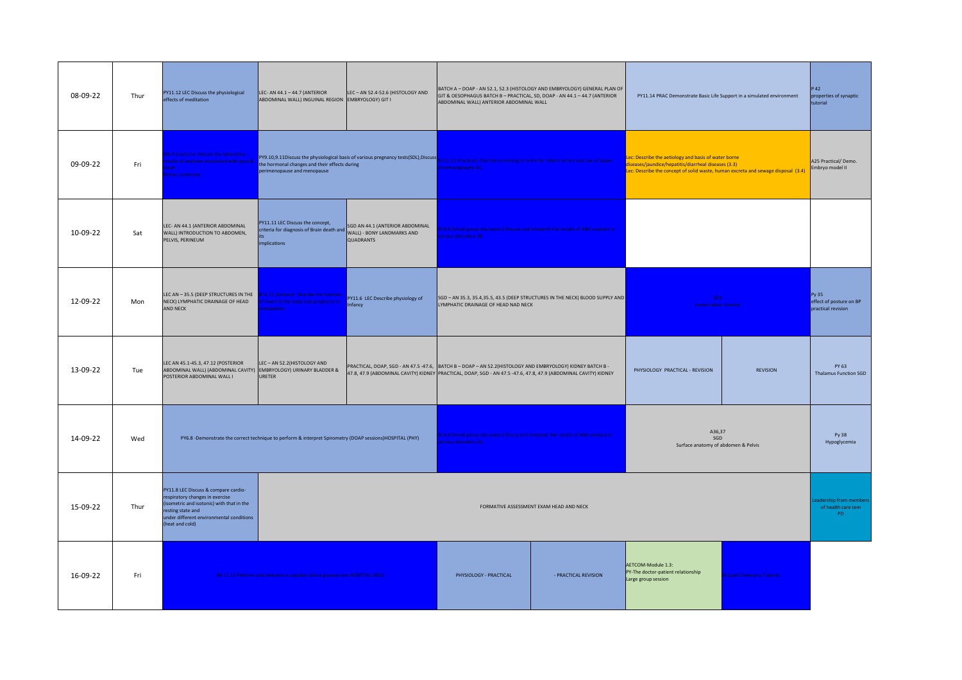| 08-09-22 | Thur | PY11.12 LEC Discuss the physiological<br>effects of meditation                                                                                                                                           | LEC- AN 44.1 - 44.7 (ANTERIOR<br>ABDOMINAL WALL) INGUINAL REGION EMBRYOLOGY) GIT I                       | LEC-AN 52.4-52.6 (HISTOLOGY AND                                                                                                                                                                                                                      | BATCH A - DOAP - AN 52.1, 52.3 (HISTOLOGY AND EMBRYOLOGY) GENERAL PLAN OF<br>GIT & OESOPHAGUS BATCH B - PRACTICAL, SD, DOAP - AN 44.1 - 44.7 (ANTERIOR<br>ABDOMINAL WALL) ANTERIOR ABDOMINAL WALL                            |  | PY11.14 PRAC Demonstrate Basic Life Support in a simulated environment                                                                                                                         |                 | 42<br>properties of synaptic<br>tutorial               |
|----------|------|----------------------------------------------------------------------------------------------------------------------------------------------------------------------------------------------------------|----------------------------------------------------------------------------------------------------------|------------------------------------------------------------------------------------------------------------------------------------------------------------------------------------------------------------------------------------------------------|------------------------------------------------------------------------------------------------------------------------------------------------------------------------------------------------------------------------------|--|------------------------------------------------------------------------------------------------------------------------------------------------------------------------------------------------|-----------------|--------------------------------------------------------|
| 09-09-22 | Fri  | 16.4 (Lecture) Discuss the laboratory<br>sults of analytes associated with gout &<br>esch<br>yhan syndrome                                                                                               | the hormonal changes and their effects during<br>perimenopause and menopause                             |                                                                                                                                                                                                                                                      | PY9.10,9.11Discuss the physiological basis of various pregnancy tests(SDL),Discuss 8111.5 (Practical) Discribe screening of urine for inborn errors and use of paper<br><b>Tromatography (A)</b>                             |  | ec: Describe the aetiology and basis of water borne<br>iseases/jaundice/hepatitis/diarrheal diseases (3.3)<br>ec: Describe the concept of solid waste, human excreta and sewage disposal (3.4) |                 | A25 Practical/ Demo.<br>Embryo model II                |
| 10-09-22 | Sat  | LEC- AN 44.1 (ANTERIOR ABDOMINAL<br>WALL) INTRODUCTION TO ABDOMEN,<br>PELVIS, PERINEUM                                                                                                                   | PY11.11 LEC Discuss the concept,<br>criteria for diagnosis of Brain death and<br>its.<br>implications    | SGD AN 44.1 (ANTERIOR ABDOMINAL<br>WALL) - BONY LANDMARKS AND<br><b>QUADRANTS</b>                                                                                                                                                                    | 31 6.8 (Small group discussion) Discuss and interpret the results of ABG analysis in<br><b>arious disorders (B)</b>                                                                                                          |  |                                                                                                                                                                                                |                 |                                                        |
| 12-09-22 | Mon  | LEC AN - 35.5 (DEEP STRUCTURES IN THE<br>NECK) LYMPHATIC DRAINAGE OF HEAD<br>AND NECK                                                                                                                    | BI 6.11 (Lecture) Discribe the function<br>f heam in the body and porphyria in<br>stabolism.             | PY11.6 LEC Describe physiology of<br>Infancy                                                                                                                                                                                                         | SGD - AN 35.3, 35.4, 35.5, 43.5 (DEEP STRUCTURES IN THE NECK) BLOOD SUPPLY AND<br>LYMPHATIC DRAINAGE OF HEAD NAD NECK                                                                                                        |  | <b>B26</b><br>transcription tutorial                                                                                                                                                           |                 | Py 35<br>effect of posture on BP<br>practical revision |
| 13-09-22 | Tue  | LEC AN 45.1-45.3, 47.12 (POSTERIOR<br>ABDOMINAL WALL) (ABDOMINAL CAVITY) EMBRYOLOGY) URINARY BLADDER &<br>POSTERIOR ABDOMINAL WALL I                                                                     | LEC-AN 52.2 (HISTOLOGY AND<br><b>URETER</b>                                                              |                                                                                                                                                                                                                                                      | PRACTICAL, DOAP, SGD - AN 47.5 -47.6, BATCH B - DOAP - AN 52.2(HISTOLOGY AND EMBRYOLOGY) KIDNEY BATCH B -<br>47.8, 47.9 (ABDOMINAL CAVITY) KIDNEY PRACTICAL, DOAP, SGD - AN 47.5 -47.6, 47.8, 47.9 (ABDOMINAL CAVITY) KIDNEY |  | PHYSIOLOGY PRACTICAL - REVISION                                                                                                                                                                | <b>REVISION</b> | PY 63<br><b>Thalamus Function SGD</b>                  |
| 14-09-22 | Wed  |                                                                                                                                                                                                          | PY6.8 -Demonstrate the correct technique to perform & interpret Spirometry (DOAP sessions)HOSPITAL (PHY) |                                                                                                                                                                                                                                                      | BI 6.8 (Small group discussion) Discus and interpret the results of ABG analysis in<br>rious disorders (A)                                                                                                                   |  | A36,37<br>SGD<br>Surface anatomy of abdomen & Pelvis                                                                                                                                           |                 | Py 38<br>Hypoglycemia                                  |
| 15-09-22 | Thur | PY11.8 LEC Discuss & compare cardio-<br>respiratory changes in exercise<br>(isometric and isotonic) with that in the<br>resting state and<br>under different environmental conditions<br>(heat and cold) |                                                                                                          | FORMATIVE ASSESSMENT EXAM HEAD AND NECK                                                                                                                                                                                                              |                                                                                                                                                                                                                              |  |                                                                                                                                                                                                |                 |                                                        |
| 16-09-22 | Fri  |                                                                                                                                                                                                          |                                                                                                          | AETCOM-Module 1.3:<br>PY-The doctor-patient relationship<br>IM 11.12 Perform and interpret a capillary blood glucose test HOSPITAL (BIO)<br>- PRACTICAL REVISION<br>PHYSIOLOGY - PRACTICAL<br><b>Lipid Chemistry Tutorial</b><br>Large group session |                                                                                                                                                                                                                              |  |                                                                                                                                                                                                |                 |                                                        |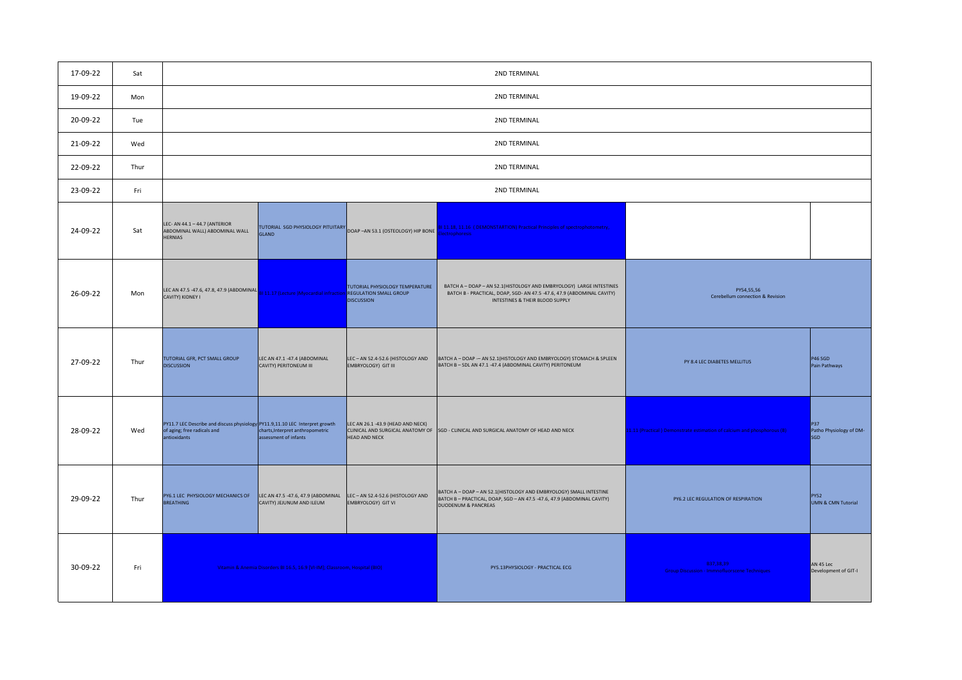| 17-09-22 | Sat  |                                                                                                                             |                                                                             |                                                                                              | 2ND TERMINAL                                                                                                                                                                     |                                                                        |                                              |
|----------|------|-----------------------------------------------------------------------------------------------------------------------------|-----------------------------------------------------------------------------|----------------------------------------------------------------------------------------------|----------------------------------------------------------------------------------------------------------------------------------------------------------------------------------|------------------------------------------------------------------------|----------------------------------------------|
| 19-09-22 | Mon  |                                                                                                                             |                                                                             |                                                                                              | 2ND TERMINAL                                                                                                                                                                     |                                                                        |                                              |
| 20-09-22 | Tue  |                                                                                                                             |                                                                             |                                                                                              | 2ND TERMINAL                                                                                                                                                                     |                                                                        |                                              |
| 21-09-22 | Wed  |                                                                                                                             |                                                                             |                                                                                              | 2ND TERMINAL                                                                                                                                                                     |                                                                        |                                              |
| 22-09-22 | Thur |                                                                                                                             |                                                                             |                                                                                              | 2ND TERMINAL                                                                                                                                                                     |                                                                        |                                              |
| 23-09-22 | Fri  |                                                                                                                             |                                                                             |                                                                                              | 2ND TERMINAL                                                                                                                                                                     |                                                                        |                                              |
| 24-09-22 | Sat  | LEC- AN 44.1 - 44.7 (ANTERIOR<br>ABDOMINAL WALL) ABDOMINAL WALL<br><b>HERNIAS</b>                                           | <b>GLAND</b>                                                                | TUTORIAL SGD PHYSIOLOGY PITUITARY DOAP - AN 53.1 (OSTEOLOGY) HIP BONE                        | 31 11.18, 11.16 (DEMONSTARTION) Practical Principles of spectrophotometry,<br>ectrophoresis                                                                                      |                                                                        |                                              |
| 26-09-22 | Mon  | LEC AN 47.5 -47.6, 47.8, 47.9 (ABDOMINAL<br>CAVITY) KIDNEY I                                                                | <b>BI 11.17 (Lecture )Myocardial infractior</b>                             | <b>TUTORIAL PHYSIOLOGY TEMPERATURE</b><br><b>REGULATION SMALL GROUP</b><br><b>DISCUSSION</b> | BATCH A - DOAP - AN 52.1(HISTOLOGY AND EMBRYOLOGY) LARGE INTESTINES<br>BATCH B - PRACTICAL, DOAP, SGD- AN 47.5 -47.6, 47.9 (ABDOMINAL CAVITY)<br>INTESTINES & THEIR BLOOD SUPPLY | PY54,55,56<br>Cerebellum connection & Revision                         |                                              |
| 27-09-22 | Thur | TUTORIAL GFR, PCT SMALL GROUP<br><b>DISCUSSION</b>                                                                          | LEC AN 47.1 -47.4 (ABDOMINAL<br>CAVITY) PERITONEUM III                      | LEC-AN 52.4-52.6 (HISTOLOGY AND<br><b>EMBRYOLOGY) GIT III</b>                                | BATCH A - DOAP - AN 52.1 (HISTOLOGY AND EMBRYOLOGY) STOMACH & SPLEEN<br>BATCH B - SDL AN 47.1 -47.4 (ABDOMINAL CAVITY) PERITONEUM                                                | PY 8.4 LEC DIABETES MELLITUS                                           | P46 SGD<br>Pain Pathways                     |
| 28-09-22 | Wed  | PY11.7 LEC Describe and discuss physiology PY11.9,11.10 LEC Interpret growth<br>of aging; free radicals and<br>antioxidants | charts, Interpret anthropometric<br>assessment of infants                   | LEC AN 26.1 -43.9 (HEAD AND NECK)<br><b>HEAD AND NECK</b>                                    | CLINICAL AND SURGICAL ANATOMY OF SGD - CLINICAL AND SURGICAL ANATOMY OF HEAD AND NECK                                                                                            | 1.11 (Practical) Demonstrate estimation of calcium and phosphorous (B) | P37<br>Patho Physiology of DM-<br><b>SGD</b> |
| 29-09-22 | Thur | PY6.1 LEC PHYSIOLOGY MECHANICS OF<br><b>BREATHING</b>                                                                       | LEC AN 47.5 -47.6, 47.9 (ABDOMINAL<br>CAVITY) JEJUNUM AND ILEUM             | LEC-AN 52.4-52.6 (HISTOLOGY AND<br>EMBRYOLOGY) GIT VI                                        | BATCH A - DOAP - AN 52.1 (HISTOLOGY AND EMBRYOLOGY) SMALL INTESTINE<br>BATCH B - PRACTICAL, DOAP, SGD - AN 47.5 -47.6, 47.9 (ABDOMINAL CAVITY)<br><b>DUODENUM &amp; PANCREAS</b> | PY6.2 LEC REGULATION OF RESPIRATION                                    | <b>PY52</b><br><b>UMN &amp; CMN Tutorial</b> |
| 30-09-22 | Fri  |                                                                                                                             | Vitamin & Anemia Disorders BI 16.5, 16.9 [VI-IM]; Classroom, Hospital (BIO) |                                                                                              | PY5.13PHYSIOLOGY - PRACTICAL ECG                                                                                                                                                 | B37,38,39<br><b>Group Discussion - Immnofluorscene Techniques</b>      | AN 45 Lec<br>Development of GIT-I            |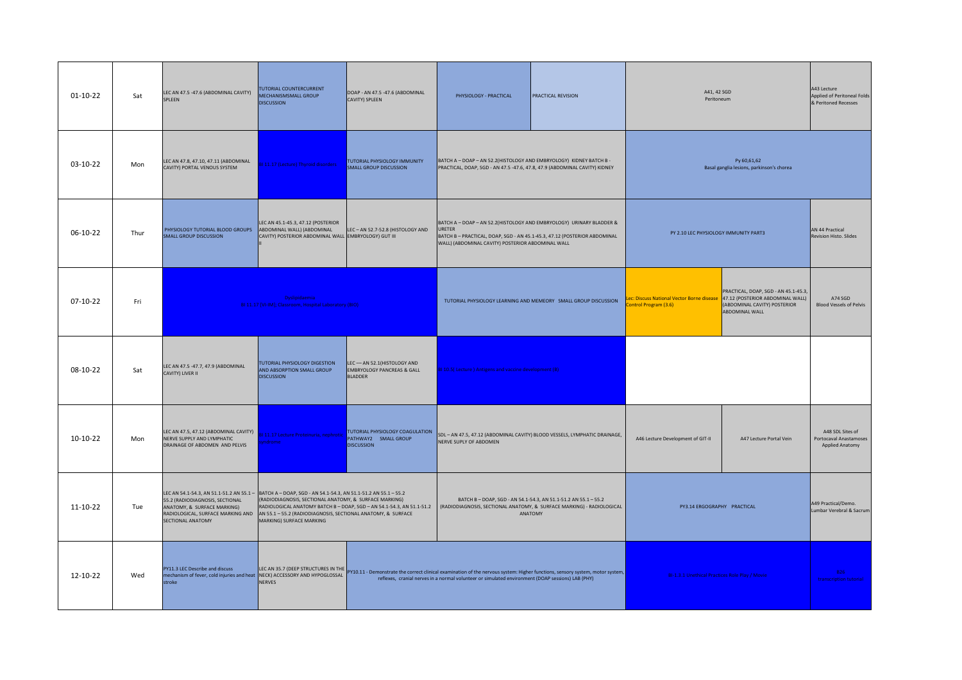| 01-10-22 | Sat  | LEC AN 47.5 -47.6 (ABDOMINAL CAVITY)<br>SPLEEN                                                                                                                                                                                       | TUTORIAL COUNTERCURRENT<br>MECHANISMSMALL GROUP<br><b>DISCUSSION</b>                                                                               | DOAP - AN 47.5 -47.6 (ABDOMINAL<br>CAVITY) SPLEEN                                       | PHYSIOLOGY - PRACTICAL                                                                                                                                                                                                                                                 | PRACTICAL REVISION                                                                                                                                                                                             | A41, 42 SGD<br>Peritoneum                                                                          |                                                                                       | A43 Lecture<br>Applied of Peritoneal Folds<br>& Peritoned Recesses |
|----------|------|--------------------------------------------------------------------------------------------------------------------------------------------------------------------------------------------------------------------------------------|----------------------------------------------------------------------------------------------------------------------------------------------------|-----------------------------------------------------------------------------------------|------------------------------------------------------------------------------------------------------------------------------------------------------------------------------------------------------------------------------------------------------------------------|----------------------------------------------------------------------------------------------------------------------------------------------------------------------------------------------------------------|----------------------------------------------------------------------------------------------------|---------------------------------------------------------------------------------------|--------------------------------------------------------------------|
| 03-10-22 | Mon  | LEC AN 47.8, 47.10, 47.11 (ABDOMINAL<br>CAVITY) PORTAL VENOUS SYSTEM                                                                                                                                                                 | BI 11.17 (Lecture) Thyroid disorders                                                                                                               | TUTORIAL PHYSIOLOGY IMMUNITY<br><b>SMALL GROUP DISCUSSION</b>                           |                                                                                                                                                                                                                                                                        | BATCH A - DOAP - AN 52.2 (HISTOLOGY AND EMBRYOLOGY) KIDNEY BATCH B -<br>Py 60,61,62<br>PRACTICAL, DOAP, SGD - AN 47.5 -47.6, 47.8, 47.9 (ABDOMINAL CAVITY) KIDNEY<br>Basal ganglia lesions, parkinson's chorea |                                                                                                    |                                                                                       |                                                                    |
| 06-10-22 | Thur | PHYSIOLOGY TUTORIAL BLOOD GROUPS<br><b>SMALL GROUP DISCUSSION</b>                                                                                                                                                                    | LEC AN 45.1-45.3, 47.12 (POSTERIOR<br>ABDOMINAL WALL) (ABDOMINAL<br>CAVITY) POSTERIOR ABDOMINAL WALL EMBRYOLOGY) GUT III                           | LEC-AN 52.7-52.8 (HISTOLOGY AND                                                         | BATCH A - DOAP - AN 52.2(HISTOLOGY AND EMBRYOLOGY) URINARY BLADDER &<br>URETER<br>BATCH B-PRACTICAL, DOAP, SGD - AN 45.1-45.3, 47.12 (POSTERIOR ABDOMINAL<br>WALL) (ABDOMINAL CAVITY) POSTERIOR ABDOMINAL WALL                                                         |                                                                                                                                                                                                                | PY 2.10 LEC PHYSIOLOGY IMMUNITY PART3                                                              |                                                                                       | AN 44 Practical<br><b>Revision Histo. Slides</b>                   |
| 07-10-22 | Fri  |                                                                                                                                                                                                                                      | <b>Dyslipidaemia</b><br>BI 11.17 [VI-IM]; Classroom, Hospital Laboratory (BIO)                                                                     |                                                                                         |                                                                                                                                                                                                                                                                        | TUTORIAL PHYSIOLOGY LEARNING AND MEMEORY SMALL GROUP DISCUSSION                                                                                                                                                | ec: Discuss National Vector Borne disease 47.12 (POSTERIOR ABDOMINAL WALL)<br>ontrol Program (3.6) | PRACTICAL, DOAP, SGD - AN 45.1-45.3<br>(ABDOMINAL CAVITY) POSTERIOR<br>ABDOMINAL WALL | A74 SGD<br><b>Blood Vessels of Pelvis</b>                          |
| 08-10-22 | Sat  | LEC AN 47.5 -47.7, 47.9 (ABDOMINAL<br>CAVITY) LIVER II                                                                                                                                                                               | TUTORIAL PHYSIOLOGY DIGESTION<br>AND ABSORPTION SMALL GROUP<br><b>DISCUSSION</b>                                                                   | LEC - AN 52.1 (HISTOLOGY AND<br><b>EMBRYOLOGY PANCREAS &amp; GALL</b><br><b>BLADDER</b> | 31 10.5( Lecture ) Antigens and vaccine development (B)                                                                                                                                                                                                                |                                                                                                                                                                                                                |                                                                                                    |                                                                                       |                                                                    |
| 10-10-22 | Mon  | LEC AN 47.5, 47.12 (ABDOMINAL CAVITY)<br>NERVE SUPPLY AND LYMPHATIC<br>DRAINAGE OF ABDOMEN AND PELVIS                                                                                                                                | 31 11.17 Lecture Proteinuria, nephrotic<br>drome                                                                                                   | TUTORIAL PHYSIOLOGY COAGULATION<br>PATHWAY2 SMALL GROUP<br><b>DISCUSSION</b>            | NERVE SUPLY OF ABDOMEN                                                                                                                                                                                                                                                 | SDL - AN 47.5, 47.12 (ABDOMINAL CAVITY) BLOOD VESSELS, LYMPHATIC DRAINAGE,                                                                                                                                     | A46 Lecture Development of GIT-II                                                                  | A47 Lecture Portal Vein                                                               | A48 SDL Sites of<br>Portocaval Anastamoses<br>Applied Anatomy      |
| 11-10-22 | Tue  | LEC AN 54.1-54.3, AN 51.1-51.2 AN 55.1 - BATCH A - DOAP, SGD - AN 54.1-54.3, AN 51.1-51.2 AN 55.1 - 55.2<br>55.2 (RADIODIAGNOSIS, SECTIONAL<br>ANATOMY, & SURFACE MARKING)<br>RADIOLOGICAL, SURFACE MARKING AND<br>SECTIONAL ANATOMY | (RADIODIAGNOSIS, SECTIONAL ANATOMY, & SURFACE MARKING)<br>AN 55.1 - 55.2 (RADIODIAGNOSIS, SECTIONAL ANATOMY, & SURFACE<br>MARKING) SURFACE MARKING | RADIOLOGICAL ANATOMY BATCH B - DOAP, SGD - AN 54.1-54.3, AN 51.1-51.2                   | BATCH B-DOAP, SGD - AN 54.1-54.3, AN 51.1-51.2 AN 55.1-55.2<br>(RADIODIAGNOSIS, SECTIONAL ANATOMY, & SURFACE MARKING) - RADIOLOGICAL<br>ANATOMY                                                                                                                        |                                                                                                                                                                                                                | PY3.14 ERGOGRAPHY PRACTICAL                                                                        |                                                                                       | A49 Practical/Demo.<br>Lumbar Verebral & Sacrum                    |
| 12-10-22 | Wed  | PY11.3 LEC Describe and discuss<br>mechanism of fever, cold injuries and heat  NECK) ACCESSORY AND HYPOGLOSSAL<br>stroke                                                                                                             | NERVES                                                                                                                                             |                                                                                         | LEC AN 35.7 (DEEP STRUCTURES IN THE PY10.11 - Demonstrate the correct clinical examination of the nervous system: Higher functions, sensory system, motor system,<br>reflexes, cranial nerves in a normal volunteer or simulated environment (DOAP sessions) LAB (PHY) |                                                                                                                                                                                                                | BI-1.3.1 Unethical Practices Role Play / Movie                                                     |                                                                                       | <b>B26</b><br>transcription tutorial                               |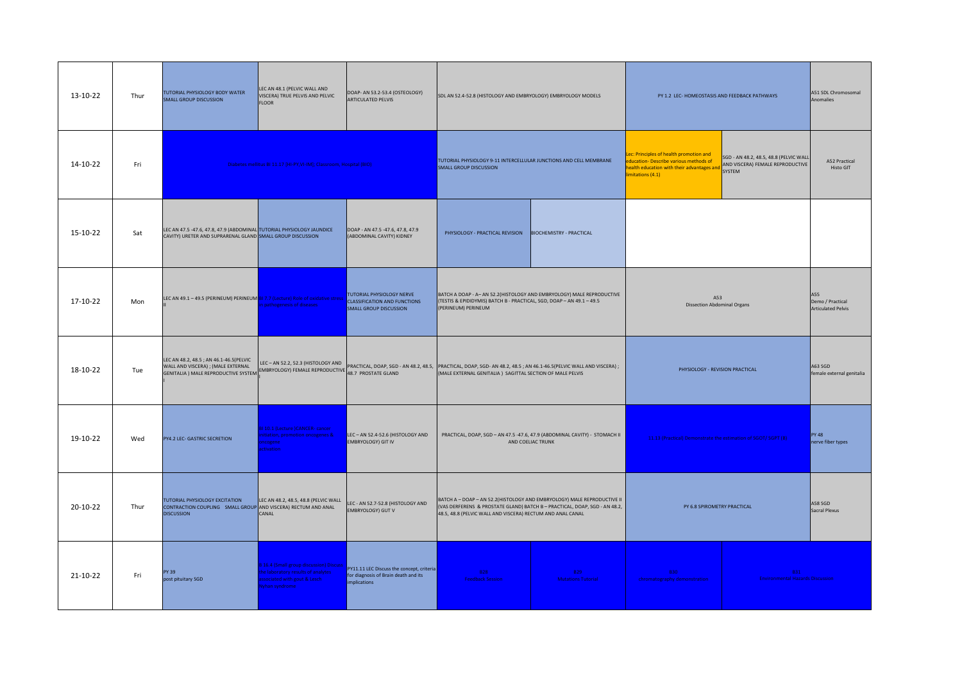| 13-10-22 | Thur | TUTORIAL PHYSIOLOGY BODY WATER<br><b>SMALL GROUP DISCUSSION</b>                                                                                                                                                                                         | LEC AN 48.1 (PELVIC WALL AND<br>VISCERA) TRUE PELVIS AND PELVIC<br><b>FLOOR</b>                                          | DOAP- AN 53.2-53.4 (OSTEOLOGY)<br><b>ARTICULATED PELVIS</b>                                       | SDL AN 52.4-52.8 (HISTOLOGY AND EMBRYOLOGY) EMBRYOLOGY MODELS                                                                                                                                                                                      |                                                                                                 | PY 1.2 LEC- HOMEOSTASIS AND FEEDBACK PATHWAYS                                                                                                    |                                                                                      | A51 SDL Chromosomal<br>Anomalies                     |
|----------|------|---------------------------------------------------------------------------------------------------------------------------------------------------------------------------------------------------------------------------------------------------------|--------------------------------------------------------------------------------------------------------------------------|---------------------------------------------------------------------------------------------------|----------------------------------------------------------------------------------------------------------------------------------------------------------------------------------------------------------------------------------------------------|-------------------------------------------------------------------------------------------------|--------------------------------------------------------------------------------------------------------------------------------------------------|--------------------------------------------------------------------------------------|------------------------------------------------------|
| 14-10-22 | Fri  |                                                                                                                                                                                                                                                         | Diabetes mellitus BI 11.17 [HI-PY, VI-IM]; Classroom, Hospital (BIO)                                                     |                                                                                                   | TUTORIAL PHYSIOLOGY 9-11 INTERCELLULAR JUNCTIONS AND CELL MEMBRANE<br>SMALL GROUP DISCUSSION                                                                                                                                                       |                                                                                                 | ec: Principles of health promotion and<br>ducation- Describe various methods of<br>ealth education with their advantages and<br>imitations (4.1) | SGD - AN 48.2, 48.5, 48.8 (PELVIC WALL<br>AND VISCERA) FEMALE REPRODUCTIVE<br>SYSTEM | A52 Practical<br><b>Histo GIT</b>                    |
| 15-10-22 | Sat  | LEC AN 47.5 -47.6, 47.8, 47.9 (ABDOMINAL TUTORIAL PHYSIOLOGY JAUNDICE<br>CAVITY) URETER AND SUPRARENAL GLAND SMALL GROUP DISCUSSION                                                                                                                     |                                                                                                                          | DOAP - AN 47.5 -47.6, 47.8, 47.9<br>(ABDOMINAL CAVITY) KIDNEY                                     | PHYSIOLOGY - PRACTICAL REVISION  BIOCHEMISTRY - PRACTICAL                                                                                                                                                                                          |                                                                                                 |                                                                                                                                                  |                                                                                      |                                                      |
| 17-10-22 | Mon  | LEC AN 49.1 - 49.5 (PERINEUM) PERINEUM BI 7.7 (Lecture) Role of oxidative stress                                                                                                                                                                        | pathogenesis of diseases                                                                                                 | TUTORIAL PHYSIOLOGY NERVE<br><b>CLASSIFICATION AND FUNCTIONS</b><br><b>SMALL GROUP DISCUSSION</b> | BATCH A DOAP - A- AN 52.2(HISTOLOGY AND EMBRYOLOGY) MALE REPRODUCTIVE<br>(TESTIS & EPIDIDYMIS) BATCH B - PRACTICAL, SGD, DOAP - AN 49.1 - 49.5<br>(PERINEUM) PERINEUM                                                                              |                                                                                                 | A53<br><b>Dissection Abdominal Organs</b>                                                                                                        |                                                                                      | A55<br>Demo / Practical<br><b>Articulated Pelvis</b> |
| 18-10-22 | Tue  | LEC AN 48.2, 48.5 ; AN 46.1-46.5(PELVIC<br>WALLAND VISCERA) ; (MALE EXTERNAL   LEL – AN SZZ, SZ.3 (HISTOLOGY AND   PRACTICAL, DOAP, SGD - AN 48.2, 48.5,<br>GENITALIA ) MALE REPRODUCTIVE SYSTEM   MBRYOLOGY) FEMALE REPRODUCTIVE   48.7 PROSTATE GLAND | LEC-AN 52.2, 52.3 (HISTOLOGY AND                                                                                         |                                                                                                   | PRACTICAL, DOAP, SGD- AN 48.2, 48.5 ; AN 46.1-46.5(PELVIC WALL AND VISCERA) ;<br>PHYSIOLOGY - REVISION PRACTICAL<br>(MALE EXTERNAL GENITALIA) SAGITTAL SECTION OF MALE PELVIS                                                                      |                                                                                                 |                                                                                                                                                  | A63 SGD<br>female external genitalia                                                 |                                                      |
| 19-10-22 | Wed  | PY4.2 LEC- GASTRIC SECRETION                                                                                                                                                                                                                            | 110.1 (Lecture )CANCER-cancer<br>itiation, promotion oncogenes &<br>icogene<br>tivation                                  | LEC - AN 52.4-52.6 (HISTOLOGY AND<br><b>EMBRYOLOGY) GIT IV</b>                                    |                                                                                                                                                                                                                                                    | PRACTICAL, DOAP, SGD - AN 47.5 -47.6, 47.9 (ABDOMINAL CAVITY) - STOMACH II<br>AND COELIAC TRUNK | 11.13 (Practical) Demonstrate the estimation of SGOT/ SGPT (B)                                                                                   |                                                                                      | <b>PY 48</b><br>nerve fiber types                    |
| 20-10-22 | Thur | TUTORIAL PHYSIOLOGY EXCITATION<br>CONTRACTION COUPLING SMALL GROUP AND VISCERA) RECTUM AND ANAL<br><b>DISCUSSION</b>                                                                                                                                    | LEC AN 48.2, 48.5, 48.8 (PELVIC WALL<br>CANAL                                                                            | LEC - AN 52.7-52.8 (HISTOLOGY AND<br><b>EMBRYOLOGY) GUT V</b>                                     | BATCH A - DOAP - AN 52.2(HISTOLOGY AND EMBRYOLOGY) MALE REPRODUCTIVE II<br>(VAS DERFERENS & PROSTATE GLAND) BATCH B - PRACTICAL, DOAP, SGD - AN 48.2,<br>PY 6.8 SPIROMETRY PRACTICAL<br>48.5, 48.8 (PELVIC WALL AND VISCERA) RECTUM AND ANAL CANAL |                                                                                                 | A58 SGD<br>Sacral Plexus                                                                                                                         |                                                                                      |                                                      |
| 21-10-22 | Fri  | PY 39<br>post pituitary SGD                                                                                                                                                                                                                             | 16.4 (Small group discussion) Discuss<br>e laboratory results of analytes<br>sociated with gout & Lesch<br>yhan syndrome | PY11.11 LEC Discuss the concept, criteria<br>for diagnosis of Brain death and its<br>implications | <b>B28</b><br><b>Feedback Session</b>                                                                                                                                                                                                              | B <sub>29</sub><br><b>Mutations Tutorial</b>                                                    | <b>B30</b><br>chromatography demonstration                                                                                                       | <b>B31</b><br><b>Environmental Hazards Discussion</b>                                |                                                      |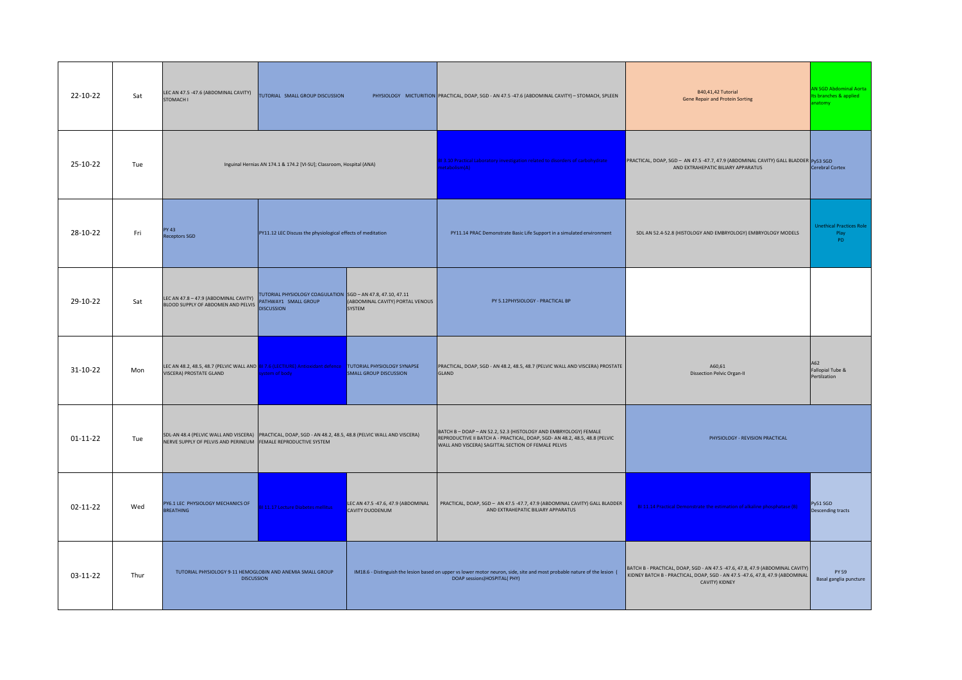| 22-10-22       | Sat  | LEC AN 47.5 -47.6 (ABDOMINAL CAVITY)<br><b>STOMACH I</b>                                                                                                                     | TUTORIAL SMALL GROUP DISCUSSION                                                                          |                                                       | PHYSIOLOGY MICTURITION PRACTICAL, DOAP, SGD - AN 47.5 -47.6 (ABDOMINAL CAVITY) - STOMACH, SPLEEN                                                                                                       | B40,41,42 Tutorial<br><b>Gene Repair and Protein Sorting</b>                                                                                                                    | AN SGD Abdominal Aorta<br>Its branches & applied<br>natomy |
|----------------|------|------------------------------------------------------------------------------------------------------------------------------------------------------------------------------|----------------------------------------------------------------------------------------------------------|-------------------------------------------------------|--------------------------------------------------------------------------------------------------------------------------------------------------------------------------------------------------------|---------------------------------------------------------------------------------------------------------------------------------------------------------------------------------|------------------------------------------------------------|
| 25-10-22       | Tue  |                                                                                                                                                                              | Inguinal Hernias AN 174.1 & 174.2 [VI-SU]; Classroom, Hospital (ANA)                                     |                                                       | 1 3.10 Practical Laboratory investigation related to disorders of carbohydrate<br>etabolism(A)                                                                                                         | PRACTICAL, DOAP, SGD - AN 47.5 -47.7, 47.9 (ABDOMINAL CAVITY) GALL BLADDER Py53 SGD<br>AND EXTRAHEPATIC BILIARY APPARATUS                                                       | <b>Cerebral Cortex</b>                                     |
| 28-10-22       | Fri  | <b>PY 43</b><br><b>Receptors SGD</b>                                                                                                                                         | PY11.12 LEC Discuss the physiological effects of meditation                                              |                                                       | PY11.14 PRAC Demonstrate Basic Life Support in a simulated environment                                                                                                                                 | SDL AN 52.4-52.8 (HISTOLOGY AND EMBRYOLOGY) EMBRYOLOGY MODELS                                                                                                                   | <b>Unethical Practices Role</b><br>Play<br><b>PD</b>       |
| 29-10-22       | Sat  | LEC AN 47.8 - 47.9 (ABDOMINAL CAVITY)<br>BLOOD SUPPLY OF ABDOMEN AND PELVIS                                                                                                  | TUTORIAL PHYSIOLOGY COAGULATION SGD - AN 47.8, 47.10, 47.11<br>PATHWAY1 SMALL GROUP<br><b>DISCUSSION</b> | (ABDOMINAL CAVITY) PORTAL VENOUS<br>SYSTEM            | PY 5.12PHYSIOLOGY - PRACTICAL BP                                                                                                                                                                       |                                                                                                                                                                                 |                                                            |
| 31-10-22       | Mon  | LEC AN 48.2, 48.5, 48.7 (PELVIC WALL AND 81 7.6 (LECTIURE) Antioxidant defence TUTORIAL PHYSIOLOGY SYNAPSE<br><b>VISCERA) PROSTATE GLAND</b>                                 | stem of body                                                                                             | <b>SMALL GROUP DISCUSSION</b>                         | PRACTICAL, DOAP, SGD - AN 48.2, 48.5, 48.7 (PELVIC WALL AND VISCERA) PROSTATE<br>GLAND                                                                                                                 | A60,61<br><b>Dissection Pelvic Organ-II</b>                                                                                                                                     | A62<br>Fallopial Tube &<br>Pertilzation                    |
| $01 - 11 - 22$ | Tue  | SDL-AN 48.4 (PELVIC WALL AND VISCERA) PRACTICAL, DOAP, SGD - AN 48.2, 48.5, 48.8 (PELVIC WALL AND VISCERA)<br>NERVE SUPPLY OF PELVIS AND PERINEUM FEMALE REPRODUCTIVE SYSTEM |                                                                                                          |                                                       | BATCH B - DOAP - AN 52.2, 52.3 (HISTOLOGY AND EMBRYOLOGY) FEMALE<br>REPRODUCTIVE II BATCH A - PRACTICAL, DOAP, SGD- AN 48.2, 48.5, 48.8 (PELVIC<br>WALL AND VISCERA) SAGITTAL SECTION OF FEMALE PELVIS | PHYSIOLOGY - REVISION PRACTICAL                                                                                                                                                 |                                                            |
| 02-11-22       | Wed  | PY6.1 LEC PHYSIOLOGY MECHANICS OF<br><b>BREATHING</b>                                                                                                                        | 11.17 Lecture Diabetes mellitus                                                                          | LEC AN 47.5 -47.6, 47.9 (ABDOMINAL<br>CAVITY DUODENUM | PRACTICAL, DOAP, SGD - AN 47.5 -47.7, 47.9 (ABDOMINAL CAVITY) GALL BLADDER<br>AND EXTRAHEPATIC BILIARY APPARATUS                                                                                       | BI 11.14 Practical Demonstrate the estimation of alkaline phosphatase (B)                                                                                                       | Py51 SGD<br>Descending tracts                              |
| 03-11-22       | Thur | TUTORIAL PHYSIOLOGY 9-11 HEMOGLOBIN AND ANEMIA SMALL GROUP<br><b>DISCUSSION</b>                                                                                              |                                                                                                          |                                                       | IM18.6 - Distinguish the lesion based on upper vs lower motor neuron, side, site and most probable nature of the lesion (<br>DOAP sessions)HOSPITAL(PHY)                                               | BATCH B - PRACTICAL, DOAP, SGD - AN 47.5 -47.6, 47.8, 47.9 (ABDOMINAL CAVITY)<br>KIDNEY BATCH B - PRACTICAL, DOAP, SGD - AN 47.5 -47.6, 47.8, 47.9 (ABDOMINAL<br>CAVITY) KIDNEY | <b>PY 59</b><br>Basal ganglia puncture                     |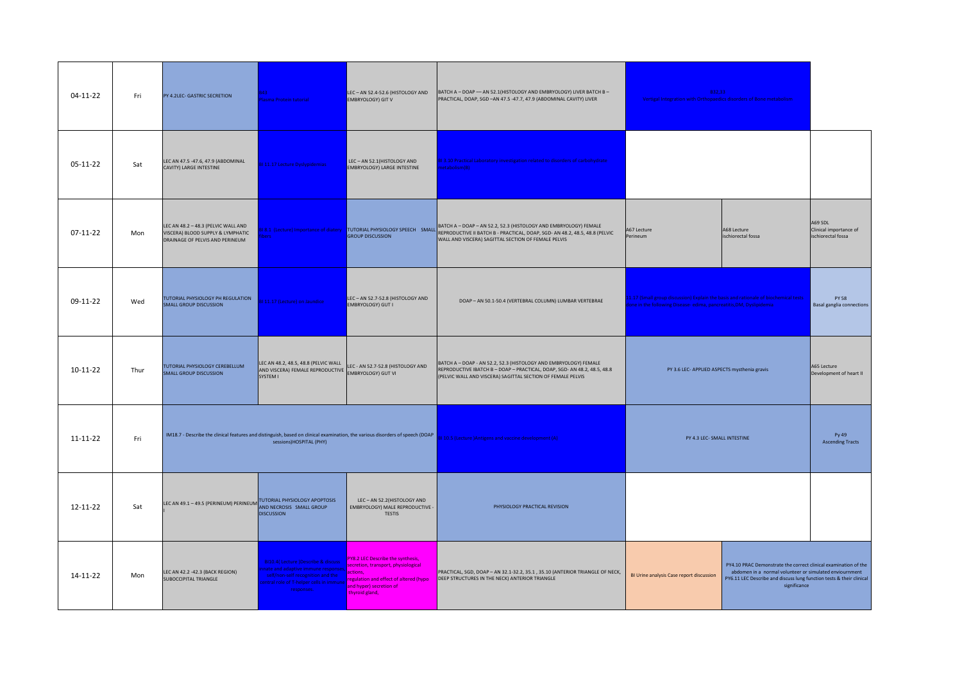| 04-11-22       | Fri  | PY 4.2LEC- GASTRIC SECRETION                                                                                                  | 43.<br>asma Protein tutorial                                                                                                                                       | LEC-AN 52.4-52.6 (HISTOLOGY AND<br><b>EMBRYOLOGY) GIT V</b>                                                                                                                | BATCH A - DOAP - AN 52.1 (HISTOLOGY AND EMBRYOLOGY) LIVER BATCH B -<br>PRACTICAL, DOAP, SGD -AN 47.5 -47.7, 47.9 (ABDOMINAL CAVITY) LIVER                                                                                                     | B32,33<br>Vertigal Integration with Orthopaedics disorders of Bone metabolism                                                                            |                                                                                                                                                                                                                    |                                                         |
|----------------|------|-------------------------------------------------------------------------------------------------------------------------------|--------------------------------------------------------------------------------------------------------------------------------------------------------------------|----------------------------------------------------------------------------------------------------------------------------------------------------------------------------|-----------------------------------------------------------------------------------------------------------------------------------------------------------------------------------------------------------------------------------------------|----------------------------------------------------------------------------------------------------------------------------------------------------------|--------------------------------------------------------------------------------------------------------------------------------------------------------------------------------------------------------------------|---------------------------------------------------------|
| 05-11-22       | Sat  | LEC AN 47.5 -47.6, 47.9 (ABDOMINAL<br>CAVITY) LARGE INTESTINE                                                                 | 31 11.17 Lecture Dyslypidemias                                                                                                                                     | LEC-AN 52.1 (HISTOLOGY AND<br><b>EMBRYOLOGY) LARGE INTESTINE</b>                                                                                                           | BI 3.10 Practical Laboratory investigation related to disorders of carbohydrate<br>etabolism(B)                                                                                                                                               |                                                                                                                                                          |                                                                                                                                                                                                                    |                                                         |
| $07-11-22$     | Mon  | LEC AN 48.2 - 48.3 (PELVIC WALL AND<br>VISCERA) BLOOD SUPPLY & LYMPHATIC<br>DRAINAGE OF PELVIS AND PERINEUM                   | 18.1 (Lecture) Importance of diatery<br><b>Pre</b>                                                                                                                 | <b>GROUP DISCUSSION</b>                                                                                                                                                    | TUTORIAL PHYSIOLOGY SPEECH SMALL BATCH A - DOAP - AN 52.2, S2.3 (HISTOLOGY AND EMBRYOLOGY) FEMALE<br>CROUID DISCUSSION<br>A67 Lecture<br>A68 Lecture<br>ischiorectal fossa<br>Perineum<br>WALL AND VISCERA) SAGITTAL SECTION OF FEMALE PELVIS |                                                                                                                                                          |                                                                                                                                                                                                                    | A69 SDL<br>Clinical importance of<br>ischiorectal fossa |
| 09-11-22       | Wed  | TUTORIAL PHYSIOLOGY PH REGULATION<br><b>SMALL GROUP DISCUSSION</b>                                                            | Il 11.17 (Lecture) on Jaundice                                                                                                                                     | LEC-AN 52.7-52.8 (HISTOLOGY AND<br>EMBRYOLOGY) GUT I                                                                                                                       | DOAP - AN 50.1-50.4 (VERTEBRAL COLUMN) LUMBAR VERTEBRAE                                                                                                                                                                                       | 1.17 (Small group discussion) Explain the basis and rationale of biochemical tests<br>one in the following Disease-edima, pancreatitis, DM, Dyslipidemia |                                                                                                                                                                                                                    | <b>PY 58</b><br><b>Basal ganglia connections</b>        |
| $10-11-22$     | Thur | TUTORIAL PHYSIOLOGY CEREBELLUM<br><b>SMALL GROUP DISCUSSION</b>                                                               | LEC AN 48.2, 48.5, 48.8 (PELVIC WALL<br>AND VISCERA) FEMALE REPRODUCTIVE EDG AND VISCERA) FEMALE REPRODUCTIVE<br>SYSTEM I                                          | LEC - AN 52.7-52.8 (HISTOLOGY AND                                                                                                                                          | BATCH A - DOAP - AN 52.2, 52.3 (HISTOLOGY AND EMBRYOLOGY) FEMALE<br>REPRODUCTIVE IBATCH B - DOAP - PRACTICAL, DOAP, SGD- AN 48.2, 48.5, 48.8<br>(PELVIC WALL AND VISCERA) SAGITTAL SECTION OF FEMALE PELVIS                                   | PY 3.6 LEC- APPLIED ASPECTS mysthenia gravis                                                                                                             |                                                                                                                                                                                                                    | A65 Lecture<br>Development of heart II                  |
| $11 - 11 - 22$ | Fri  | IM18.7 - Describe the clinical features and distinguish, based on clinical examination, the various disorders of speech (DOAP | sessions)HOSPITAL (PHY)                                                                                                                                            |                                                                                                                                                                            | 10.5 (Lecture )Antigens and vaccine development (A)                                                                                                                                                                                           | PY 4.3 LEC- SMALL INTESTINE                                                                                                                              |                                                                                                                                                                                                                    | Py 49<br><b>Ascending Tracts</b>                        |
| 12-11-22       | Sat  | LEC AN 49.1 - 49.5 (PERINEUM) PERINEUM TUTORIAL PHYSIOLOGY APOPTOSIS                                                          | <b>DISCUSSION</b>                                                                                                                                                  | LEC-AN 52.2(HISTOLOGY AND<br>EMBRYOLOGY) MALE REPRODUCTIVE -<br><b>TESTIS</b>                                                                                              | PHYSIOLOGY PRACTICAL REVISION                                                                                                                                                                                                                 |                                                                                                                                                          |                                                                                                                                                                                                                    |                                                         |
| 14-11-22       | Mon  | LEC AN 42.2 -42.3 (BACK REGION)<br>SUBOCCIPITAL TRIANGLE                                                                      | BI10.4( Lecture )Describe & discuss<br>ate and adaptive immune response<br>self/non-self recognition and the<br>ntral role of T-helper cells in immu<br>responses. | PY8.2 LEC Describe the synthesis,<br>secretion, transport, physiological<br>actions.<br>egulation and effect of altered (hypo<br>and hyper) secretion of<br>thyroid gland, | PRACTICAL, SGD, DOAP - AN 32.1-32.2, 35.1, 35.10 (ANTERIOR TRIANGLE OF NECK,<br>DEEP STRUCTURES IN THE NECK) ANTERIOR TRIANGLE                                                                                                                | BI Urine analysis Case report discussion                                                                                                                 | PY4.10 PRAC Demonstrate the correct clinical examination of the<br>abdomen in a normal volunteer or simulated enviournment<br>PY6.11 LEC Describe and discuss lung function tests & their clinical<br>significance |                                                         |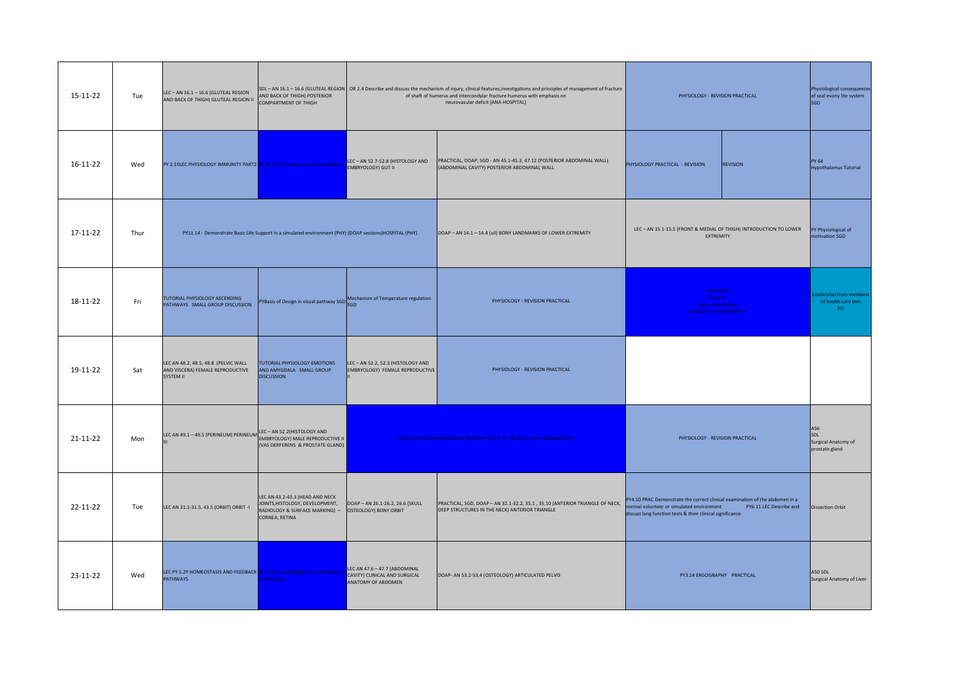| 15-11-22 | Tue  | LEC-AN 16.1-16.6 (GLUTEAL REGION<br>AND BACK OF THIGH) GLUTEAL REGION II                          | AND BACK OF THIGH) POSTERIOR<br><b>COMPARTMENT OF THIGH</b>                                                            |                                                                                      | SDL - AN 16.1 - 16.6 (GLUTEAL REGION   OR 2.4 Describe and discuss the mechanism of injury, clinical features, investigations and principles of management of fracture<br>of shaft of humerus and intercondylar fracture humerus with emphasis on<br>neurovasular deficit (ANA-HOSPITAL)                                                           | PHYSIOLOGY - REVISION PRACTICAL                                                      |                                      | Physiological consequences<br>of seal evony lite system<br><b>SGD</b> |
|----------|------|---------------------------------------------------------------------------------------------------|------------------------------------------------------------------------------------------------------------------------|--------------------------------------------------------------------------------------|----------------------------------------------------------------------------------------------------------------------------------------------------------------------------------------------------------------------------------------------------------------------------------------------------------------------------------------------------|--------------------------------------------------------------------------------------|--------------------------------------|-----------------------------------------------------------------------|
| 16-11-22 | Wed  | PY 2.10LEC PHYSIOLOGY IMMUNITY PART2 81 11.17 (Lecture) on acid base balance EMBRYOLOGY) GUT II   |                                                                                                                        | LEC-AN 52.7-52.8 (HISTOLOGY AND                                                      | PRACTICAL, DOAP, SGD - AN 45.1-45.3, 47.12 (POSTERIOR ABDOMINAL WALL)<br>(ABDOMINAL CAVITY) POSTERIOR ABDOMINAL WALL                                                                                                                                                                                                                               | PHYSIOLOGY PRACTICAL - REVISION                                                      | <b>REVISION</b>                      | PY 64<br><b>Hypothalamus Tutorial</b>                                 |
| 17-11-22 | Thur |                                                                                                   | PY11.14 - Demonstrate Basic Life Support in a simulated environment (PHY) (DOAP sessions)HOSPITAL (PHY)                |                                                                                      | DOAP - AN 14.1 - 14.4 (uil) BONY LANDMARKS OF LOWER EXTREMITY                                                                                                                                                                                                                                                                                      | LEC-AN 15.1-15.5 (FRONT & MEDIAL OF THIGH) INTRODUCTION TO LOWER<br><b>EXTREMITY</b> |                                      | PY Physiological of<br>notivation SGD                                 |
| 18-11-22 | Fri  | TUTORIAL PHYSIOLOGY ASCENDING<br>PATHWAYS SMALL GROUP DISCUSSION                                  |                                                                                                                        | PYBasis of Design in visual pathway SGD Mechanism of Temperature regulation          | PHYSIOLOGY - REVISION PRACTICAL                                                                                                                                                                                                                                                                                                                    | B44,45,46<br>Tutorial<br>heme metabolism<br>catabolism and anabolism                 |                                      | eadership from member<br>of health care tem<br>PD.                    |
| 19-11-22 | Sat  | LEC AN 48.2, 48.5, 48.8 (PELVIC WALL<br>AND VISCERA) FEMALE REPRODUCTIVE<br>SYSTEM II             | TUTORIAL PHYSIOLOGY EMOTIONS<br>AND AMYGDALA SMALL GROUP<br><b>DISCUSSION</b>                                          | LEC-AN 52.2, 52.3 (HISTOLOGY AND<br><b>EMBRYOLOGY) FEMALE REPRODUCTIVE</b>           | PHYSIOLOGY - REVISION PRACTICAL                                                                                                                                                                                                                                                                                                                    |                                                                                      |                                      |                                                                       |
| 21-11-22 | Mon  | LEC AN 49.1 - 49.5 (PERINEUM) PERINEUM LEC - AN 52.2 (HISTOLOGY AND                               | (VAS DERFERENS & PROSTATE GLAND)                                                                                       |                                                                                      | Bone and Calcium Metabolism Disorders BI 6.9 [VI-PE]; Classroom, Hospital (BIO)<br>PHYSIOLOGY - REVISION PRACTICAL                                                                                                                                                                                                                                 |                                                                                      |                                      | A56<br>SDL<br>Surgical Anatomy of<br>prostate gland                   |
| 22-11-22 | Tue  | LEC AN 31.1-31.5, 43.5 (ORBIT) ORBIT -I                                                           | LEC AN 43.2-43.3 (HEAD AND NECK<br>JOINTS, HISTOLOGY, DEVELOPMENT,<br>RADIOLOGY & SURFACE MARKING) -<br>CORNEA, RETINA | DOAP - AN 26.1-26.2, 26.6 (SKULL<br>OSTEOLOGY) BONY ORBIT                            | PY4.10 PRAC Demonstrate the correct clinical examination of the abdomen in a<br>PRACTICAL, SGD, DOAP - AN 32.1-32.2, 35.1, 35.10 (ANTERIOR TRIANGLE OF NECK,<br>PY6.11 LEC Describe and<br>ormal volunteer or simulated environment<br>DEEP STRUCTURES IN THE NECK) ANTERIOR TRIANGLE<br>discuss lung function tests & their clinical significance |                                                                                      | <b>Dissection Orbit</b>              |                                                                       |
| 23-11-22 | Wed  | LEC PY 1.2Y HOMEOSTASIS AND FEEDBACK BI 7.4 (Lecture )Application of molicular<br><b>PATHWAYS</b> | chnologies                                                                                                             | LEC AN 47.6 - 47.7 (ABDOMINAL<br>CAVITY) CLINICAL AND SURGICAL<br>ANATOMY OF ABDOMEN | DOAP- AN 53.2-53.4 (OSTEOLOGY) ARTICULATED PELVIS<br>PY3.14 ERGOGRAPHY PRACTICAL                                                                                                                                                                                                                                                                   |                                                                                      | A50 SDL<br>Surgical Anatomy of Liver |                                                                       |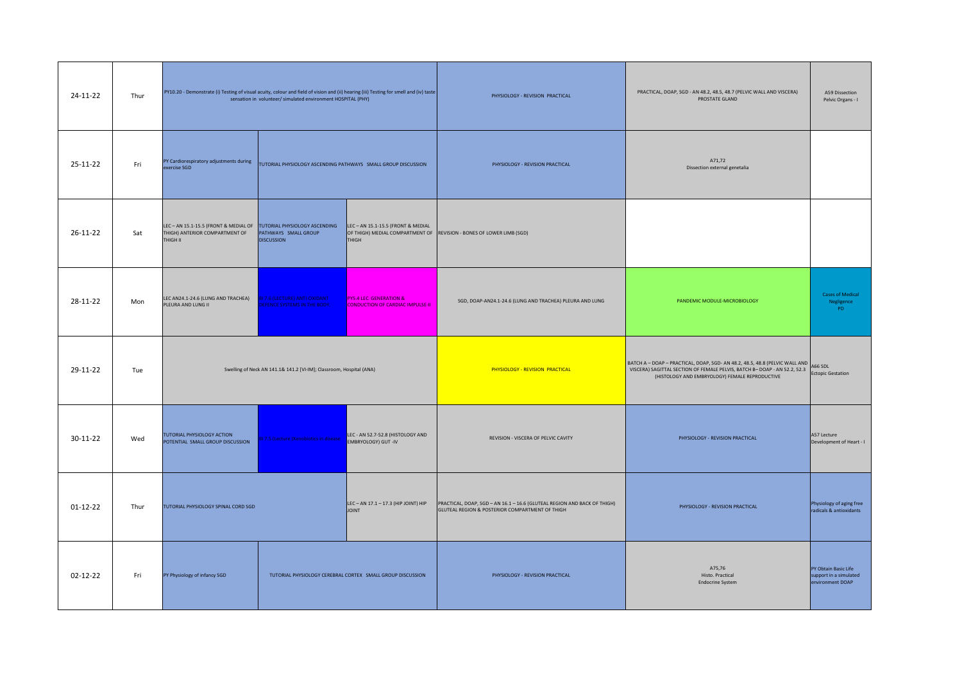| 24-11-22       | Thur | PY10.20 - Demonstrate (i) Testing of visual acuity, colour and field of vision and (ii) hearing (iii) Testing for smell and (iv) taste<br>sensation in volunteer/ simulated environment HOSPITAL (PHY) |                                                                     |                                                                                                                            | PHYSIOLOGY - REVISION PRACTICAL                                          | PRACTICAL, DOAP, SGD - AN 48.2, 48.5, 48.7 (PELVIC WALL AND VISCERA)<br>PROSTATE GLAND                                                                                                                     | A59 Dissection<br>Pelvic Organs - I          |
|----------------|------|--------------------------------------------------------------------------------------------------------------------------------------------------------------------------------------------------------|---------------------------------------------------------------------|----------------------------------------------------------------------------------------------------------------------------|--------------------------------------------------------------------------|------------------------------------------------------------------------------------------------------------------------------------------------------------------------------------------------------------|----------------------------------------------|
| 25-11-22       | Fri  | PY Cardiorespiratory adjustments during<br>exercise SGD                                                                                                                                                | TUTORIAL PHYSIOLOGY ASCENDING PATHWAYS SMALL GROUP DISCUSSION       |                                                                                                                            | PHYSIOLOGY - REVISION PRACTICAL                                          | A71,72<br>Dissection external genetalia                                                                                                                                                                    |                                              |
| $26 - 11 - 22$ | Sat  | LEC - AN 15.1-15.5 (FRONT & MEDIAL OF TUTORIAL PHYSIOLOGY ASCENDING<br>THIGH) ANTERIOR COMPARTMENT OF<br>THIGH II                                                                                      | PATHWAYS SMALL GROUP<br><b>DISCUSSION</b>                           | LEC - AN 15.1-15.5 (FRONT & MEDIAL<br>OF THIGH) MEDIAL COMPARTMENT OF REVISION - BONES OF LOWER LIMB (SGD)<br><b>THIGH</b> |                                                                          |                                                                                                                                                                                                            |                                              |
| 28-11-22       | Mon  | LEC AN24.1-24.6 (LUNG AND TRACHEA)<br>PLEURA AND LUNG II                                                                                                                                               | BI 7.6 (LECTURE) ANTI-OXIDANT<br><b>EFENCE SYSTEMS IN THE BODY.</b> | PY5.4 LEC GENERATION &<br><b>CONDUCTION OF CARDIAC IMPULSE-II</b>                                                          | SGD, DOAP-AN24.1-24.6 (LUNG AND TRACHEA) PLEURA AND LUNG                 | PANDEMIC MODULE-MICROBIOLOGY                                                                                                                                                                               | <b>Cases of Medical</b><br>Negligence<br>PD. |
| 29-11-22       | Tue  |                                                                                                                                                                                                        | Swelling of Neck AN 141.1& 141.2 [VI-IM]; Classroom, Hospital (ANA) |                                                                                                                            | PHYSIOLOGY - REVISION PRACTICAL                                          | BATCH A - DOAP - PRACTICAL, DOAP, SGD- AN 48.2, 48.5, 48.8 (PELVIC WALL AND<br>VISCERA) SAGITTAL SECTION OF FEMALE PELVIS, BATCH B- DOAP - AN 52.2, 52.3<br>(HISTOLOGY AND EMBRYOLOGY) FEMALE REPRODUCTIVE | A66 SDL<br><b>Ectopic Gestation</b>          |
| 30-11-22       | Wed  | TUTORIAL PHYSIOLOGY ACTION<br>POTENTIAL SMALL GROUP DISCUSSION                                                                                                                                         | 817.5 (Lecture )Xenobiotics in disease                              | LEC - AN 52.7-52.8 (HISTOLOGY AND<br><b>EMBRYOLOGY) GUT -IV</b>                                                            | REVISION - VISCERA OF PELVIC CAVITY<br>PHYSIOLOGY - REVISION PRACTICAL   |                                                                                                                                                                                                            | A57 Lecture<br>Development of Heart - I      |
| $01 - 12 - 22$ |      |                                                                                                                                                                                                        |                                                                     |                                                                                                                            | PRACTICAL, DOAP, SGD - AN 16.1 - 16.6 (GLUTEAL REGION AND BACK OF THIGH) |                                                                                                                                                                                                            | Physiology of aging free                     |
|                | Thur | TUTORIAL PHYSIOLOGY SPINAL CORD SGD                                                                                                                                                                    |                                                                     | LEC - AN 17.1 - 17.3 (HIP JOINT) HIP<br><b>JOINT</b>                                                                       | GLUTEAL REGION & POSTERIOR COMPARTMENT OF THIGH                          | PHYSIOLOGY - REVISION PRACTICAL                                                                                                                                                                            | radicals & antioxidants                      |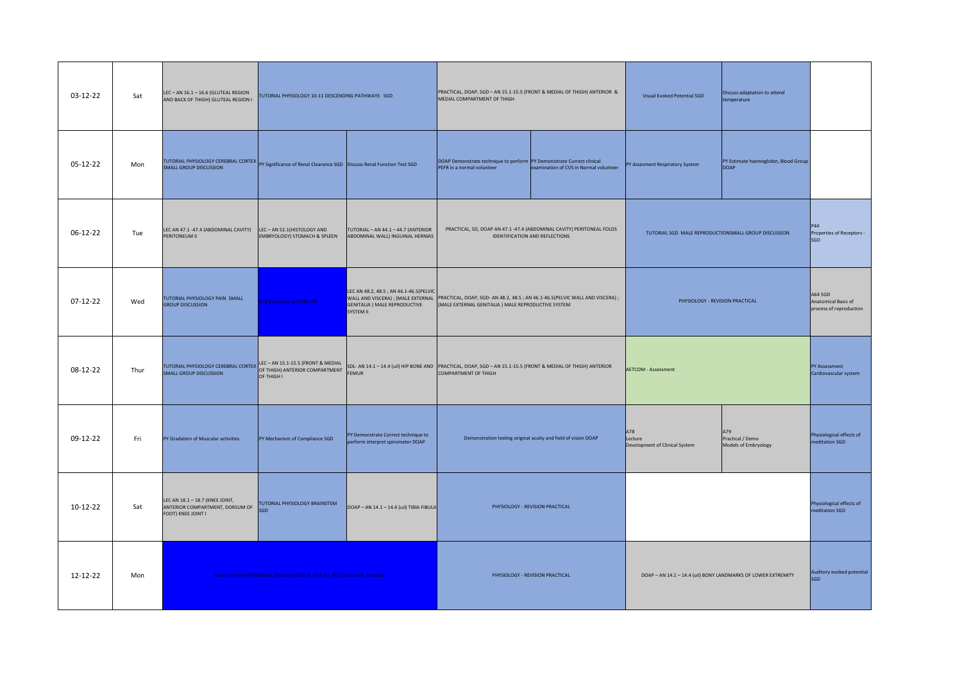| 03-12-22   | Sat  | LEC-AN 16.1-16.6 (GLUTEAL REGION<br>AND BACK OF THIGH) GLUTEAL REGION I                                                                       | TUTORIAL PHYSIOLOGY 10-11 DESCENDING PATHWAYS SGD                       |                                                                                       | PRACTICAL, DOAP, SGD - AN 15.1-15.5 (FRONT & MEDIAL OF THIGH) ANTERIOR &<br>MEDIAL COMPARTMENT OF THIGH                                                               |                                        | Visual Evoked Potential SGD                                   | Discuss adaptation to attend<br>temperature     |                                                           |
|------------|------|-----------------------------------------------------------------------------------------------------------------------------------------------|-------------------------------------------------------------------------|---------------------------------------------------------------------------------------|-----------------------------------------------------------------------------------------------------------------------------------------------------------------------|----------------------------------------|---------------------------------------------------------------|-------------------------------------------------|-----------------------------------------------------------|
| 05-12-22   | Mon  | TUTORIAL PHYSIOLOGY CEREBRAL CORTEX PY Significance of Renal Clearance SGD Discuss Renal Function Test SGD                                    |                                                                         |                                                                                       | DOAP Demonstrate technique to perform PY Demonistrate Currect clinical<br>PEFR in a normal volunteer                                                                  | examination of CVS in Normal volunteer | PY Assesment Respiratory System                               | PY Estimate haemoglobin, Blood Group<br>DOAP    |                                                           |
| 06-12-22   | Tue  | LEC AN 47.1 -47.4 (ABDOMINAL CAVITY)<br>PERITONEUM II                                                                                         | LEC - AN 52.1 (HISTOLOGY AND<br><b>EMBRYOLOGY) STOMACH &amp; SPLEEN</b> | TUTORIAL - AN 44.1 - 44.7 (ANTERIOR<br>ABDOMINAL WALL) INGUINAL HERNIAS               | PRACTICAL, SD, DOAP AN 47.1 -47.4 (ABDOMINAL CAVITY) PERITONEAL FOLDS<br>IDENTIFICATION AND REFLECTIONS                                                               |                                        | TUTORIAL SGD MALE REPRODUCTIONSMALL GROUP DISCUSSION          |                                                 | P44<br>Properties of Receptors -<br>SGD                   |
| $07-12-22$ | Wed  | TUTORIAL PHYSIOLOGY PAIN SMALL<br><b>GROUP DISCUSSION</b>                                                                                     | <b>8.4 (Lecture )on OBESITY</b>                                         | LEC AN 48.2, 48.5 ; AN 46.1-46.5(PELVIC<br>GENITALIA ) MALE REPRODUCTIVE<br>SYSTEM II | WALL AND VISCERA) ; (MALE EXTERNAL PRACTICAL, DOAP, SGD-AN 48.2, 48.5 ; AN 46.1-46.5(PELVIC WALL AND VISCERA) ;<br>(MALE EXTERNAL GENITALIA) MALE REPRODUCTIVE SYSTEM |                                        | PHYSIOLOGY - REVISION PRACTICAL                               |                                                 | A64 SGD<br>Anatomical Basis of<br>process of reproduction |
| 08-12-22   | Thur | <b>TUTORIAL PHYSIOLOGY CEREBRAL CORTEX LEC - AN 15.1-15.5 (FRONT &amp; MEDIAL<br/>SMALL GROUD DISCUSSION</b><br><b>SMALL GROUP DISCUSSION</b> | OF THIGH I                                                              | <b>FEMUR</b>                                                                          | SDL- AN 14.1 - 14.4 (uil) HIP BONE AND PRACTICAL, DOAP, SGD - AN 15.1-15.5 (FRONT & MEDIAL OF THIGH) ANTERIOR<br><b>COMPARTMENT OF THIGH</b>                          |                                        | <b>AETCOM - Assessment</b>                                    |                                                 | PY Assessment<br>Cardiovascular system                    |
| 09-12-22   | Fri  | PY Gradation of Muscular activities                                                                                                           | PY Mechanism of Compliance SGD                                          | PY Demonstrate Correct technique to<br>perform interpret spirometer DOAP              | Demonstration testing original acuity and field of vision DOAP                                                                                                        |                                        | A78<br>Lecture<br>Development of Clinical System              | A79<br>Practical / Demo<br>Models of Embryology | Physiological effects of<br>neditation SGD                |
| $10-12-22$ | Sat  | LEC AN 18.1 - 18.7 (KNEE JOINT,<br>ANTERIOR COMPARTMENT, DORSUM OF<br>FOOT) KNEE JOINT I                                                      | TUTORIAL PHYSIOLOGY BRAINSTEM<br>SGD                                    | DOAP - AN 14.1 - 14.4 (uil) TIBIA FIBULA                                              | PHYSIOLOGY - REVISION PRACTICAL                                                                                                                                       |                                        |                                                               |                                                 | Physiological effects of<br>editation SGD                 |
| 12-12-22   | Mon  | Inborn errors of Metabolic Disorders(BIO) BI 15.4 [VI_PE]; Classroom, Hospital                                                                |                                                                         |                                                                                       |                                                                                                                                                                       | PHYSIOLOGY - REVISION PRACTICAL        | DOAP - AN 14.1 - 14.4 (uil) BONY LANDMARKS OF LOWER EXTREMITY |                                                 | Auditory evoked potential<br>SGD                          |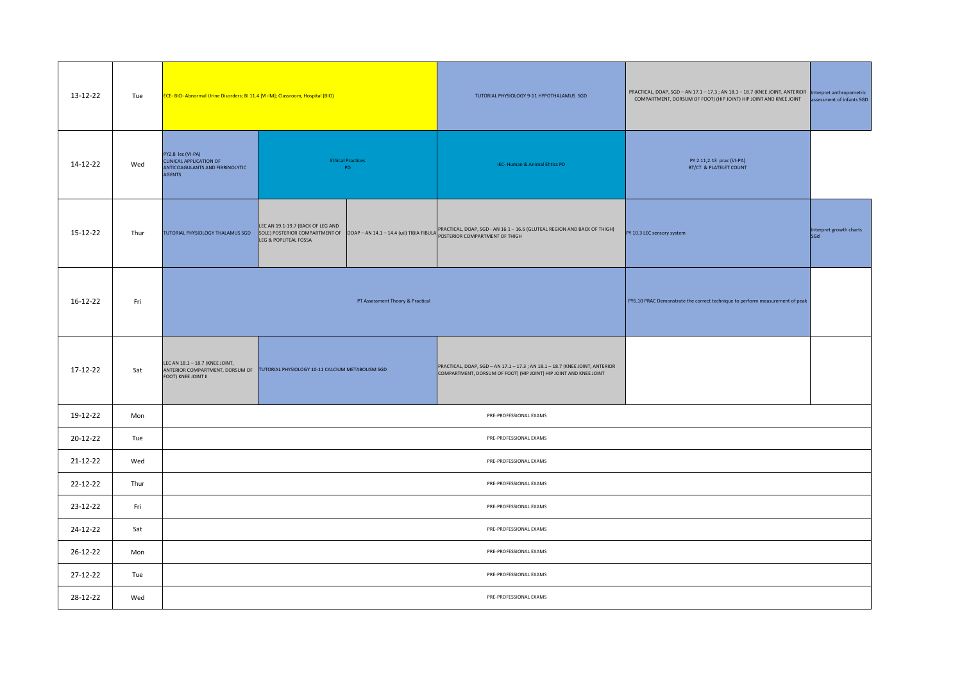| 13-12-22 | Tue  | ECE- BIO- Abnormal Urine Disorders; BI 11.4 [VI-IM]; Classroom, Hospital (BIO)                                                             |                                                            |                                  | TUTORIAL PHYSIOLOGY 9-11 HYPOTHALAMUS SGD                                                                                                                                                                                                   | PRACTICAL, DOAP, SGD - AN 17.1 - 17.3 ; AN 18.1 - 18.7 (KNEE JOINT, ANTERIOR  Interpret anthropometric<br>COMPARTMENT, DORSUM OF FOOT) (HIP JOINT) HIP JOINT AND KNEE JOINT | assessment of infants SGD      |  |
|----------|------|--------------------------------------------------------------------------------------------------------------------------------------------|------------------------------------------------------------|----------------------------------|---------------------------------------------------------------------------------------------------------------------------------------------------------------------------------------------------------------------------------------------|-----------------------------------------------------------------------------------------------------------------------------------------------------------------------------|--------------------------------|--|
| 14-12-22 | Wed  | PY2.8 lec (VI-PA)<br>CLINICAL APPLICATION OF<br>ANTICOAGULANTS AND FIBRINOLYTIC<br><b>AGENTS</b>                                           | <b>Ethical Practices</b><br>PD                             |                                  | IEC- Human & Animal Ehtics PD                                                                                                                                                                                                               | PY 2.11,2.13 prac (VI-PA)<br>BT/CT & PLATELET COUNT                                                                                                                         |                                |  |
| 15-12-22 | Thur | TUTORIAL PHYSIOLOGY THALAMUS SGD                                                                                                           | LEC AN 19.1-19.7 (BACK OF LEG AND<br>LEG & POPLITEAL FOSSA |                                  | <b>ELECTRIC AN EXAMPLE ON A CONSUMER SERVER AND A PROCESSION CONSUMER SOLAN 16.1-16.6 (GLUTEAL REGION AND BACK OF THIGH)</b><br>SOLE) POSTERIOR COMPARTMENT OF <b>DOAP-AN 14.1-14.4</b> (uil) TIBIA FIBUA POSTERIOR COMPARTMENT OF THIGH CO | PY 10.3 LEC sensory system                                                                                                                                                  | Interpret growth charts<br>SGd |  |
| 16-12-22 | Fri  |                                                                                                                                            |                                                            | PT Assessment Theory & Practical |                                                                                                                                                                                                                                             | PY6.10 PRAC Demonstrate the correct technique to perform measurement of peak                                                                                                |                                |  |
| 17-12-22 | Sat  | LEC AN 18.1 - 18.7 (KNEE JOINT,<br>ANTERIOR COMPARTMENT, DORSUM OF TUTORIAL PHYSIOLOGY 10-11 CALCIUM METABOLISM SGD<br>FOOT) KNEE JOINT II |                                                            |                                  | PRACTICAL, DOAP, SGD - AN 17.1 - 17.3 ; AN 18.1 - 18.7 (KNEE JOINT, ANTERIOR<br>COMPARTMENT, DORSUM OF FOOT) (HIP JOINT) HIP JOINT AND KNEE JOINT                                                                                           |                                                                                                                                                                             |                                |  |
| 19-12-22 | Mon  |                                                                                                                                            |                                                            |                                  | PRE-PROFESSIONAL EXAMS                                                                                                                                                                                                                      |                                                                                                                                                                             |                                |  |
| 20-12-22 | Tue  |                                                                                                                                            |                                                            |                                  | PRE-PROFESSIONAL EXAMS                                                                                                                                                                                                                      |                                                                                                                                                                             |                                |  |
| 21-12-22 | Wed  |                                                                                                                                            | PRE-PROFESSIONAL EXAMS                                     |                                  |                                                                                                                                                                                                                                             |                                                                                                                                                                             |                                |  |
| 22-12-22 | Thur |                                                                                                                                            | PRE-PROFESSIONAL EXAMS                                     |                                  |                                                                                                                                                                                                                                             |                                                                                                                                                                             |                                |  |
| 23-12-22 | Fri  |                                                                                                                                            | PRE-PROFESSIONAL EXAMS                                     |                                  |                                                                                                                                                                                                                                             |                                                                                                                                                                             |                                |  |
| 24-12-22 | Sat  |                                                                                                                                            |                                                            |                                  | PRE-PROFESSIONAL EXAMS                                                                                                                                                                                                                      |                                                                                                                                                                             |                                |  |
| 26-12-22 | Mon  |                                                                                                                                            |                                                            |                                  | PRE-PROFESSIONAL EXAMS                                                                                                                                                                                                                      |                                                                                                                                                                             |                                |  |
| 27-12-22 | Tue  |                                                                                                                                            |                                                            |                                  | PRE-PROFESSIONAL EXAMS                                                                                                                                                                                                                      |                                                                                                                                                                             |                                |  |
| 28-12-22 | Wed  |                                                                                                                                            |                                                            |                                  | PRE-PROFESSIONAL EXAMS                                                                                                                                                                                                                      |                                                                                                                                                                             |                                |  |